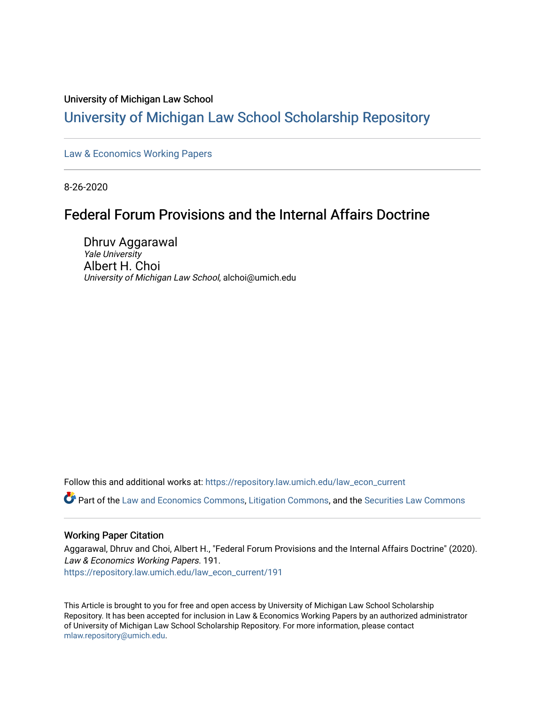# University of Michigan Law School

# [University of Michigan Law School Scholarship Repository](https://repository.law.umich.edu/)

[Law & Economics Working Papers](https://repository.law.umich.edu/law_econ_current)

8-26-2020

# Federal Forum Provisions and the Internal Affairs Doctrine

Dhruv Aggarawal Yale University Albert H. Choi University of Michigan Law School, alchoi@umich.edu

Follow this and additional works at: [https://repository.law.umich.edu/law\\_econ\\_current](https://repository.law.umich.edu/law_econ_current?utm_source=repository.law.umich.edu%2Flaw_econ_current%2F191&utm_medium=PDF&utm_campaign=PDFCoverPages) 

Part of the [Law and Economics Commons](http://network.bepress.com/hgg/discipline/612?utm_source=repository.law.umich.edu%2Flaw_econ_current%2F191&utm_medium=PDF&utm_campaign=PDFCoverPages), [Litigation Commons,](http://network.bepress.com/hgg/discipline/910?utm_source=repository.law.umich.edu%2Flaw_econ_current%2F191&utm_medium=PDF&utm_campaign=PDFCoverPages) and the [Securities Law Commons](http://network.bepress.com/hgg/discipline/619?utm_source=repository.law.umich.edu%2Flaw_econ_current%2F191&utm_medium=PDF&utm_campaign=PDFCoverPages) 

# Working Paper Citation

Aggarawal, Dhruv and Choi, Albert H., "Federal Forum Provisions and the Internal Affairs Doctrine" (2020). Law & Economics Working Papers. 191. [https://repository.law.umich.edu/law\\_econ\\_current/191](https://repository.law.umich.edu/law_econ_current/191?utm_source=repository.law.umich.edu%2Flaw_econ_current%2F191&utm_medium=PDF&utm_campaign=PDFCoverPages) 

This Article is brought to you for free and open access by University of Michigan Law School Scholarship Repository. It has been accepted for inclusion in Law & Economics Working Papers by an authorized administrator of University of Michigan Law School Scholarship Repository. For more information, please contact [mlaw.repository@umich.edu.](mailto:mlaw.repository@umich.edu)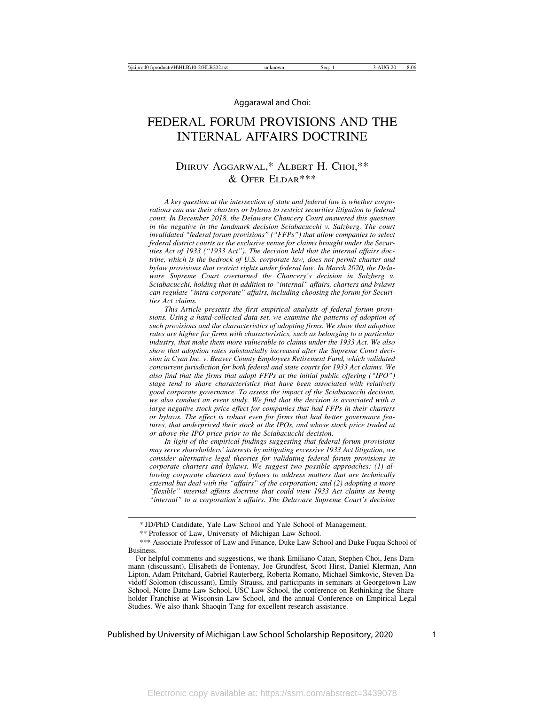# FEDERAL FORUM PROVISIONS AND THE INTERNAL AFFAIRS DOCTRINE

# DHRUV AGGARWAL,\* ALBERT H. CHOI,\*\*  $&$  OFER ELDAR\*\*\*

*A key question at the intersection of state and federal law is whether corporations can use their charters or bylaws to restrict securities litigation to federal court. In December 2018, the Delaware Chancery Court answered this question in the negative in the landmark decision Sciabacucchi v. Salzberg. The court invalidated "federal forum provisions" ("FFPs") that allow companies to select federal district courts as the exclusive venue for claims brought under the Securities Act of 1933 ("1933 Act"). The decision held that the internal affairs doctrine, which is the bedrock of U.S. corporate law, does not permit charter and bylaw provisions that restrict rights under federal law. In March 2020, the Delaware Supreme Court overturned the Chancery's decision in Salzberg v. Sciabacucchi, holding that in addition to "internal" affairs, charters and bylaws can regulate "intra-corporate" affairs, including choosing the forum for Securities Act claims.*

*This Article presents the first empirical analysis of federal forum provisions. Using a hand-collected data set, we examine the patterns of adoption of such provisions and the characteristics of adopting firms. We show that adoption rates are higher for firms with characteristics, such as belonging to a particular industry, that make them more vulnerable to claims under the 1933 Act. We also show that adoption rates substantially increased after the Supreme Court decision in Cyan Inc. v. Beaver County Employees Retirement Fund, which validated concurrent jurisdiction for both federal and state courts for 1933 Act claims. We also find that the firms that adopt FFPs at the initial public offering ("IPO") stage tend to share characteristics that have been associated with relatively good corporate governance. To assess the impact of the Sciabacucchi decision, we also conduct an event study. We find that the decision is associated with a large negative stock price effect for companies that had FFPs in their charters or bylaws. The effect is robust even for firms that had better governance features, that underpriced their stock at the IPOs, and whose stock price traded at or above the IPO price prior to the Sciabacucchi decision.*

*In light of the empirical findings suggesting that federal forum provisions may serve shareholders' interests by mitigating excessive 1933 Act litigation, we consider alternative legal theories for validating federal forum provisions in corporate charters and bylaws. We suggest two possible approaches: (1) allowing corporate charters and bylaws to address matters that are technically external but deal with the "affairs" of the corporation; and (2) adopting a more "flexible" internal affairs doctrine that could view 1933 Act claims as being "internal" to a corporation's affairs. The Delaware Supreme Court's decision*

<sup>\*</sup> JD/PhD Candidate, Yale Law School and Yale School of Management.

<sup>\*\*</sup> Professor of Law, University of Michigan Law School.

<sup>\*\*\*</sup> Associate Professor of Law and Finance, Duke Law School and Duke Fuqua School of Business.

For helpful comments and suggestions, we thank Emiliano Catan, Stephen Choi, Jens Dammann (discussant), Elisabeth de Fontenay, Joe Grundfest, Scott Hirst, Daniel Klerman, Ann Lipton, Adam Pritchard, Gabriel Rauterberg, Roberta Romano, Michael Simkovic, Steven Davidoff Solomon (discussant), Emily Strauss, and participants in seminars at Georgetown Law School, Notre Dame Law School, USC Law School, the conference on Rethinking the Shareholder Franchise at Wisconsin Law School, and the annual Conference on Empirical Legal Studies. We also thank Shaoqin Tang for excellent research assistance.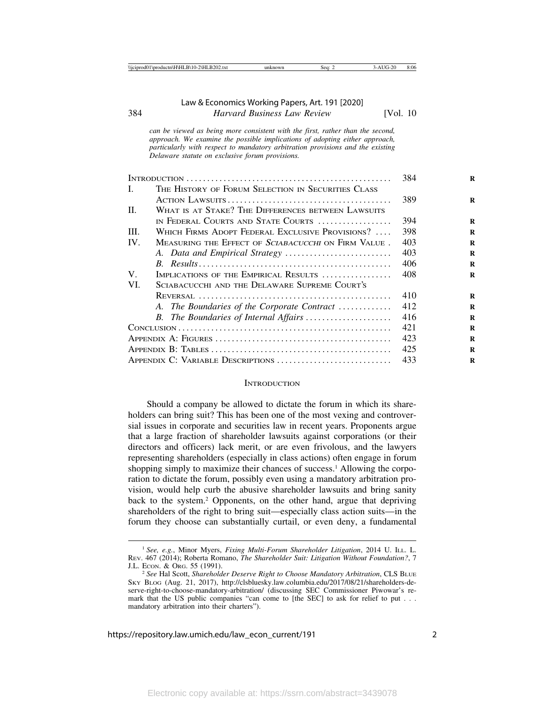*can be viewed as being more consistent with the first, rather than the second, approach. We examine the possible implications of adopting either approach, particularly with respect to mandatory arbitration provisions and the existing Delaware statute on exclusive forum provisions.*

|              |                                                            | 384 |
|--------------|------------------------------------------------------------|-----|
| $\mathbf{L}$ | THE HISTORY OF FORUM SELECTION IN SECURITIES CLASS         |     |
|              |                                                            | 389 |
| $\Pi$ .      | WHAT IS AT STAKE? THE DIFFERENCES BETWEEN LAWSUITS         |     |
|              | IN FEDERAL COURTS AND STATE COURTS                         | 394 |
| III.         | WHICH FIRMS ADOPT FEDERAL EXCLUSIVE PROVISIONS?            | 398 |
| IV.          | MEASURING THE EFFECT OF <i>SCIABACUCCHI</i> ON FIRM VALUE. | 403 |
|              |                                                            | 403 |
|              |                                                            | 406 |
| $V_{\cdot}$  | IMPLICATIONS OF THE EMPIRICAL RESULTS                      | 408 |
| VI.          | SCIABACUCCHI AND THE DELAWARE SUPREME COURT'S              |     |
|              |                                                            | 410 |
|              | A. The Boundaries of the Corporate Contract                | 412 |
|              | B. The Boundaries of Internal Affairs                      | 416 |
|              |                                                            | 421 |
|              |                                                            | 423 |
|              |                                                            | 425 |
|              | APPENDIX C: VARIABLE DESCRIPTIONS                          | 433 |

#### **INTRODUCTION**

Should a company be allowed to dictate the forum in which its shareholders can bring suit? This has been one of the most vexing and controversial issues in corporate and securities law in recent years. Proponents argue that a large fraction of shareholder lawsuits against corporations (or their directors and officers) lack merit, or are even frivolous, and the lawyers representing shareholders (especially in class actions) often engage in forum shopping simply to maximize their chances of success.<sup>1</sup> Allowing the corporation to dictate the forum, possibly even using a mandatory arbitration provision, would help curb the abusive shareholder lawsuits and bring sanity back to the system.2 Opponents, on the other hand, argue that depriving shareholders of the right to bring suit—especially class action suits—in the forum they choose can substantially curtail, or even deny, a fundamental

<sup>1</sup> *See, e.g.*, Minor Myers, *Fixing Multi-Forum Shareholder Litigation*, 2014 U. ILL. L. REV. 467 (2014); Roberta Romano, *The Shareholder Suit: Litigation Without Foundation?*, 7 J.L. ECON. & ORG. 55 (1991). <sup>2</sup> *See* Hal Scott, *Shareholder Deserve Right to Choose Mandatory Arbitration*, CLS BLUE

SKY BLOG (Aug. 21, 2017), http://clsbluesky.law.columbia.edu/2017/08/21/shareholders-deserve-right-to-choose-mandatory-arbitration/ (discussing SEC Commissioner Piwowar's remark that the US public companies "can come to [the SEC] to ask for relief to put . . . mandatory arbitration into their charters").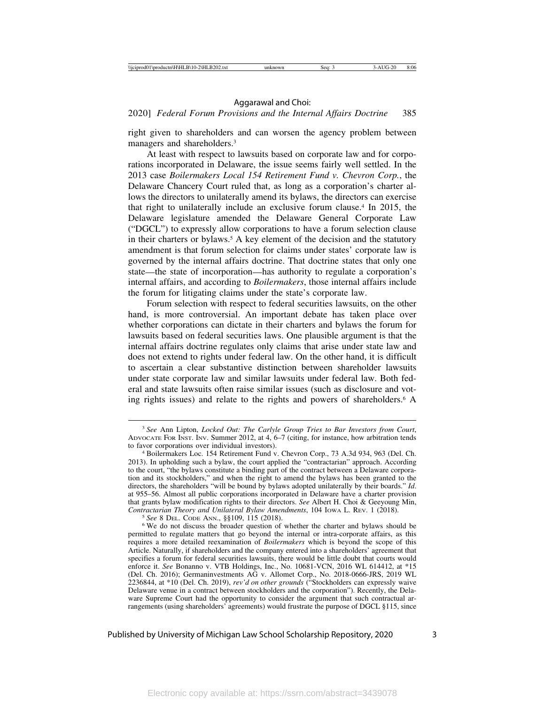### 2020] *Federal Forum Provisions and the Internal Affairs Doctrine* 385

right given to shareholders and can worsen the agency problem between managers and shareholders.3

At least with respect to lawsuits based on corporate law and for corporations incorporated in Delaware, the issue seems fairly well settled. In the 2013 case *Boilermakers Local 154 Retirement Fund v. Chevron Corp.*, the Delaware Chancery Court ruled that, as long as a corporation's charter allows the directors to unilaterally amend its bylaws, the directors can exercise that right to unilaterally include an exclusive forum clause.4 In 2015, the Delaware legislature amended the Delaware General Corporate Law ("DGCL") to expressly allow corporations to have a forum selection clause in their charters or bylaws.<sup>5</sup> A key element of the decision and the statutory amendment is that forum selection for claims under states' corporate law is governed by the internal affairs doctrine. That doctrine states that only one state—the state of incorporation—has authority to regulate a corporation's internal affairs, and according to *Boilermakers*, those internal affairs include the forum for litigating claims under the state's corporate law.

Forum selection with respect to federal securities lawsuits, on the other hand, is more controversial. An important debate has taken place over whether corporations can dictate in their charters and bylaws the forum for lawsuits based on federal securities laws. One plausible argument is that the internal affairs doctrine regulates only claims that arise under state law and does not extend to rights under federal law. On the other hand, it is difficult to ascertain a clear substantive distinction between shareholder lawsuits under state corporate law and similar lawsuits under federal law. Both federal and state lawsuits often raise similar issues (such as disclosure and voting rights issues) and relate to the rights and powers of shareholders.<sup>6</sup> A

<sup>3</sup> *See* Ann Lipton, *Locked Out: The Carlyle Group Tries to Bar Investors from Court*, ADVOCATE FOR INST. INV. Summer 2012, at 4, 6–7 (citing, for instance, how arbitration tends

<sup>&</sup>lt;sup>4</sup> Boilermakers Loc. 154 Retirement Fund v. Chevron Corp., 73 A.3d 934, 963 (Del. Ch. 2013). In upholding such a bylaw, the court applied the "contractarian" approach. According to the court, "the bylaws constitute a binding part of the contract between a Delaware corporation and its stockholders," and when the right to amend the bylaws has been granted to the directors, the shareholders "will be bound by bylaws adopted unilaterally by their boards." *Id*. at 955–56. Almost all public corporations incorporated in Delaware have a charter provision that grants bylaw modification rights to their directors. *See* Albert H. Choi & Geeyoung Min,

<sup>&</sup>lt;sup>5</sup> See 8 DEL. CoDE ANN., §§109, 115 (2018). <sup>6</sup> We do not discuss the broader question of whether the charter and bylaws should be permitted to regulate matters that go beyond the internal or intra-corporate affairs, as this requires a more detailed reexamination of *Boilermakers* which is beyond the scope of this Article. Naturally, if shareholders and the company entered into a shareholders' agreement that specifies a forum for federal securities lawsuits, there would be little doubt that courts would enforce it. *See* Bonanno v. VTB Holdings, Inc., No. 10681-VCN, 2016 WL 614412, at \*15 (Del. Ch. 2016); Germaninvestments AG v. Allomet Corp., No. 2018-0666-JRS, 2019 WL 2236844, at \*10 (Del. Ch. 2019), *rev'd on other grounds* ("Stockholders can expressly waive Delaware venue in a contract between stockholders and the corporation"). Recently, the Delaware Supreme Court had the opportunity to consider the argument that such contractual arrangements (using shareholders' agreements) would frustrate the purpose of DGCL §115, since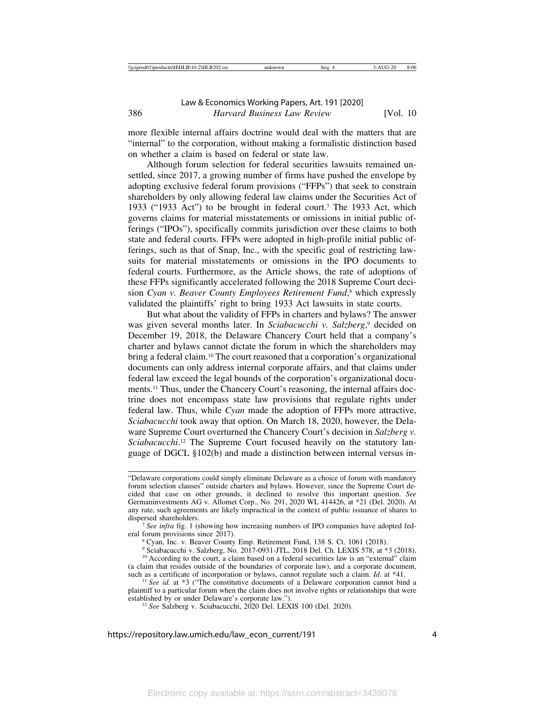more flexible internal affairs doctrine would deal with the matters that are "internal" to the corporation, without making a formalistic distinction based on whether a claim is based on federal or state law.

Although forum selection for federal securities lawsuits remained unsettled, since 2017, a growing number of firms have pushed the envelope by adopting exclusive federal forum provisions ("FFPs") that seek to constrain shareholders by only allowing federal law claims under the Securities Act of 1933 ("1933 Act") to be brought in federal court.7 The 1933 Act, which governs claims for material misstatements or omissions in initial public offerings ("IPOs"), specifically commits jurisdiction over these claims to both state and federal courts. FFPs were adopted in high-profile initial public offerings, such as that of Snap, Inc., with the specific goal of restricting lawsuits for material misstatements or omissions in the IPO documents to federal courts. Furthermore, as the Article shows, the rate of adoptions of these FFPs significantly accelerated following the 2018 Supreme Court decision *Cyan v. Beaver County Employees Retirement Fund*, 8 which expressly validated the plaintiffs' right to bring 1933 Act lawsuits in state courts.

But what about the validity of FFPs in charters and bylaws? The answer was given several months later. In *Sciabacucchi v. Salzberg*, 9 decided on December 19, 2018, the Delaware Chancery Court held that a company's charter and bylaws cannot dictate the forum in which the shareholders may bring a federal claim.10 The court reasoned that a corporation's organizational documents can only address internal corporate affairs, and that claims under federal law exceed the legal bounds of the corporation's organizational documents.11 Thus, under the Chancery Court's reasoning, the internal affairs doctrine does not encompass state law provisions that regulate rights under federal law. Thus, while *Cyan* made the adoption of FFPs more attractive, *Sciabacucchi* took away that option. On March 18, 2020, however, the Delaware Supreme Court overturned the Chancery Court's decision in *Salzberg v.* Sciabacucchi.<sup>12</sup> The Supreme Court focused heavily on the statutory language of DGCL §102(b) and made a distinction between internal versus in-

dispersed shareholders.<br><sup>7</sup> *See infra* fig. 1 (showing how increasing numbers of IPO companies have adopted federal forum provisions since 2017).

<sup>8</sup> Cyan, Inc. v. Beaver County Emp. Retirement Fund, 138 S. Ct. 1061 (2018).

<sup>9</sup> Sciabacucchi v. Salzberg, No. 2017-0931-JTL, 2018 Del. Ch. LEXIS 578, at \*3 (2018).

<sup>&</sup>quot;Delaware corporations could simply eliminate Delaware as a choice of forum with mandatory forum selection clauses" outside charters and bylaws. However, since the Supreme Court decided that case on other grounds, it declined to resolve this important question. *See* Germaninvestments AG v. Allomet Corp., No. 291, 2020 WL 414426, at \*21 (Del. 2020). At any rate, such agreements are likely impractical in the context of public issuance of shares to

<sup>&</sup>lt;sup>10</sup> According to the court, a claim based on a federal securities law is an "external" claim (a claim that resides outside of the boundaries of corporate law), and a corporate document, such as a certificate of incorporation or bylaws, cannot regulate such a claim.  $Id$ . at  $*41$ .

<sup>&</sup>lt;sup>11</sup> See id. at \*3 ("The constitutive documents of a Delaware corporation cannot bind a plaintiff to a particular forum when the claim does not involve rights or relationships that were established by or under Delaware's corporate law.").

<sup>&</sup>lt;sup>12</sup> See Salzberg v. Sciabacucchi, 2020 Del. LEXIS 100 (Del. 2020).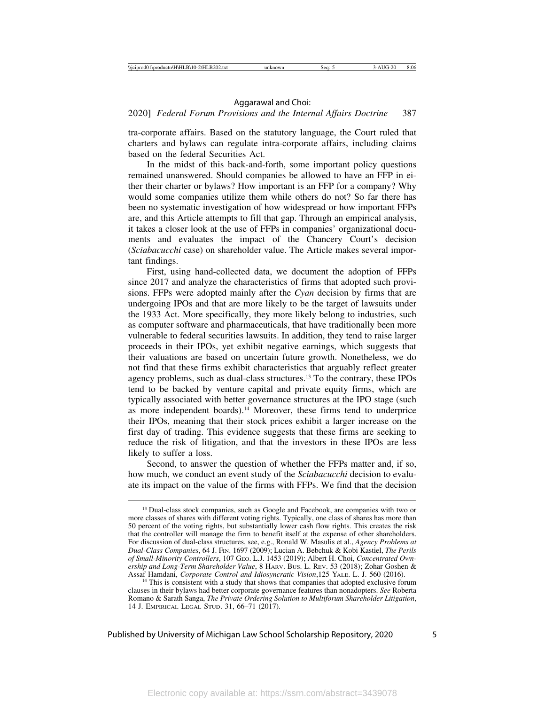### 2020] *Federal Forum Provisions and the Internal Affairs Doctrine* 387

tra-corporate affairs. Based on the statutory language, the Court ruled that charters and bylaws can regulate intra-corporate affairs, including claims based on the federal Securities Act.

In the midst of this back-and-forth, some important policy questions remained unanswered. Should companies be allowed to have an FFP in either their charter or bylaws? How important is an FFP for a company? Why would some companies utilize them while others do not? So far there has been no systematic investigation of how widespread or how important FFPs are, and this Article attempts to fill that gap. Through an empirical analysis, it takes a closer look at the use of FFPs in companies' organizational documents and evaluates the impact of the Chancery Court's decision (*Sciabacucchi* case) on shareholder value. The Article makes several important findings.

First, using hand-collected data, we document the adoption of FFPs since 2017 and analyze the characteristics of firms that adopted such provisions. FFPs were adopted mainly after the *Cyan* decision by firms that are undergoing IPOs and that are more likely to be the target of lawsuits under the 1933 Act. More specifically, they more likely belong to industries, such as computer software and pharmaceuticals, that have traditionally been more vulnerable to federal securities lawsuits. In addition, they tend to raise larger proceeds in their IPOs, yet exhibit negative earnings, which suggests that their valuations are based on uncertain future growth. Nonetheless, we do not find that these firms exhibit characteristics that arguably reflect greater agency problems, such as dual-class structures.13 To the contrary, these IPOs tend to be backed by venture capital and private equity firms, which are typically associated with better governance structures at the IPO stage (such as more independent boards).<sup>14</sup> Moreover, these firms tend to underprice their IPOs, meaning that their stock prices exhibit a larger increase on the first day of trading. This evidence suggests that these firms are seeking to reduce the risk of litigation, and that the investors in these IPOs are less likely to suffer a loss.

Second, to answer the question of whether the FFPs matter and, if so, how much, we conduct an event study of the *Sciabacucchi* decision to evaluate its impact on the value of the firms with FFPs. We find that the decision

<sup>&</sup>lt;sup>13</sup> Dual-class stock companies, such as Google and Facebook, are companies with two or more classes of shares with different voting rights. Typically, one class of shares has more than 50 percent of the voting rights, but substantially lower cash flow rights. This creates the risk that the controller will manage the firm to benefit itself at the expense of other shareholders. For discussion of dual-class structures, see, e.g., Ronald W. Masulis et al., *Agency Problems at Dual-Class Companies*, 64 J. FIN. 1697 (2009); Lucian A. Bebchuk & Kobi Kastiel, *The Perils of Small-Minority Controllers*, 107 GEO. L.J. 1453 (2019); Albert H. Choi, *Concentrated Ownership and Long-Term Shareholder Value*, 8 HARV. BUS. L. REV. 53 (2018); Zohar Goshen & Assaf Hamdani, *Corporate Control and Idiosyncratic Vision*, 125 YALE. L. J. 560 (2016).

<sup>&</sup>lt;sup>14</sup> This is consistent with a study that shows that companies that adopted exclusive forum clauses in their bylaws had better corporate governance features than nonadopters. *See* Roberta Romano & Sarath Sanga, *The Private Ordering Solution to Multiforum Shareholder Litigation*, 14 J. EMPIRICAL LEGAL STUD. 31, 66–71 (2017).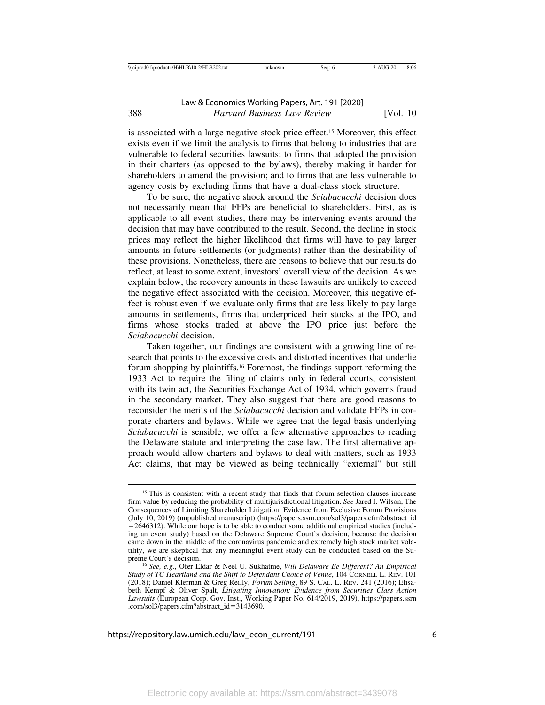is associated with a large negative stock price effect.15 Moreover, this effect exists even if we limit the analysis to firms that belong to industries that are vulnerable to federal securities lawsuits; to firms that adopted the provision in their charters (as opposed to the bylaws), thereby making it harder for shareholders to amend the provision; and to firms that are less vulnerable to agency costs by excluding firms that have a dual-class stock structure.

To be sure, the negative shock around the *Sciabacucchi* decision does not necessarily mean that FFPs are beneficial to shareholders. First, as is applicable to all event studies, there may be intervening events around the decision that may have contributed to the result. Second, the decline in stock prices may reflect the higher likelihood that firms will have to pay larger amounts in future settlements (or judgments) rather than the desirability of these provisions. Nonetheless, there are reasons to believe that our results do reflect, at least to some extent, investors' overall view of the decision. As we explain below, the recovery amounts in these lawsuits are unlikely to exceed the negative effect associated with the decision. Moreover, this negative effect is robust even if we evaluate only firms that are less likely to pay large amounts in settlements, firms that underpriced their stocks at the IPO, and firms whose stocks traded at above the IPO price just before the *Sciabacucchi* decision.

Taken together, our findings are consistent with a growing line of research that points to the excessive costs and distorted incentives that underlie forum shopping by plaintiffs.16 Foremost, the findings support reforming the 1933 Act to require the filing of claims only in federal courts, consistent with its twin act, the Securities Exchange Act of 1934, which governs fraud in the secondary market. They also suggest that there are good reasons to reconsider the merits of the *Sciabacucchi* decision and validate FFPs in corporate charters and bylaws. While we agree that the legal basis underlying *Sciabacucchi* is sensible, we offer a few alternative approaches to reading the Delaware statute and interpreting the case law. The first alternative approach would allow charters and bylaws to deal with matters, such as 1933 Act claims, that may be viewed as being technically "external" but still

<sup>&</sup>lt;sup>15</sup> This is consistent with a recent study that finds that forum selection clauses increase firm value by reducing the probability of multijurisdictional litigation. *See* Jared I. Wilson, The Consequences of Limiting Shareholder Litigation: Evidence from Exclusive Forum Provisions (July 10, 2019) (unpublished manuscript) (https://papers.ssrn.com/sol3/papers.cfm?abstract\_id  $=2646312$ ). While our hope is to be able to conduct some additional empirical studies (including an event study) based on the Delaware Supreme Court's decision, because the decision came down in the middle of the coronavirus pandemic and extremely high stock market volatility, we are skeptical that any meaningful event study can be conducted based on the Supreme Court's decision. <sup>16</sup> *See, e.g.*, Ofer Eldar & Neel U. Sukhatme, *Will Delaware Be Different? An Empirical*

*Study of TC Heartland and the Shift to Defendant Choice of Venue*, 104 CORNELL L. REV. 101 (2018); Daniel Klerman & Greg Reilly, *Forum Selling*, 89 S. CAL. L. REV. 241 (2016); Elisabeth Kempf & Oliver Spalt, *Litigating Innovation: Evidence from Securities Class Action Lawsuits* (European Corp. Gov. Inst., Working Paper No. 614/2019, 2019), https://papers.ssrn .com/sol3/papers.cfm?abstract\_id=3143690.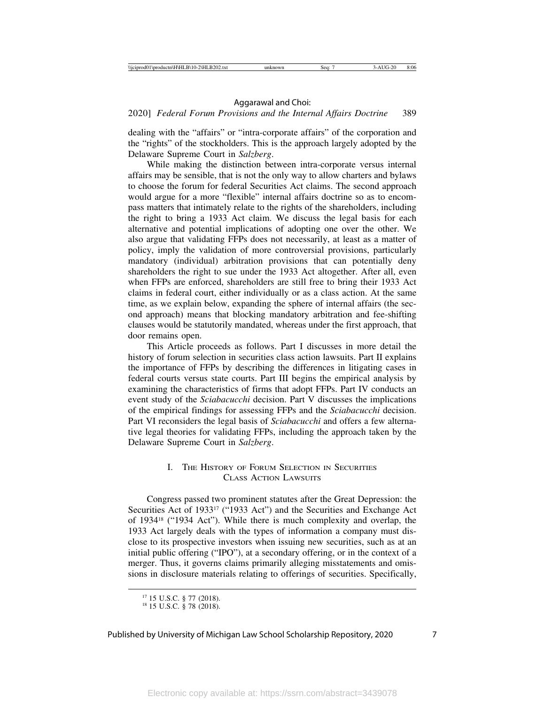### 2020] *Federal Forum Provisions and the Internal Affairs Doctrine* 389

dealing with the "affairs" or "intra-corporate affairs" of the corporation and the "rights" of the stockholders. This is the approach largely adopted by the Delaware Supreme Court in *Salzberg*.

While making the distinction between intra-corporate versus internal affairs may be sensible, that is not the only way to allow charters and bylaws to choose the forum for federal Securities Act claims. The second approach would argue for a more "flexible" internal affairs doctrine so as to encompass matters that intimately relate to the rights of the shareholders, including the right to bring a 1933 Act claim. We discuss the legal basis for each alternative and potential implications of adopting one over the other. We also argue that validating FFPs does not necessarily, at least as a matter of policy, imply the validation of more controversial provisions, particularly mandatory (individual) arbitration provisions that can potentially deny shareholders the right to sue under the 1933 Act altogether. After all, even when FFPs are enforced, shareholders are still free to bring their 1933 Act claims in federal court, either individually or as a class action. At the same time, as we explain below, expanding the sphere of internal affairs (the second approach) means that blocking mandatory arbitration and fee-shifting clauses would be statutorily mandated, whereas under the first approach, that door remains open.

This Article proceeds as follows. Part I discusses in more detail the history of forum selection in securities class action lawsuits. Part II explains the importance of FFPs by describing the differences in litigating cases in federal courts versus state courts. Part III begins the empirical analysis by examining the characteristics of firms that adopt FFPs. Part IV conducts an event study of the *Sciabacucchi* decision. Part V discusses the implications of the empirical findings for assessing FFPs and the *Sciabacucchi* decision. Part VI reconsiders the legal basis of *Sciabacucchi* and offers a few alternative legal theories for validating FFPs, including the approach taken by the Delaware Supreme Court in *Salzberg*.

### I. THE HISTORY OF FORUM SELECTION IN SECURITIES CLASS ACTION LAWSUITS

Congress passed two prominent statutes after the Great Depression: the Securities Act of 1933<sup>17</sup> ("1933 Act") and the Securities and Exchange Act of 193418 ("1934 Act"). While there is much complexity and overlap, the 1933 Act largely deals with the types of information a company must disclose to its prospective investors when issuing new securities, such as at an initial public offering ("IPO"), at a secondary offering, or in the context of a merger. Thus, it governs claims primarily alleging misstatements and omissions in disclosure materials relating to offerings of securities. Specifically,

<sup>17</sup> 15 U.S.C. § 77 (2018). <sup>18</sup> 15 U.S.C. § 78 (2018).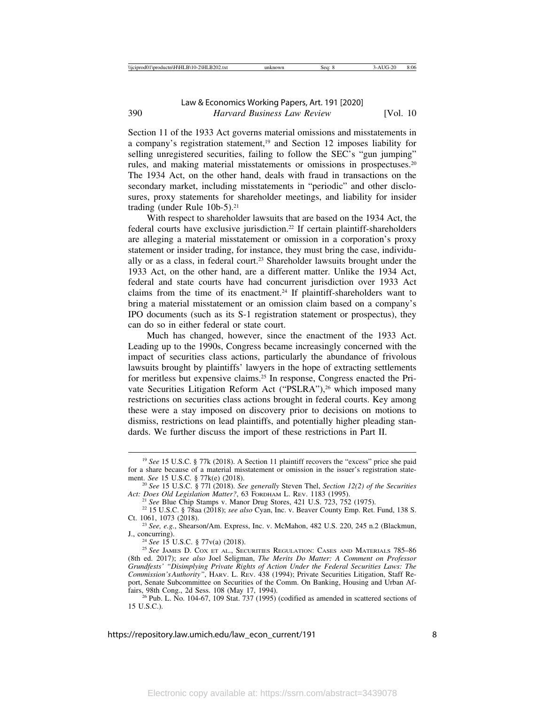Section 11 of the 1933 Act governs material omissions and misstatements in a company's registration statement,19 and Section 12 imposes liability for selling unregistered securities, failing to follow the SEC's "gun jumping" rules, and making material misstatements or omissions in prospectuses.20 The 1934 Act, on the other hand, deals with fraud in transactions on the secondary market, including misstatements in "periodic" and other disclosures, proxy statements for shareholder meetings, and liability for insider trading (under Rule 10b-5).<sup>21</sup>

With respect to shareholder lawsuits that are based on the 1934 Act, the federal courts have exclusive jurisdiction.22 If certain plaintiff-shareholders are alleging a material misstatement or omission in a corporation's proxy statement or insider trading, for instance, they must bring the case, individually or as a class, in federal court.23 Shareholder lawsuits brought under the 1933 Act, on the other hand, are a different matter. Unlike the 1934 Act, federal and state courts have had concurrent jurisdiction over 1933 Act claims from the time of its enactment.24 If plaintiff-shareholders want to bring a material misstatement or an omission claim based on a company's IPO documents (such as its S-1 registration statement or prospectus), they can do so in either federal or state court.

Much has changed, however, since the enactment of the 1933 Act. Leading up to the 1990s, Congress became increasingly concerned with the impact of securities class actions, particularly the abundance of frivolous lawsuits brought by plaintiffs' lawyers in the hope of extracting settlements for meritless but expensive claims.25 In response, Congress enacted the Private Securities Litigation Reform Act ("PSLRA"),<sup>26</sup> which imposed many restrictions on securities class actions brought in federal courts. Key among these were a stay imposed on discovery prior to decisions on motions to dismiss, restrictions on lead plaintiffs, and potentially higher pleading standards. We further discuss the import of these restrictions in Part II.

<sup>&</sup>lt;sup>19</sup> See 15 U.S.C. § 77k (2018). A Section 11 plaintiff recovers the "excess" price she paid for a share because of a material misstatement or omission in the issuer's registration statement. See 15 U.S.C. § 77 $k(e)$  (2018).

<sup>&</sup>lt;sup>20</sup> See 15 U.S.C. § 771 (2018). *See generally* Steven Thel, *Section 12(2) of the Securities Act: Does Old Legislation Matter?*, 63 FORDHAM L. REV. 1183 (1995).

<sup>&</sup>lt;sup>21</sup> See Blue Chip Stamps v. Manor Drug Stores, 421 U.S. 723, 752 (1975).<br><sup>22</sup> 15 U.S.C. § 78aa (2018); *see also* Cyan, Inc. v. Beaver County Emp. Ret. Fund, 138 S.<br>Ct. 1061. 1073 (2018).

<sup>&</sup>lt;sup>23</sup> *See, e.g.*, Shearson/Am. Express, Inc. v. McMahon, 482 U.S. 220, 245 n.2 (Blackmun, J., concurring).

<sup>&</sup>lt;sup>24</sup> See 15 U.S.C. § 77v(a) (2018).<br><sup>25</sup> See James D. Cox et al., Securities Regulation: Cases and Materials 785–86 (8th ed. 2017); *see also* Joel Seligman, *The Merits Do Matter: A Comment on Professor Grundfests' "Disimplying Private Rights of Action Under the Federal Securities Laws: The Commission's Authority"*, HARV. L. REV. 438 (1994); Private Securities Litigation, Staff Report, Senate Subcommittee on Securities of the Comm. On Banking, Housing and Urban Affairs, 98th Cong., 2d Sess. 108 (May 17, 1994).

 $^{26}$  Pub. L. No. 104-67, 109 Stat. 737 (1995) (codified as amended in scattered sections of 15 U.S.C.).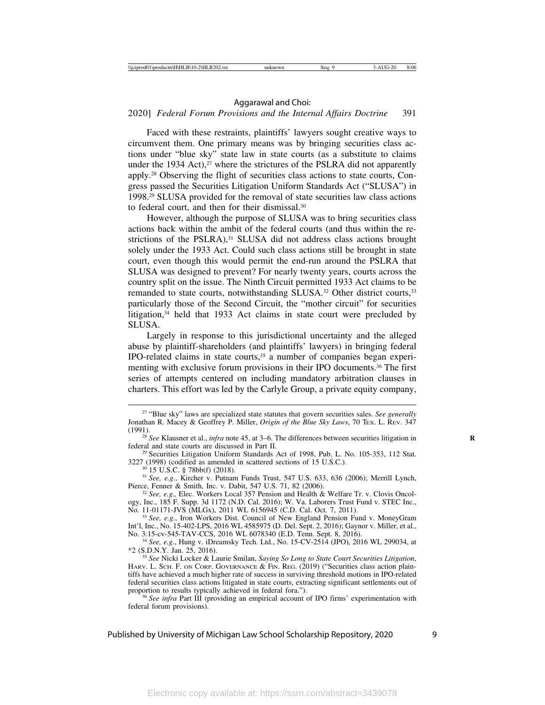### 2020] *Federal Forum Provisions and the Internal Affairs Doctrine* 391

Faced with these restraints, plaintiffs' lawyers sought creative ways to circumvent them. One primary means was by bringing securities class actions under "blue sky" state law in state courts (as a substitute to claims under the 1934 Act), $27$  where the strictures of the PSLRA did not apparently apply.28 Observing the flight of securities class actions to state courts, Congress passed the Securities Litigation Uniform Standards Act ("SLUSA") in 1998.29 SLUSA provided for the removal of state securities law class actions to federal court, and then for their dismissal.30

However, although the purpose of SLUSA was to bring securities class actions back within the ambit of the federal courts (and thus within the restrictions of the PSLRA),<sup>31</sup> SLUSA did not address class actions brought solely under the 1933 Act. Could such class actions still be brought in state court, even though this would permit the end-run around the PSLRA that SLUSA was designed to prevent? For nearly twenty years, courts across the country split on the issue. The Ninth Circuit permitted 1933 Act claims to be remanded to state courts, notwithstanding SLUSA.<sup>32</sup> Other district courts,<sup>33</sup> particularly those of the Second Circuit, the "mother circuit" for securities litigation,<sup>34</sup> held that 1933 Act claims in state court were precluded by SLUSA.

Largely in response to this jurisdictional uncertainty and the alleged abuse by plaintiff-shareholders (and plaintiffs' lawyers) in bringing federal IPO-related claims in state courts,35 a number of companies began experimenting with exclusive forum provisions in their IPO documents.36 The first series of attempts centered on including mandatory arbitration clauses in charters. This effort was led by the Carlyle Group, a private equity company,

<sup>27</sup> "Blue sky" laws are specialized state statutes that govern securities sales. *See generally* Jonathan R. Macey & Geoffrey P. Miller, *Origin of the Blue Sky Laws*, 70 TEX. L. REV. 347

<sup>(1991). &</sup>lt;sup>28</sup> *See* Klausner et al., *infra* note 45, at 3–6. The differences between securities litigation in federal and state courts are discussed in Part II.

 $29$  Securities Litigation Uniform Standards Act of 1998, Pub. L. No. 105-353, 112 Stat.

<sup>3227 (1998) (</sup>codified as amended in scattered sections of 15 U.S.C.).<br><sup>30</sup> 15 U.S.C. § 78bb(f) (2018).<br><sup>31</sup> *See, e.g.*, Kircher v. Putnam Funds Trust, 547 U.S. 633, 636 (2006); Merrill Lynch,<br>Pierce, Fenner & Smith, Inc.

<sup>&</sup>lt;sup>32</sup> See, e.g., Elec. Workers Local 357 Pension and Health & Welfare Tr. v. Clovis Oncology, Inc., 185 F. Supp. 3d 1172 (N.D. Cal. 2016); W. Va. Laborers Trust Fund v. STEC Inc., No. 11-01171-JVS (MLGx), 2011 WL 6156945 (C.D. Cal. Oct. 7, 2011).

<sup>&</sup>lt;sup>33</sup> See, e.g., Iron Workers Dist. Council of New England Pension Fund v. MoneyGram Int'l, Inc., No. 15-402-LPS, 2016 WL 4585975 (D. Del. Sept. 2, 2016); Gaynor v. Miller, et al.,

<sup>&</sup>lt;sup>34</sup> See, e.g., Hung v. iDreamsky Tech. Ltd., No. 15-CV-2514 (JPO), 2016 WL 299034, at \*2 (S.D.N.Y. Jan. 25, 2016).

<sup>&</sup>lt;sup>35</sup> See Nicki Locker & Laurie Smilan, *Saying So Long to State Court Securities Litigation*, HARV. L. SCH. F. ON CORP. GOVERNANCE & FIN. REG. (2019) ("Securities class action plaintiffs have achieved a much higher rate of success in surviving threshold motions in IPO-related federal securities class actions litigated in state courts, extracting significant settlements out of proportion to results typically achieved in federal fora.").

<sup>&</sup>lt;sup>36</sup> *See infra* Part III (providing an empirical account of IPO firms' experimentation with federal forum provisions).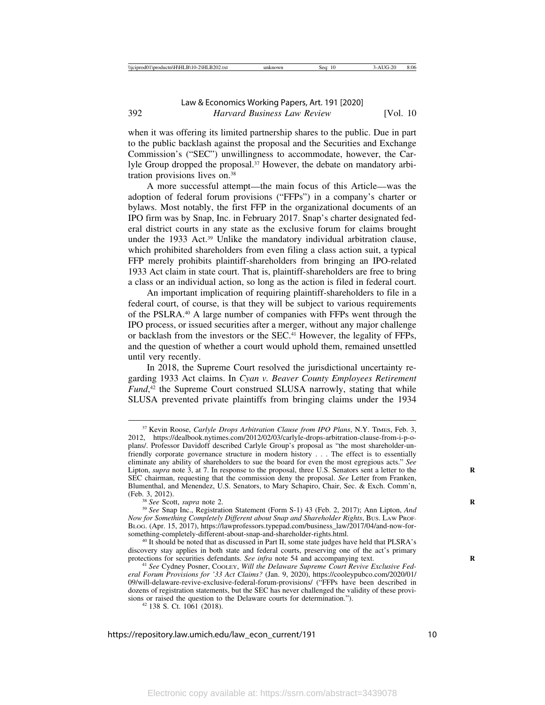when it was offering its limited partnership shares to the public. Due in part to the public backlash against the proposal and the Securities and Exchange Commission's ("SEC") unwillingness to accommodate, however, the Carlyle Group dropped the proposal. $37$  However, the debate on mandatory arbitration provisions lives on.38

A more successful attempt—the main focus of this Article—was the adoption of federal forum provisions ("FFPs") in a company's charter or bylaws. Most notably, the first FFP in the organizational documents of an IPO firm was by Snap, Inc. in February 2017. Snap's charter designated federal district courts in any state as the exclusive forum for claims brought under the 1933 Act.<sup>39</sup> Unlike the mandatory individual arbitration clause, which prohibited shareholders from even filing a class action suit, a typical FFP merely prohibits plaintiff-shareholders from bringing an IPO-related 1933 Act claim in state court. That is, plaintiff-shareholders are free to bring a class or an individual action, so long as the action is filed in federal court.

An important implication of requiring plaintiff-shareholders to file in a federal court, of course, is that they will be subject to various requirements of the PSLRA.40 A large number of companies with FFPs went through the IPO process, or issued securities after a merger, without any major challenge or backlash from the investors or the SEC.41 However, the legality of FFPs, and the question of whether a court would uphold them, remained unsettled until very recently.

In 2018, the Supreme Court resolved the jurisdictional uncertainty regarding 1933 Act claims. In *Cyan v. Beaver County Employees Retirement Fund*, 42 the Supreme Court construed SLUSA narrowly, stating that while SLUSA prevented private plaintiffs from bringing claims under the 1934

<sup>37</sup> Kevin Roose, *Carlyle Drops Arbitration Clause from IPO Plans*, N.Y. TIMES, Feb. 3, 2012, https://dealbook.nytimes.com/2012/02/03/carlyle-drops-arbitration-clause-from-i-p-oplans/. Professor Davidoff described Carlyle Group's proposal as "the most shareholder-unfriendly corporate governance structure in modern history . . . The effect is to essentially eliminate any ability of shareholders to sue the board for even the most egregious acts." *See* Lipton, *supra* note 3, at 7. In response to the proposal, three U.S. Senators sent a letter to the SEC chairman, requesting that the commission deny the proposal. *See* Letter from Franken, Blumenthal, and Menendez, U.S. Senators, to Mary Schapiro, Chair, Sec. & Exch. Comm'n,

<sup>&</sup>lt;sup>38</sup> *See* Scott, *supra* note 2. **R** 39 *See* Snap Inc., Registration Statement (Form S-1) 43 (Feb. 2, 2017); Ann Lipton, *And Now for Something Completely Different about Snap and Shareholder Rights*, BUS. LAW PROF-BLOG. (Apr. 15, 2017), https://lawprofessors.typepad.com/business\_law/2017/04/and-now-for-

<sup>&</sup>lt;sup>40</sup> It should be noted that as discussed in Part II, some state judges have held that PLSRA's discovery stay applies in both state and federal courts, preserving one of the act's primary protections for securities defendants. *See infra* note 54 and accompanying text.<br><sup>41</sup> *See* Cydney Posner, COOLEY, *Will the Delaware Supreme Court Revive Exclusive Fed-*

*eral Forum Provisions for '33 Act Claims?* (Jan. 9, 2020), https://cooleypubco.com/2020/01/ 09/will-delaware-revive-exclusive-federal-forum-provisions/ ("FFPs have been described in dozens of registration statements, but the SEC has never challenged the validity of these provisions or raised the question to the Delaware courts for determination."). <sup>42</sup> 138 S. Ct. 1061 (2018).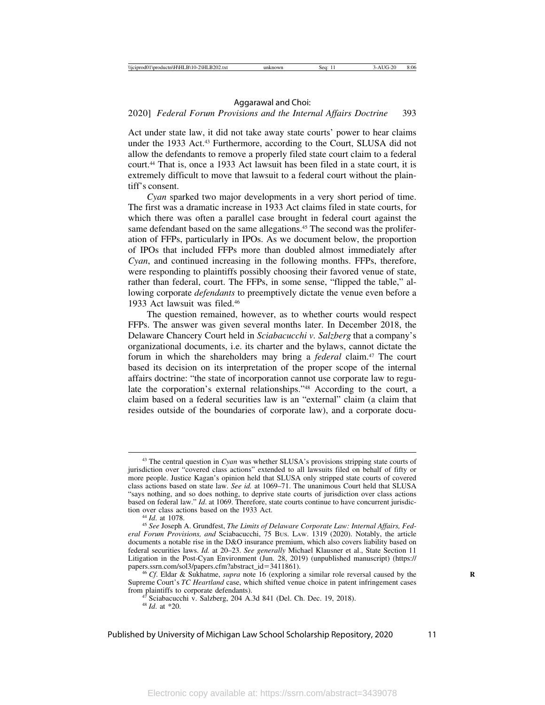### 2020] *Federal Forum Provisions and the Internal Affairs Doctrine* 393

Act under state law, it did not take away state courts' power to hear claims under the 1933 Act.43 Furthermore, according to the Court, SLUSA did not allow the defendants to remove a properly filed state court claim to a federal court.44 That is, once a 1933 Act lawsuit has been filed in a state court, it is extremely difficult to move that lawsuit to a federal court without the plaintiff's consent.

*Cyan* sparked two major developments in a very short period of time. The first was a dramatic increase in 1933 Act claims filed in state courts, for which there was often a parallel case brought in federal court against the same defendant based on the same allegations.<sup>45</sup> The second was the proliferation of FFPs, particularly in IPOs. As we document below, the proportion of IPOs that included FFPs more than doubled almost immediately after *Cyan*, and continued increasing in the following months. FFPs, therefore, were responding to plaintiffs possibly choosing their favored venue of state, rather than federal, court. The FFPs, in some sense, "flipped the table," allowing corporate *defendants* to preemptively dictate the venue even before a 1933 Act lawsuit was filed.46

The question remained, however, as to whether courts would respect FFPs. The answer was given several months later. In December 2018, the Delaware Chancery Court held in *Sciabacucchi v. Salzberg* that a company's organizational documents, i.e. its charter and the bylaws, cannot dictate the forum in which the shareholders may bring a *federal* claim.47 The court based its decision on its interpretation of the proper scope of the internal affairs doctrine: "the state of incorporation cannot use corporate law to regulate the corporation's external relationships."48 According to the court, a claim based on a federal securities law is an "external" claim (a claim that resides outside of the boundaries of corporate law), and a corporate docu-

<sup>43</sup> The central question in *Cyan* was whether SLUSA's provisions stripping state courts of jurisdiction over "covered class actions" extended to all lawsuits filed on behalf of fifty or more people. Justice Kagan's opinion held that SLUSA only stripped state courts of covered class actions based on state law. *See id.* at 1069–71. The unanimous Court held that SLUSA "says nothing, and so does nothing, to deprive state courts of jurisdiction over class actions based on federal law." *Id*. at 1069. Therefore, state courts continue to have concurrent jurisdiction over class actions based on the 1933 Act.

<sup>&</sup>lt;sup>44</sup> Id. at 1078.<br><sup>45</sup> *See* Joseph A. Grundfest, *The Limits of Delaware Corporate Law: Internal Affairs, Federal Forum Provisions, and* Sciabacucchi, 75 BUS. LAW. 1319 (2020). Notably, the article documents a notable rise in the D&O insurance premium, which also covers liability based on federal securities laws. *Id.* at 20–23. *See generally* Michael Klausner et al., State Section 11 Litigation in the Post-Cyan Environment (Jun. 28, 2019) (unpublished manuscript) (https://<br>papers.ssrn.com/sol3/papers.cfm?abstract\_id=3411861).

<sup>&</sup>lt;sup>46</sup> *Cf.* Eldar & Sukhatme, *supra* note 16 (exploring a similar role reversal caused by the Supreme Court's *TC Heartland* case, which shifted venue choice in patent infringement cases from plaintiffs to corporate defendants).

<sup>&</sup>lt;sup>47</sup> Sciabacucchi v. Salzberg, 204 A.3d 841 (Del. Ch. Dec. 19, 2018).  $^{48}$  *Id.* at \*20.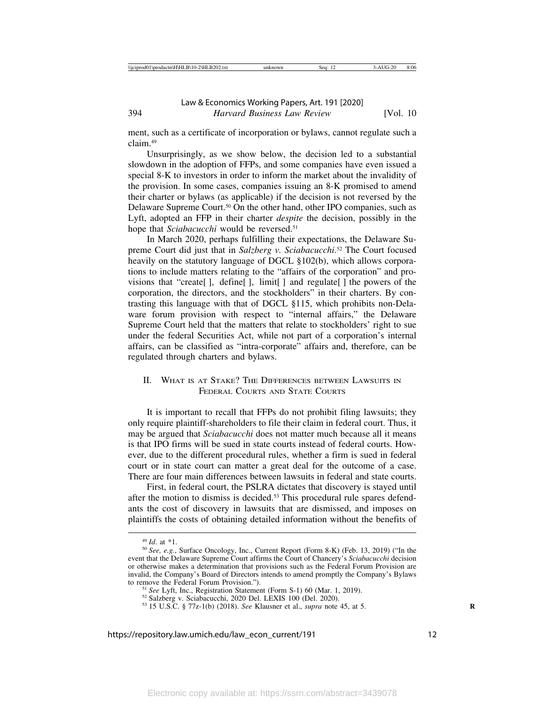ment, such as a certificate of incorporation or bylaws, cannot regulate such a claim.49

Unsurprisingly, as we show below, the decision led to a substantial slowdown in the adoption of FFPs, and some companies have even issued a special 8-K to investors in order to inform the market about the invalidity of the provision. In some cases, companies issuing an 8-K promised to amend their charter or bylaws (as applicable) if the decision is not reversed by the Delaware Supreme Court.50 On the other hand, other IPO companies, such as Lyft, adopted an FFP in their charter *despite* the decision, possibly in the hope that *Sciabacucchi* would be reversed.<sup>51</sup>

In March 2020, perhaps fulfilling their expectations, the Delaware Supreme Court did just that in *Salzberg v. Sciabacucchi*. 52 The Court focused heavily on the statutory language of DGCL §102(b), which allows corporations to include matters relating to the "affairs of the corporation" and provisions that "create[ ], define[ ], limit[ ] and regulate[ ] the powers of the corporation, the directors, and the stockholders" in their charters. By contrasting this language with that of DGCL §115, which prohibits non-Delaware forum provision with respect to "internal affairs," the Delaware Supreme Court held that the matters that relate to stockholders' right to sue under the federal Securities Act, while not part of a corporation's internal affairs, can be classified as "intra-corporate" affairs and, therefore, can be regulated through charters and bylaws.

### II. WHAT IS AT STAKE? THE DIFFERENCES BETWEEN LAWSUITS IN FEDERAL COURTS AND STATE COURTS

It is important to recall that FFPs do not prohibit filing lawsuits; they only require plaintiff-shareholders to file their claim in federal court. Thus, it may be argued that *Sciabacucchi* does not matter much because all it means is that IPO firms will be sued in state courts instead of federal courts. However, due to the different procedural rules, whether a firm is sued in federal court or in state court can matter a great deal for the outcome of a case. There are four main differences between lawsuits in federal and state courts.

First, in federal court, the PSLRA dictates that discovery is stayed until after the motion to dismiss is decided.<sup>53</sup> This procedural rule spares defendants the cost of discovery in lawsuits that are dismissed, and imposes on plaintiffs the costs of obtaining detailed information without the benefits of

<sup>49</sup> *Id*. at \*1. <sup>50</sup> *See, e.g.*, Surface Oncology, Inc., Current Report (Form 8-K) (Feb. 13, 2019) ("In the event that the Delaware Supreme Court affirms the Court of Chancery's *Sciabacucchi* decision or otherwise makes a determination that provisions such as the Federal Forum Provision are invalid, the Company's Board of Directors intends to amend promptly the Company's Bylaws to remove the Federal Forum Provision.").

<sup>&</sup>lt;sup>51</sup> See Lyft, Inc., Registration Statement (Form S-1) 60 (Mar. 1, 2019).<br><sup>52</sup> Salzberg v. Sciabacucchi, 2020 Del. LEXIS 100 (Del. 2020).<br><sup>53</sup> 15 U.S.C. § 77z-1(b) (2018). *See* Klausner et al., *supra* note 45, at 5.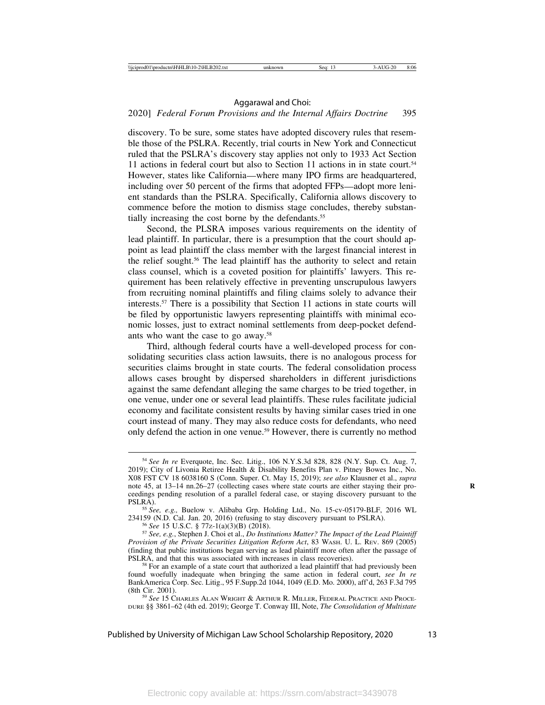### 2020] *Federal Forum Provisions and the Internal Affairs Doctrine* 395

discovery. To be sure, some states have adopted discovery rules that resemble those of the PSLRA. Recently, trial courts in New York and Connecticut ruled that the PSLRA's discovery stay applies not only to 1933 Act Section 11 actions in federal court but also to Section 11 actions in in state court.<sup>54</sup> However, states like California—where many IPO firms are headquartered, including over 50 percent of the firms that adopted FFPs—adopt more lenient standards than the PSLRA. Specifically, California allows discovery to commence before the motion to dismiss stage concludes, thereby substantially increasing the cost borne by the defendants.<sup>55</sup>

Second, the PLSRA imposes various requirements on the identity of lead plaintiff. In particular, there is a presumption that the court should appoint as lead plaintiff the class member with the largest financial interest in the relief sought.56 The lead plaintiff has the authority to select and retain class counsel, which is a coveted position for plaintiffs' lawyers. This requirement has been relatively effective in preventing unscrupulous lawyers from recruiting nominal plaintiffs and filing claims solely to advance their interests.57 There is a possibility that Section 11 actions in state courts will be filed by opportunistic lawyers representing plaintiffs with minimal economic losses, just to extract nominal settlements from deep-pocket defendants who want the case to go away.58

Third, although federal courts have a well-developed process for consolidating securities class action lawsuits, there is no analogous process for securities claims brought in state courts. The federal consolidation process allows cases brought by dispersed shareholders in different jurisdictions against the same defendant alleging the same charges to be tried together, in one venue, under one or several lead plaintiffs. These rules facilitate judicial economy and facilitate consistent results by having similar cases tried in one court instead of many. They may also reduce costs for defendants, who need only defend the action in one venue.59 However, there is currently no method

<sup>55</sup> See, e.g., Buelow v. Alibaba Grp. Holding Ltd., No. 15-cv-05179-BLF, 2016 WL 234159 (N.D. Cal. Jan. 20, 2016) (refusing to stay discovery pursuant to PSLRA).

<sup>56</sup> See 15 U.S.C. § 77z-1(a)(3)(B) (2018).<br><sup>57</sup> See, e.g., Stephen J. Choi et al., *Do Institutions Matter? The Impact of the Lead Plaintiff Provision of the Private Securities Litigation Reform Act*, 83 WASH. U. L. REV. 869 (2005) (finding that public institutions began serving as lead plaintiff more often after the passage of PSLRA, and that this was associated with increases in class recoveries). <sup>58</sup> For an example of a state court that authorized a lead plaintiff that had previously been

<sup>54</sup> *See In re* Everquote, Inc. Sec. Litig., 106 N.Y.S.3d 828, 828 (N.Y. Sup. Ct. Aug. 7, 2019); City of Livonia Retiree Health & Disability Benefits Plan v. Pitney Bowes Inc., No. X08 FST CV 18 6038160 S (Conn. Super. Ct. May 15, 2019); *see also* Klausner et al., *supra* note 45, at 13–14 nn.26–27 (collecting cases where state courts are either staying their proceedings pending resolution of a parallel federal case, or staying discovery pursuant to the

found woefully inadequate when bringing the same action in federal court, *see In re* BankAmerica Corp. Sec. Litig., 95 F.Supp.2d 1044, 1049 (E.D. Mo. 2000), aff'd, 263 F.3d 795

<sup>&</sup>lt;sup>59</sup> See 15 CHARLES ALAN WRIGHT & ARTHUR R. MILLER, FEDERAL PRACTICE AND PROCE-DURE §§ 3861–62 (4th ed. 2019); George T. Conway III, Note, *The Consolidation of Multistate*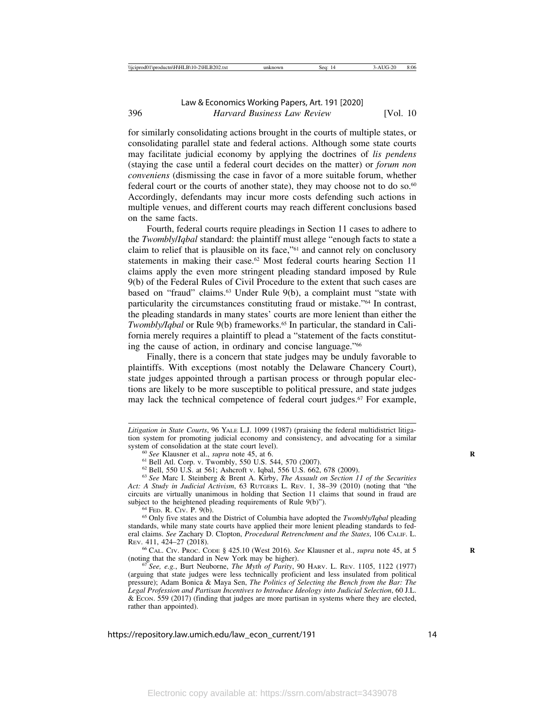for similarly consolidating actions brought in the courts of multiple states, or consolidating parallel state and federal actions. Although some state courts may facilitate judicial economy by applying the doctrines of *lis pendens* (staying the case until a federal court decides on the matter) or *forum non conveniens* (dismissing the case in favor of a more suitable forum, whether federal court or the courts of another state), they may choose not to do so.<sup>60</sup> Accordingly, defendants may incur more costs defending such actions in multiple venues, and different courts may reach different conclusions based on the same facts.

Fourth, federal courts require pleadings in Section 11 cases to adhere to the *Twombly*/*Iqbal* standard: the plaintiff must allege "enough facts to state a claim to relief that is plausible on its face,"61 and cannot rely on conclusory statements in making their case.<sup>62</sup> Most federal courts hearing Section 11 claims apply the even more stringent pleading standard imposed by Rule 9(b) of the Federal Rules of Civil Procedure to the extent that such cases are based on "fraud" claims.63 Under Rule 9(b), a complaint must "state with particularity the circumstances constituting fraud or mistake."64 In contrast, the pleading standards in many states' courts are more lenient than either the *Twombly/Iqbal* or Rule 9(b) frameworks.<sup>65</sup> In particular, the standard in California merely requires a plaintiff to plead a "statement of the facts constituting the cause of action, in ordinary and concise language."66

Finally, there is a concern that state judges may be unduly favorable to plaintiffs. With exceptions (most notably the Delaware Chancery Court), state judges appointed through a partisan process or through popular elections are likely to be more susceptible to political pressure, and state judges may lack the technical competence of federal court judges.67 For example,

<sup>64</sup> FED. R. CIv. P. 9(b). **64** FED. R. CIV. P. 9(b). 65 Only five states and the District of Columbia have adopted the *Twombly/Iqbal* pleading standards, while many state courts have applied their more lenient pleading standards to federal claims. *See* Zachary D. Clopton, *Procedural Retrenchment and the States*, 106 CALIF. L.

REV. 411, 424–27 (2018). <sup>66</sup> CAL. CIV. PROC. CODE § 425.10 (West 2016). *See* Klausner et al., *supra* note 45, at 5 **<sup>R</sup>** (noting that the standard in New York may be higher). <sup>67</sup> *See, e.g.*, Burt Neuborne, *The Myth of Parity*, 90 HARV. L. REV. 1105, 1122 (1977)

*Litigation in State Courts*, 96 YALE L.J. 1099 (1987) (praising the federal multidistrict litigation system for promoting judicial economy and consistency, and advocating for a similar system of consolidation at the state court level).

<sup>&</sup>lt;sup>60</sup> See Klausner et al., *supra* note 45, at 6.<br><sup>61</sup> Bell Atl. Corp. v. Twombly, 550 U.S. 544, 570 (2007).<br><sup>62</sup> Bell, 550 U.S. at 561; Ashcroft v. Iqbal, 556 U.S. 662, 678 (2009).<br><sup>63</sup> See Marc I. Steinberg & Brent A. Ki *Act: A Study in Judicial Activism*, 63 RUTGERS L. REV. 1, 38–39 (2010) (noting that "the circuits are virtually unanimous in holding that Section 11 claims that sound in fraud are subject to the heightened pleading requirements of Rule  $9(b)$ .

<sup>(</sup>arguing that state judges were less technically proficient and less insulated from political pressure); Adam Bonica & Maya Sen, *The Politics of Selecting the Bench from the Bar: The Legal Profession and Partisan Incentives to Introduce Ideology into Judicial Selection*, 60 J.L. & ECON. 559 (2017) (finding that judges are more partisan in systems where they are elected, rather than appointed).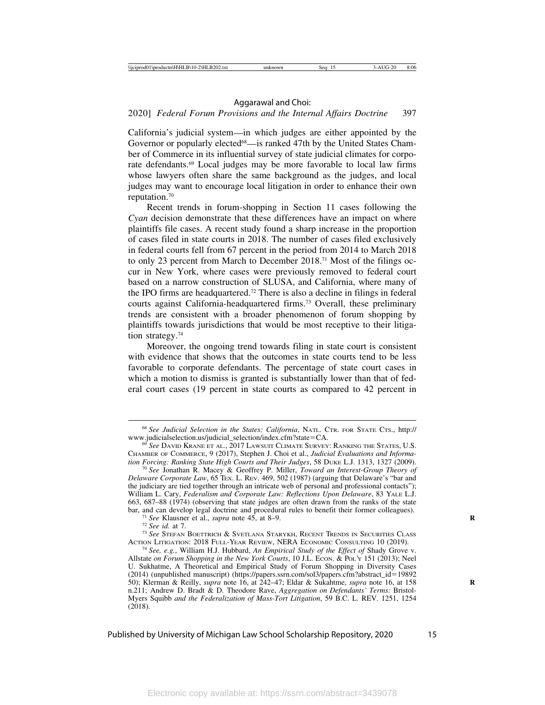### 2020] *Federal Forum Provisions and the Internal Affairs Doctrine* 397

California's judicial system—in which judges are either appointed by the Governor or popularly elected<sup>68</sup>—is ranked 47th by the United States Chamber of Commerce in its influential survey of state judicial climates for corporate defendants.69 Local judges may be more favorable to local law firms whose lawyers often share the same background as the judges, and local judges may want to encourage local litigation in order to enhance their own reputation.70

Recent trends in forum-shopping in Section 11 cases following the *Cyan* decision demonstrate that these differences have an impact on where plaintiffs file cases. A recent study found a sharp increase in the proportion of cases filed in state courts in 2018. The number of cases filed exclusively in federal courts fell from 67 percent in the period from 2014 to March 2018 to only 23 percent from March to December 2018.71 Most of the filings occur in New York, where cases were previously removed to federal court based on a narrow construction of SLUSA, and California, where many of the IPO firms are headquartered.72 There is also a decline in filings in federal courts against California-headquartered firms.73 Overall, these preliminary trends are consistent with a broader phenomenon of forum shopping by plaintiffs towards jurisdictions that would be most receptive to their litigation strategy.<sup>74</sup>

Moreover, the ongoing trend towards filing in state court is consistent with evidence that shows that the outcomes in state courts tend to be less favorable to corporate defendants. The percentage of state court cases in which a motion to dismiss is granted is substantially lower than that of federal court cases (19 percent in state courts as compared to 42 percent in

<sup>68</sup> *See Judicial Selection in the States: California*, NATL. CTR. FOR STATE CTS., http://

<sup>&</sup>lt;sup>69</sup> See DAVID KRANE ET AL., 2017 LAWSUIT CLIMATE SURVEY: RANKING THE STATES, U.S. CHAMBER OF COMMERCE, 9 (2017), Stephen J. Choi et al., *Judicial Evaluations and Informa-*

<sup>&</sup>lt;sup>70</sup> See Jonathan R. Macey & Geoffrey P. Miller, *Toward an Interest-Group Theory of Delaware Corporate Law*, 65 TEX. L. REV. 469, 502 (1987) (arguing that Delaware's "bar and the judiciary are tied together through an intricate web of personal and professional contacts"); William L. Cary, *Federalism and Corporate Law: Reflections Upon Delaware*, 83 YALE L.J. 663, 687–88 (1974) (observing that state judges are often drawn from the ranks of the state

<sup>&</sup>lt;sup>71</sup> See Klausner et al., *supra* note 45, at 8–9.<br><sup>72</sup> See id. at 7.<br><sup>73</sup> See Stefan Boettrich & Svetlana Starykh, Recent Trends in Securities Class<br>Action Litigation: 2018 Full-Year Review, NERA Economic Consulting 10 (

<sup>&</sup>lt;sup>74</sup> See, e.g., William H.J. Hubbard, *An Empirical Study of the Effect of* Shady Grove v. Allstate *on Forum Shopping in the New York Courts*, 10 J.L. ECON. & POL'Y 151 (2013); Neel U. Sukhatme, A Theoretical and Empirical Study of Forum Shopping in Diversity Cases (2014) (unpublished manuscript) (https://papers.ssrn.com/sol3/papers.cfm?abstract\_id=19892 50); Klerman & Reilly, *supra* note 16, at 242–47; Eldar & Sukahtme, *supra* note 16, at 158 **R** n.211; Andrew D. Bradt & D. Theodore Rave, *Aggregation on Defendants' Terms:* Bristol-Myers Squibb *and the Federalization of Mass-Tort Litigation*, 59 B.C. L. REV. 1251, 1254 (2018).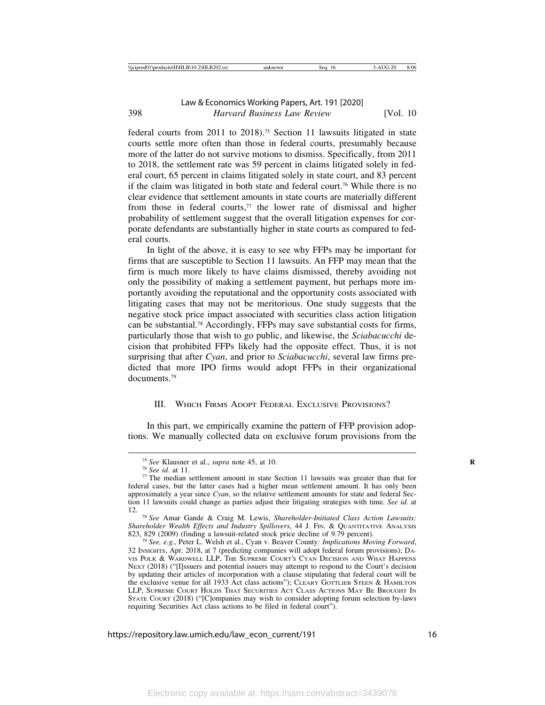federal courts from 2011 to 2018).75 Section 11 lawsuits litigated in state courts settle more often than those in federal courts, presumably because more of the latter do not survive motions to dismiss. Specifically, from 2011 to 2018, the settlement rate was 59 percent in claims litigated solely in federal court, 65 percent in claims litigated solely in state court, and 83 percent if the claim was litigated in both state and federal court.76 While there is no clear evidence that settlement amounts in state courts are materially different from those in federal courts, $77$  the lower rate of dismissal and higher probability of settlement suggest that the overall litigation expenses for corporate defendants are substantially higher in state courts as compared to federal courts.

In light of the above, it is easy to see why FFPs may be important for firms that are susceptible to Section 11 lawsuits. An FFP may mean that the firm is much more likely to have claims dismissed, thereby avoiding not only the possibility of making a settlement payment, but perhaps more importantly avoiding the reputational and the opportunity costs associated with litigating cases that may not be meritorious. One study suggests that the negative stock price impact associated with securities class action litigation can be substantial.78 Accordingly, FFPs may save substantial costs for firms, particularly those that wish to go public, and likewise, the *Sciabacucchi* decision that prohibited FFPs likely had the opposite effect. Thus, it is not surprising that after *Cyan*, and prior to *Sciabacucchi*, several law firms predicted that more IPO firms would adopt FFPs in their organizational documents<sup>79</sup>

### III. WHICH FIRMS ADOPT FEDERAL EXCLUSIVE PROVISIONS?

In this part, we empirically examine the pattern of FFP provision adoptions. We manually collected data on exclusive forum provisions from the

<sup>&</sup>lt;sup>75</sup> *See* Klausner et al., *supra* note 45, at 10.<br><sup>76</sup> *See id.* at 11.<br><sup>77</sup> The median settlement amount in state Section 11 lawsuits was greater than that for federal cases, but the latter cases had a higher mean settlement amount. It has only been approximately a year since *Cyan*, so the relative settlement amounts for state and federal Section 11 lawsuits could change as parties adjust their litigating strategies with time. *See id.* at 12. <sup>78</sup> *See* Amar Gande & Craig M. Lewis, *Shareholder-Initiated Class Action Lawsuits:*

*Shareholder Wealth Effects and Industry Spillovers*, 44 J. FIN. & QUANTITATIVE ANALYSIS 823, 829 (2009) (finding a lawsuit-related stock price decline of 9.79 percent).

<sup>&</sup>lt;sup>79</sup> See, e.g., Peter L. Welsh et al., Cyan v. Beaver County: Implications Moving Forward, 32 INSIGHTS, Apr. 2018, at 7 (predicting companies will adopt federal forum provisions); DA-VIS POLK & WARDWELL LLP, THE SUPREME COURT'S CYAN DECISION AND WHAT HAPPENS NEXT (2018) ("[I]ssuers and potential issuers may attempt to respond to the Court's decision by updating their articles of incorporation with a clause stipulating that federal court will be the exclusive venue for all 1933 Act class actions"); CLEARY GOTTLIEB STEEN & HAMILTON LLP, SUPREME COURT HOLDS THAT SECURITIES ACT CLASS ACTIONS MAY BE BROUGHT IN STATE COURT (2018) ("[C]ompanies may wish to consider adopting forum selection by-laws requiring Securities Act class actions to be filed in federal court").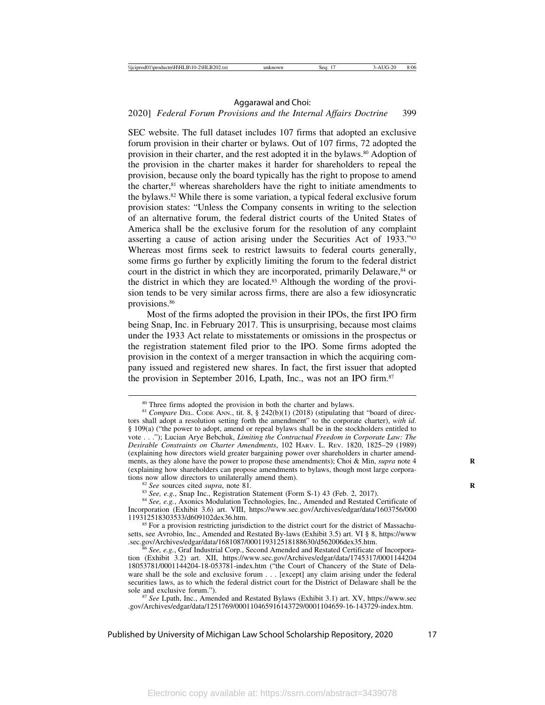### 2020] *Federal Forum Provisions and the Internal Affairs Doctrine* 399

SEC website. The full dataset includes 107 firms that adopted an exclusive forum provision in their charter or bylaws. Out of 107 firms, 72 adopted the provision in their charter, and the rest adopted it in the bylaws.80 Adoption of the provision in the charter makes it harder for shareholders to repeal the provision, because only the board typically has the right to propose to amend the charter, $81$  whereas shareholders have the right to initiate amendments to the bylaws.82 While there is some variation, a typical federal exclusive forum provision states: "Unless the Company consents in writing to the selection of an alternative forum, the federal district courts of the United States of America shall be the exclusive forum for the resolution of any complaint asserting a cause of action arising under the Securities Act of 1933."83 Whereas most firms seek to restrict lawsuits to federal courts generally, some firms go further by explicitly limiting the forum to the federal district court in the district in which they are incorporated, primarily Delaware,<sup>84</sup> or the district in which they are located.85 Although the wording of the provision tends to be very similar across firms, there are also a few idiosyncratic provisions.86

Most of the firms adopted the provision in their IPOs, the first IPO firm being Snap, Inc. in February 2017. This is unsurprising, because most claims under the 1933 Act relate to misstatements or omissions in the prospectus or the registration statement filed prior to the IPO. Some firms adopted the provision in the context of a merger transaction in which the acquiring company issued and registered new shares. In fact, the first issuer that adopted the provision in September 2016, Lpath, Inc., was not an IPO firm.<sup>87</sup>

<sup>80</sup> Three firms adopted the provision in both the charter and bylaws. <sup>81</sup> *Compare* DEL. CODE ANN., tit. 8, § 242(b)(1) (2018) (stipulating that "board of directors shall adopt a resolution setting forth the amendment" to the corporate charter), *with id.* § 109(a) ("the power to adopt, amend or repeal bylaws shall be in the stockholders entitled to vote . . ."); Lucian Arye Bebchuk, *Limiting the Contractual Freedom in Corporate Law: The Desirable Constraints on Charter Amendments*, 102 HARV. L. REV. 1820, 1825–29 (1989) (explaining how directors wield greater bargaining power over shareholders in charter amendments, as they alone have the power to propose these amendments); Choi & Min, *supra* note 4 **R** (explaining how shareholders can propose amendments to bylaws, though most large corpora-

<sup>&</sup>lt;sup>82</sup> See sources cited *supra*, note 81.<br><sup>83</sup> See, e.g., Snap Inc., Registration Statement (Form S-1) 43 (Feb. 2, 2017).<br><sup>84</sup> See, e.g., Axonics Modulation Technologies, Inc., Amended and Restated Certificate of

Incorporation (Exhibit 3.6) art. VIII, https://www.sec.gov/Archives/edgar/data/1603756/000

 $85$  For a provision restricting jurisdiction to the district court for the district of Massachusetts, see Avrobio, Inc., Amended and Restated By-laws (Exhibit 3.5) art. VI § 8, https://www.<br>sec.gov/Archives/edgar/data/1681087/000119312518188630/d562006dex35.htm.

<sup>&</sup>lt;sup>6</sup> See, e.g., Graf Industrial Corp., Second Amended and Restated Certificate of Incorporation (Exhibit 3.2) art. XII, https://www.sec.gov/Archives/edgar/data/1745317/0001144204 18053781/0001144204-18-053781-index.htm ("the Court of Chancery of the State of Delaware shall be the sole and exclusive forum . . . [except] any claim arising under the federal securities laws, as to which the federal district court for the District of Delaware shall be the sole and exclusive forum.").

<sup>&</sup>lt;sup>87</sup> *See* Lpath, Inc., Amended and Restated Bylaws (Exhibit 3.1) art. XV, https://www.sec .gov/Archives/edgar/data/1251769/000110465916143729/0001104659-16-143729-index.htm.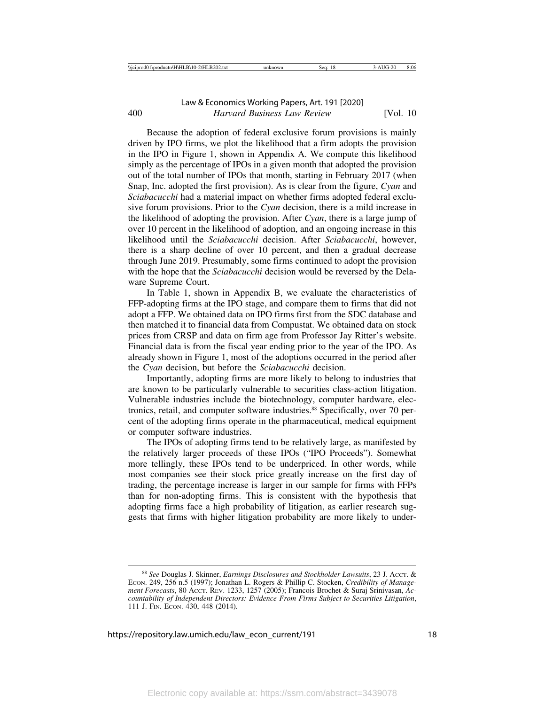Because the adoption of federal exclusive forum provisions is mainly driven by IPO firms, we plot the likelihood that a firm adopts the provision in the IPO in Figure 1, shown in Appendix A. We compute this likelihood simply as the percentage of IPOs in a given month that adopted the provision out of the total number of IPOs that month, starting in February 2017 (when Snap, Inc. adopted the first provision). As is clear from the figure, *Cyan* and *Sciabacucchi* had a material impact on whether firms adopted federal exclusive forum provisions. Prior to the *Cyan* decision, there is a mild increase in the likelihood of adopting the provision. After *Cyan*, there is a large jump of over 10 percent in the likelihood of adoption, and an ongoing increase in this likelihood until the *Sciabacucchi* decision. After *Sciabacucchi*, however, there is a sharp decline of over 10 percent, and then a gradual decrease through June 2019. Presumably, some firms continued to adopt the provision with the hope that the *Sciabacucchi* decision would be reversed by the Delaware Supreme Court.

In Table 1, shown in Appendix B, we evaluate the characteristics of FFP-adopting firms at the IPO stage, and compare them to firms that did not adopt a FFP. We obtained data on IPO firms first from the SDC database and then matched it to financial data from Compustat. We obtained data on stock prices from CRSP and data on firm age from Professor Jay Ritter's website. Financial data is from the fiscal year ending prior to the year of the IPO. As already shown in Figure 1, most of the adoptions occurred in the period after the *Cyan* decision, but before the *Sciabacucchi* decision.

Importantly, adopting firms are more likely to belong to industries that are known to be particularly vulnerable to securities class-action litigation. Vulnerable industries include the biotechnology, computer hardware, electronics, retail, and computer software industries.<sup>88</sup> Specifically, over 70 percent of the adopting firms operate in the pharmaceutical, medical equipment or computer software industries.

The IPOs of adopting firms tend to be relatively large, as manifested by the relatively larger proceeds of these IPOs ("IPO Proceeds"). Somewhat more tellingly, these IPOs tend to be underpriced. In other words, while most companies see their stock price greatly increase on the first day of trading, the percentage increase is larger in our sample for firms with FFPs than for non-adopting firms. This is consistent with the hypothesis that adopting firms face a high probability of litigation, as earlier research suggests that firms with higher litigation probability are more likely to under-

<sup>88</sup> *See* Douglas J. Skinner, *Earnings Disclosures and Stockholder Lawsuits*, 23 J. ACCT. & ECON. 249, 256 n.5 (1997); Jonathan L. Rogers & Phillip C. Stocken, *Credibility of Management Forecasts*, 80 ACCT. REV. 1233, 1257 (2005); Francois Brochet & Suraj Srinivasan, *Accountability of Independent Directors: Evidence From Firms Subject to Securities Litigation*, 111 J. FIN. ECON. 430, 448 (2014).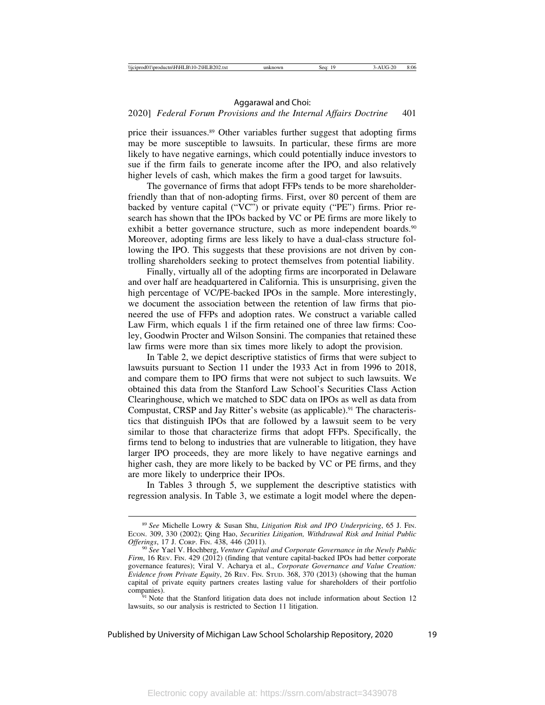### 2020] *Federal Forum Provisions and the Internal Affairs Doctrine* 401

price their issuances.89 Other variables further suggest that adopting firms may be more susceptible to lawsuits. In particular, these firms are more likely to have negative earnings, which could potentially induce investors to sue if the firm fails to generate income after the IPO, and also relatively higher levels of cash, which makes the firm a good target for lawsuits.

The governance of firms that adopt FFPs tends to be more shareholderfriendly than that of non-adopting firms. First, over 80 percent of them are backed by venture capital ("VC") or private equity ("PE") firms. Prior research has shown that the IPOs backed by VC or PE firms are more likely to exhibit a better governance structure, such as more independent boards.<sup>90</sup> Moreover, adopting firms are less likely to have a dual-class structure following the IPO. This suggests that these provisions are not driven by controlling shareholders seeking to protect themselves from potential liability.

Finally, virtually all of the adopting firms are incorporated in Delaware and over half are headquartered in California. This is unsurprising, given the high percentage of VC/PE-backed IPOs in the sample. More interestingly, we document the association between the retention of law firms that pioneered the use of FFPs and adoption rates. We construct a variable called Law Firm, which equals 1 if the firm retained one of three law firms: Cooley, Goodwin Procter and Wilson Sonsini. The companies that retained these law firms were more than six times more likely to adopt the provision.

In Table 2, we depict descriptive statistics of firms that were subject to lawsuits pursuant to Section 11 under the 1933 Act in from 1996 to 2018, and compare them to IPO firms that were not subject to such lawsuits. We obtained this data from the Stanford Law School's Securities Class Action Clearinghouse, which we matched to SDC data on IPOs as well as data from Compustat, CRSP and Jay Ritter's website (as applicable).<sup>91</sup> The characteristics that distinguish IPOs that are followed by a lawsuit seem to be very similar to those that characterize firms that adopt FFPs. Specifically, the firms tend to belong to industries that are vulnerable to litigation, they have larger IPO proceeds, they are more likely to have negative earnings and higher cash, they are more likely to be backed by VC or PE firms, and they are more likely to underprice their IPOs.

In Tables 3 through 5, we supplement the descriptive statistics with regression analysis. In Table 3, we estimate a logit model where the depen-

<sup>89</sup> *See* Michelle Lowry & Susan Shu, *Litigation Risk and IPO Underpricing*, 65 J. FIN. ECON. 309, 330 (2002); Qing Hao, *Securities Litigation, Withdrawal Risk and Initial Public*

<sup>&</sup>lt;sup>90</sup> See Yael V. Hochberg, *Venture Capital and Corporate Governance in the Newly Public Firm*, 16 REV. FIN. 429 (2012) (finding that venture capital-backed IPOs had better corporate governance features); Viral V. Acharya et al., *Corporate Governance and Value Creation: Evidence from Private Equity*, 26 REV. FIN. STUD. 368, 370 (2013) (showing that the human capital of private equity partners creates lasting value for shareholders of their portfolio companies).<br><sup>91</sup> Note that the Stanford litigation data does not include information about Section 12

lawsuits, so our analysis is restricted to Section 11 litigation.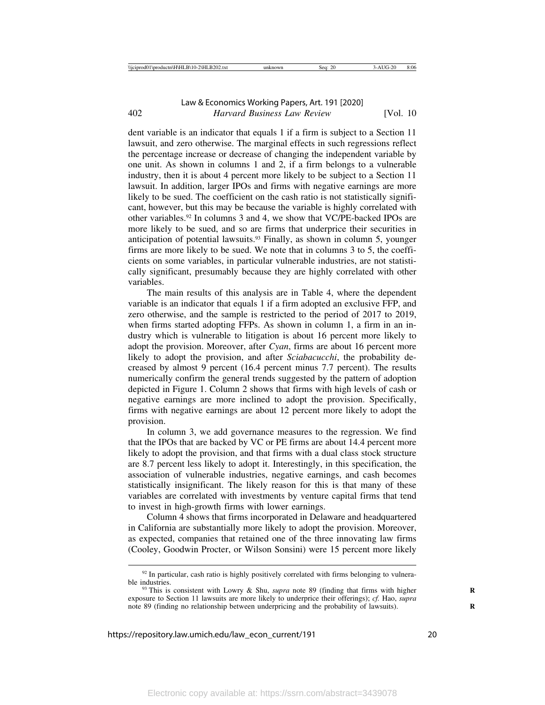dent variable is an indicator that equals 1 if a firm is subject to a Section 11 lawsuit, and zero otherwise. The marginal effects in such regressions reflect the percentage increase or decrease of changing the independent variable by one unit. As shown in columns 1 and 2, if a firm belongs to a vulnerable industry, then it is about 4 percent more likely to be subject to a Section 11 lawsuit. In addition, larger IPOs and firms with negative earnings are more likely to be sued. The coefficient on the cash ratio is not statistically significant, however, but this may be because the variable is highly correlated with other variables.92 In columns 3 and 4, we show that VC/PE-backed IPOs are more likely to be sued, and so are firms that underprice their securities in anticipation of potential lawsuits.<sup>93</sup> Finally, as shown in column 5, younger firms are more likely to be sued. We note that in columns 3 to 5, the coefficients on some variables, in particular vulnerable industries, are not statistically significant, presumably because they are highly correlated with other variables.

The main results of this analysis are in Table 4, where the dependent variable is an indicator that equals 1 if a firm adopted an exclusive FFP, and zero otherwise, and the sample is restricted to the period of 2017 to 2019, when firms started adopting FFPs. As shown in column 1, a firm in an industry which is vulnerable to litigation is about 16 percent more likely to adopt the provision. Moreover, after *Cyan*, firms are about 16 percent more likely to adopt the provision, and after *Sciabacucchi*, the probability decreased by almost 9 percent (16.4 percent minus 7.7 percent). The results numerically confirm the general trends suggested by the pattern of adoption depicted in Figure 1. Column 2 shows that firms with high levels of cash or negative earnings are more inclined to adopt the provision. Specifically, firms with negative earnings are about 12 percent more likely to adopt the provision.

In column 3, we add governance measures to the regression. We find that the IPOs that are backed by VC or PE firms are about 14.4 percent more likely to adopt the provision, and that firms with a dual class stock structure are 8.7 percent less likely to adopt it. Interestingly, in this specification, the association of vulnerable industries, negative earnings, and cash becomes statistically insignificant. The likely reason for this is that many of these variables are correlated with investments by venture capital firms that tend to invest in high-growth firms with lower earnings.

Column 4 shows that firms incorporated in Delaware and headquartered in California are substantially more likely to adopt the provision. Moreover, as expected, companies that retained one of the three innovating law firms (Cooley, Goodwin Procter, or Wilson Sonsini) were 15 percent more likely

 $92$  In particular, cash ratio is highly positively correlated with firms belonging to vulnerable industries.<br><sup>93</sup> This is consistent with Lowry & Shu, *supra* note 89 (finding that firms with higher

exposure to Section 11 lawsuits are more likely to underprice their offerings); *cf.* Hao, *supra* note 89 (finding no relationship between underpricing and the probability of lawsuits). **R**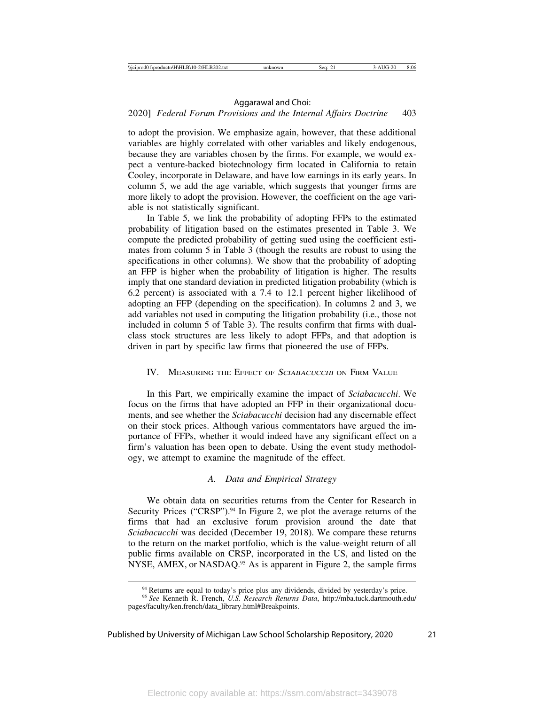### 2020] *Federal Forum Provisions and the Internal Affairs Doctrine* 403

to adopt the provision. We emphasize again, however, that these additional variables are highly correlated with other variables and likely endogenous, because they are variables chosen by the firms. For example, we would expect a venture-backed biotechnology firm located in California to retain Cooley, incorporate in Delaware, and have low earnings in its early years. In column 5, we add the age variable, which suggests that younger firms are more likely to adopt the provision. However, the coefficient on the age variable is not statistically significant.

In Table 5, we link the probability of adopting FFPs to the estimated probability of litigation based on the estimates presented in Table 3. We compute the predicted probability of getting sued using the coefficient estimates from column 5 in Table 3 (though the results are robust to using the specifications in other columns). We show that the probability of adopting an FFP is higher when the probability of litigation is higher. The results imply that one standard deviation in predicted litigation probability (which is 6.2 percent) is associated with a 7.4 to 12.1 percent higher likelihood of adopting an FFP (depending on the specification). In columns 2 and 3, we add variables not used in computing the litigation probability (i.e., those not included in column 5 of Table 3). The results confirm that firms with dualclass stock structures are less likely to adopt FFPs, and that adoption is driven in part by specific law firms that pioneered the use of FFPs.

### IV. MEASURING THE EFFECT OF SCIABACUCCHI ON FIRM VALUE

In this Part, we empirically examine the impact of *Sciabacucchi*. We focus on the firms that have adopted an FFP in their organizational documents, and see whether the *Sciabacucchi* decision had any discernable effect on their stock prices. Although various commentators have argued the importance of FFPs, whether it would indeed have any significant effect on a firm's valuation has been open to debate. Using the event study methodology, we attempt to examine the magnitude of the effect.

### *A. Data and Empirical Strategy*

We obtain data on securities returns from the Center for Research in Security Prices ("CRSP").<sup>94</sup> In Figure 2, we plot the average returns of the firms that had an exclusive forum provision around the date that *Sciabacucchi* was decided (December 19, 2018). We compare these returns to the return on the market portfolio, which is the value-weight return of all public firms available on CRSP, incorporated in the US, and listed on the NYSE, AMEX, or NASDAQ.<sup>95</sup> As is apparent in Figure 2, the sample firms

<sup>&</sup>lt;sup>94</sup> Returns are equal to today's price plus any dividends, divided by yesterday's price.<br><sup>95</sup> *See* Kenneth R. French, *U.S. Research Returns Data*, http://mba.tuck.dartmouth.edu/

pages/faculty/ken.french/data\_library.html#Breakpoints.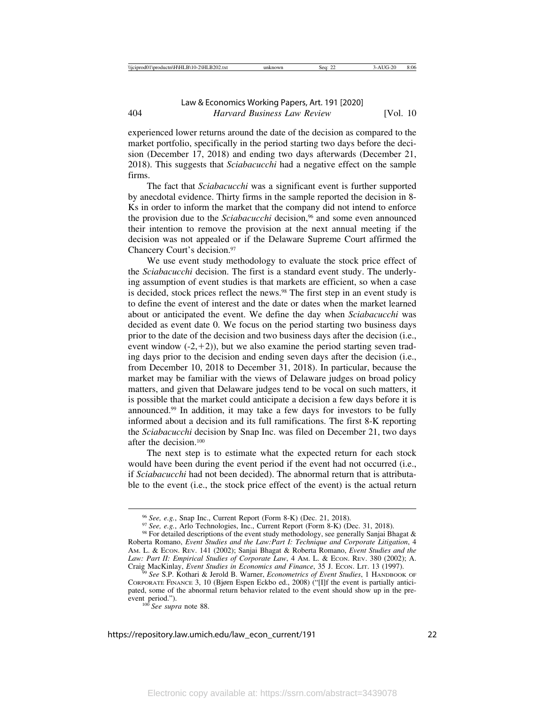experienced lower returns around the date of the decision as compared to the market portfolio, specifically in the period starting two days before the decision (December 17, 2018) and ending two days afterwards (December 21, 2018). This suggests that *Sciabacucchi* had a negative effect on the sample firms.

The fact that *Sciabacucchi* was a significant event is further supported by anecdotal evidence. Thirty firms in the sample reported the decision in 8- Ks in order to inform the market that the company did not intend to enforce the provision due to the *Sciabacucchi* decision,<sup>96</sup> and some even announced their intention to remove the provision at the next annual meeting if the decision was not appealed or if the Delaware Supreme Court affirmed the Chancery Court's decision.97

We use event study methodology to evaluate the stock price effect of the *Sciabacucchi* decision. The first is a standard event study. The underlying assumption of event studies is that markets are efficient, so when a case is decided, stock prices reflect the news.98 The first step in an event study is to define the event of interest and the date or dates when the market learned about or anticipated the event. We define the day when *Sciabacucchi* was decided as event date 0. We focus on the period starting two business days prior to the date of the decision and two business days after the decision (i.e., event window  $(-2, +2)$ ), but we also examine the period starting seven trading days prior to the decision and ending seven days after the decision (i.e., from December 10, 2018 to December 31, 2018). In particular, because the market may be familiar with the views of Delaware judges on broad policy matters, and given that Delaware judges tend to be vocal on such matters, it is possible that the market could anticipate a decision a few days before it is announced.99 In addition, it may take a few days for investors to be fully informed about a decision and its full ramifications. The first 8-K reporting the *Sciabacucchi* decision by Snap Inc. was filed on December 21, two days after the decision.100

The next step is to estimate what the expected return for each stock would have been during the event period if the event had not occurred (i.e., if *Sciabacucchi* had not been decided). The abnormal return that is attributable to the event (i.e., the stock price effect of the event) is the actual return

<sup>100</sup> See supra note 88.

<sup>&</sup>lt;sup>96</sup> See, e.g., Snap Inc., Current Report (Form 8-K) (Dec. 21, 2018).<br><sup>97</sup> See, e.g., Arlo Technologies, Inc., Current Report (Form 8-K) (Dec. 31, 2018).<br><sup>98</sup> For detailed descriptions of the event study methodology, see

Roberta Romano, *Event Studies and the Law:Part I: Technique and Corporate Litigation*, 4 AM. L. & ECON. REV. 141 (2002); Sanjai Bhagat & Roberta Romano, *Event Studies and the Law: Part II: Empirical Studies of Corporate Law*, 4 Am. L. & Econ. Rev. 380 (2002); A. Craig MacKinlay, *Event Studies in Economics and Finance*, 35 J. Econ. Lrr. 13 (1997).

<sup>&</sup>lt;sup>99</sup> See S.P. Kothari & Jerold B. Warner, *Econometrics of Event Studies*, 1 HANDBOOK OF CORPORATE FINANCE 3, 10 (Bjørn Espen Eckbo ed., 2008) ("[I]f the event is partially anticipated, some of the abnormal return behavior related to the event should show up in the pre-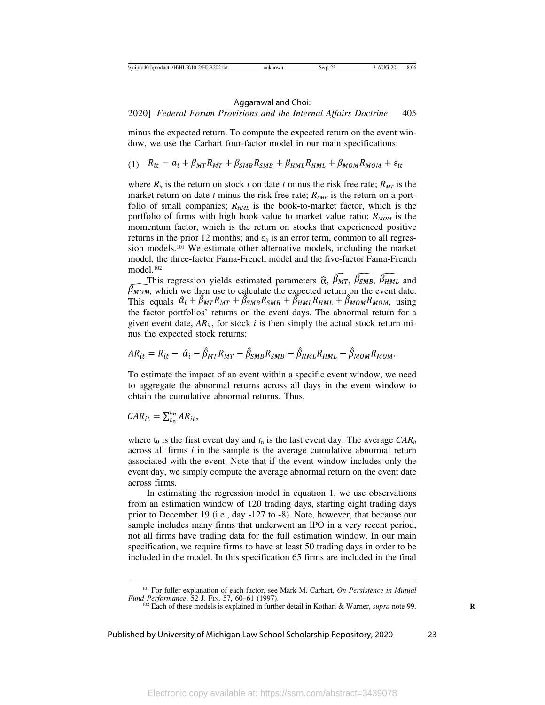minus the expected return. To compute the expected return on the event window, we use the Carhart four-factor model in our main specifications:

$$
(1) \quad R_{it} = a_i + \beta_{MT} R_{MT} + \beta_{SMB} R_{SMB} + \beta_{HML} R_{HML} + \beta_{MOM} R_{MOM} + \varepsilon_{it}
$$

where  $R_{it}$  is the return on stock *i* on date *t* minus the risk free rate;  $R_{MT}$  is the market return on date  $t$  minus the risk free rate;  $R_{SMB}$  is the return on a portfolio of small companies;  $R_{HML}$  is the book-to-market factor, which is the portfolio of firms with high book value to market value ratio;  $R_{MOM}$  is the momentum factor, which is the return on stocks that experienced positive returns in the prior 12 months; and  $\varepsilon_{it}$  is an error term, common to all regression models.101 We estimate other alternative models, including the market model, the three-factor Fama-French model and the five-factor Fama-French model.102

This regression yields estimated parameters  $\hat{\alpha}$ ,  $\beta_{MT}$ ,  $\overline{\beta_{SMB}}$ ,  $\overline{\beta_{HML}}$  and  $\beta$ <sub>MOM</sub>, which we then use to calculate the expected return on the event date. This equals  $\hat{\alpha}_i + \hat{\beta}_{MT}R_{MT} + \hat{\beta}_{SMB}R_{SMB} + \hat{\beta}_{HML}R_{HML} + \hat{\beta}_{MOM}R_{MOM}$ , using the factor portfolios' returns on the event days. The abnormal return for a given event date,  $AR_{it}$ , for stock *i* is then simply the actual stock return minus the expected stock returns:

$$
AR_{it} = R_{it} - \hat{a}_i - \hat{\beta}_{MT}R_{MT} - \hat{\beta}_{SMB}R_{SMB} - \hat{\beta}_{HML}R_{HML} - \hat{\beta}_{MOM}R_{MOM}.
$$

To estimate the impact of an event within a specific event window, we need to aggregate the abnormal returns across all days in the event window to obtain the cumulative abnormal returns. Thus,

$$
CAR_{it} = \sum_{t_0}^{t_n} AR_{it},
$$

where  $t_0$  is the first event day and  $t_n$  is the last event day. The average  $CAR_{it}$ across all firms *i* in the sample is the average cumulative abnormal return associated with the event. Note that if the event window includes only the event day, we simply compute the average abnormal return on the event date across firms.

In estimating the regression model in equation 1, we use observations from an estimation window of 120 trading days, starting eight trading days prior to December 19 (i.e., day -127 to -8). Note, however, that because our sample includes many firms that underwent an IPO in a very recent period, not all firms have trading data for the full estimation window. In our main specification, we require firms to have at least 50 trading days in order to be included in the model. In this specification 65 firms are included in the final

<sup>&</sup>lt;sup>101</sup> For fuller explanation of each factor, see Mark M. Carhart, *On Persistence in Mutual Fund Performance*, 52 J. Fin. 57, 60–61 (1997).

<sup>&</sup>lt;sup>102</sup> Each of these models is explained in further detail in Kothari & Warner, *supra* note 99.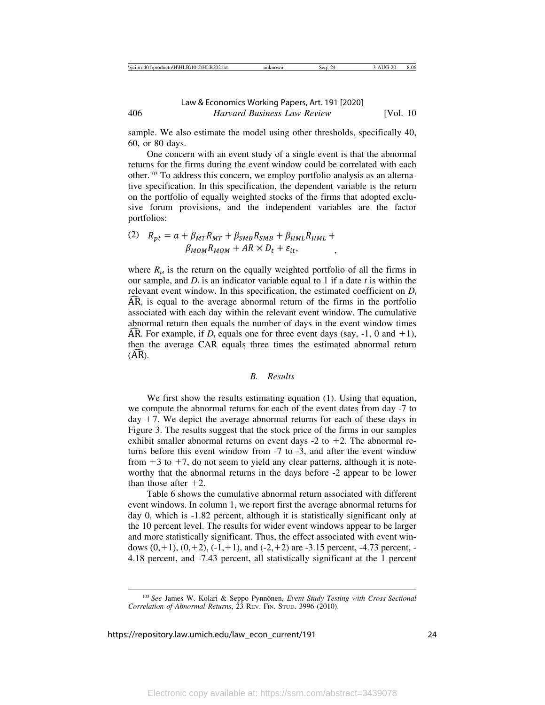sample. We also estimate the model using other thresholds, specifically 40, 60, or 80 days.

One concern with an event study of a single event is that the abnormal returns for the firms during the event window could be correlated with each other.103 To address this concern, we employ portfolio analysis as an alternative specification. In this specification, the dependent variable is the return on the portfolio of equally weighted stocks of the firms that adopted exclusive forum provisions, and the independent variables are the factor portfolios:

(2) 
$$
R_{pt} = a + \beta_{MT} R_{MT} + \beta_{SMB} R_{SMB} + \beta_{HML} R_{HML} + \beta_{MOM} R_{MOM} + AR \times D_t + \varepsilon_{it},
$$

where  $R_{pt}$  is the return on the equally weighted portfolio of all the firms in our sample, and  $D_t$  is an indicator variable equal to 1 if a date  $t$  is within the relevant event window. In this specification, the estimated coefficient on  $D_t$ AR, is equal to the average abnormal return of the firms in the portfolio associated with each day within the relevant event window. The cumulative abnormal return then equals the number of days in the event window times AR. For example, if  $D_t$  equals one for three event days (say,  $-1$ , 0 and  $+1$ ), then the average CAR equals three times the estimated abnormal return  $(AR).$ 

#### *B. Results*

We first show the results estimating equation (1). Using that equation, we compute the abnormal returns for each of the event dates from day -7 to day  $+7$ . We depict the average abnormal returns for each of these days in Figure 3. The results suggest that the stock price of the firms in our samples exhibit smaller abnormal returns on event days  $-2$  to  $+2$ . The abnormal returns before this event window from -7 to -3, and after the event window from  $+3$  to  $+7$ , do not seem to yield any clear patterns, although it is noteworthy that the abnormal returns in the days before -2 appear to be lower than those after  $+2$ .

Table 6 shows the cumulative abnormal return associated with different event windows. In column 1, we report first the average abnormal returns for day 0, which is -1.82 percent, although it is statistically significant only at the 10 percent level. The results for wider event windows appear to be larger and more statistically significant. Thus, the effect associated with event windows  $(0, +1)$ ,  $(0, +2)$ ,  $(-1, +1)$ , and  $(-2, +2)$  are  $-3.15$  percent,  $-4.73$  percent,  $-$ 4.18 percent, and -7.43 percent, all statistically significant at the 1 percent

<sup>&</sup>lt;sup>103</sup> See James W. Kolari & Seppo Pynnönen, *Event Study Testing with Cross-Sectional Correlation of Abnormal Returns*, 23 REV. FIN. STUD. 3996 (2010).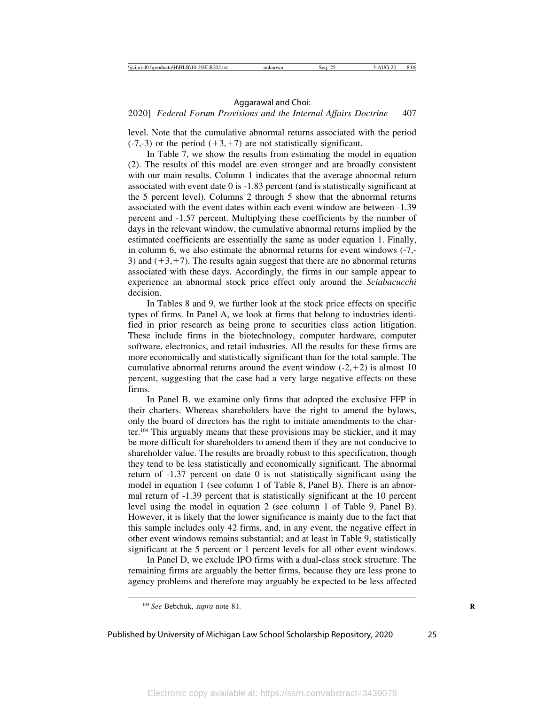### 2020] *Federal Forum Provisions and the Internal Affairs Doctrine* 407

level. Note that the cumulative abnormal returns associated with the period  $(-7,-3)$  or the period  $(+3,+7)$  are not statistically significant.

In Table 7, we show the results from estimating the model in equation (2). The results of this model are even stronger and are broadly consistent with our main results. Column 1 indicates that the average abnormal return associated with event date 0 is -1.83 percent (and is statistically significant at the 5 percent level). Columns 2 through 5 show that the abnormal returns associated with the event dates within each event window are between -1.39 percent and -1.57 percent. Multiplying these coefficients by the number of days in the relevant window, the cumulative abnormal returns implied by the estimated coefficients are essentially the same as under equation 1. Finally, in column 6, we also estimate the abnormal returns for event windows (-7,- 3) and  $(+3, +7)$ . The results again suggest that there are no abnormal returns associated with these days. Accordingly, the firms in our sample appear to experience an abnormal stock price effect only around the *Sciabacucchi* decision.

In Tables 8 and 9, we further look at the stock price effects on specific types of firms. In Panel A, we look at firms that belong to industries identified in prior research as being prone to securities class action litigation. These include firms in the biotechnology, computer hardware, computer software, electronics, and retail industries. All the results for these firms are more economically and statistically significant than for the total sample. The cumulative abnormal returns around the event window  $(-2, +2)$  is almost 10 percent, suggesting that the case had a very large negative effects on these firms.

In Panel B, we examine only firms that adopted the exclusive FFP in their charters. Whereas shareholders have the right to amend the bylaws, only the board of directors has the right to initiate amendments to the charter.104 This arguably means that these provisions may be stickier, and it may be more difficult for shareholders to amend them if they are not conducive to shareholder value. The results are broadly robust to this specification, though they tend to be less statistically and economically significant. The abnormal return of -1.37 percent on date 0 is not statistically significant using the model in equation 1 (see column 1 of Table 8, Panel B). There is an abnormal return of -1.39 percent that is statistically significant at the 10 percent level using the model in equation 2 (see column 1 of Table 9, Panel B). However, it is likely that the lower significance is mainly due to the fact that this sample includes only 42 firms, and, in any event, the negative effect in other event windows remains substantial; and at least in Table 9, statistically significant at the 5 percent or 1 percent levels for all other event windows.

In Panel D, we exclude IPO firms with a dual-class stock structure. The remaining firms are arguably the better firms, because they are less prone to agency problems and therefore may arguably be expected to be less affected

<sup>&</sup>lt;sup>104</sup> See Bebchuk, *supra* note 81.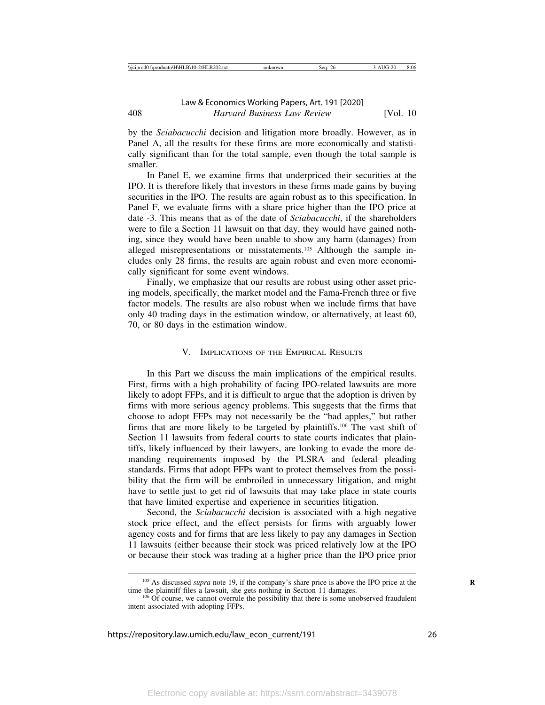by the *Sciabacucchi* decision and litigation more broadly. However, as in Panel A, all the results for these firms are more economically and statistically significant than for the total sample, even though the total sample is smaller.

In Panel E, we examine firms that underpriced their securities at the IPO. It is therefore likely that investors in these firms made gains by buying securities in the IPO. The results are again robust as to this specification. In Panel F, we evaluate firms with a share price higher than the IPO price at date -3. This means that as of the date of *Sciabacucchi*, if the shareholders were to file a Section 11 lawsuit on that day, they would have gained nothing, since they would have been unable to show any harm (damages) from alleged misrepresentations or misstatements.105 Although the sample includes only 28 firms, the results are again robust and even more economically significant for some event windows.

Finally, we emphasize that our results are robust using other asset pricing models, specifically, the market model and the Fama-French three or five factor models. The results are also robust when we include firms that have only 40 trading days in the estimation window, or alternatively, at least 60, 70, or 80 days in the estimation window.

### V. IMPLICATIONS OF THE EMPIRICAL RESULTS

In this Part we discuss the main implications of the empirical results. First, firms with a high probability of facing IPO-related lawsuits are more likely to adopt FFPs, and it is difficult to argue that the adoption is driven by firms with more serious agency problems. This suggests that the firms that choose to adopt FFPs may not necessarily be the "bad apples," but rather firms that are more likely to be targeted by plaintiffs.106 The vast shift of Section 11 lawsuits from federal courts to state courts indicates that plaintiffs, likely influenced by their lawyers, are looking to evade the more demanding requirements imposed by the PLSRA and federal pleading standards. Firms that adopt FFPs want to protect themselves from the possibility that the firm will be embroiled in unnecessary litigation, and might have to settle just to get rid of lawsuits that may take place in state courts that have limited expertise and experience in securities litigation.

Second, the *Sciabacucchi* decision is associated with a high negative stock price effect, and the effect persists for firms with arguably lower agency costs and for firms that are less likely to pay any damages in Section 11 lawsuits (either because their stock was priced relatively low at the IPO or because their stock was trading at a higher price than the IPO price prior

<sup>&</sup>lt;sup>105</sup> As discussed *supra* note 19, if the company's share price is above the IPO price at the time the plaintiff files a lawsuit, she gets nothing in Section 11 damages.

 $106$  Of course, we cannot overrule the possibility that there is some unobserved fraudulent intent associated with adopting FFPs.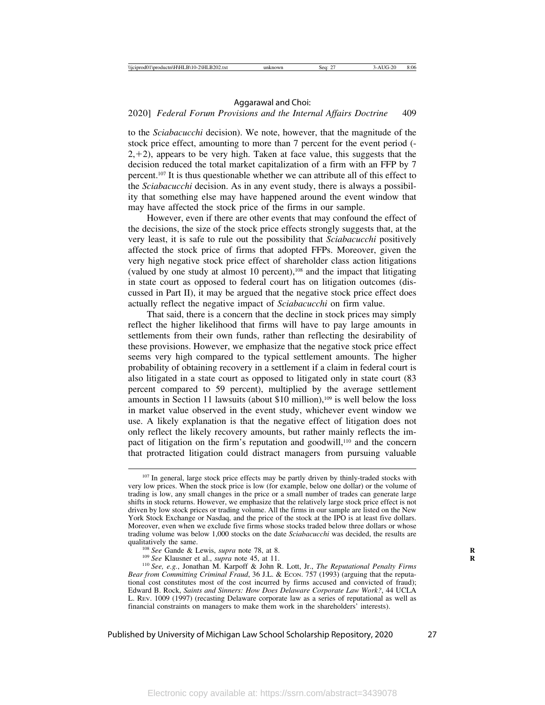### 2020] *Federal Forum Provisions and the Internal Affairs Doctrine* 409

to the *Sciabacucchi* decision). We note, however, that the magnitude of the stock price effect, amounting to more than 7 percent for the event period (-  $2, +2$ ), appears to be very high. Taken at face value, this suggests that the decision reduced the total market capitalization of a firm with an FFP by 7 percent.107 It is thus questionable whether we can attribute all of this effect to the *Sciabacucchi* decision. As in any event study, there is always a possibility that something else may have happened around the event window that may have affected the stock price of the firms in our sample.

However, even if there are other events that may confound the effect of the decisions, the size of the stock price effects strongly suggests that, at the very least, it is safe to rule out the possibility that *Sciabacucchi* positively affected the stock price of firms that adopted FFPs. Moreover, given the very high negative stock price effect of shareholder class action litigations (valued by one study at almost 10 percent), $10<sup>8</sup>$  and the impact that litigating in state court as opposed to federal court has on litigation outcomes (discussed in Part II), it may be argued that the negative stock price effect does actually reflect the negative impact of *Sciabacucchi* on firm value.

That said, there is a concern that the decline in stock prices may simply reflect the higher likelihood that firms will have to pay large amounts in settlements from their own funds, rather than reflecting the desirability of these provisions. However, we emphasize that the negative stock price effect seems very high compared to the typical settlement amounts. The higher probability of obtaining recovery in a settlement if a claim in federal court is also litigated in a state court as opposed to litigated only in state court (83 percent compared to 59 percent), multiplied by the average settlement amounts in Section 11 lawsuits (about \$10 million), $109$  is well below the loss in market value observed in the event study, whichever event window we use. A likely explanation is that the negative effect of litigation does not only reflect the likely recovery amounts, but rather mainly reflects the impact of litigation on the firm's reputation and goodwill,<sup>110</sup> and the concern that protracted litigation could distract managers from pursuing valuable

<sup>&</sup>lt;sup>107</sup> In general, large stock price effects may be partly driven by thinly-traded stocks with very low prices. When the stock price is low (for example, below one dollar) or the volume of trading is low, any small changes in the price or a small number of trades can generate large shifts in stock returns. However, we emphasize that the relatively large stock price effect is not driven by low stock prices or trading volume. All the firms in our sample are listed on the New York Stock Exchange or Nasdaq, and the price of the stock at the IPO is at least five dollars. Moreover, even when we exclude five firms whose stocks traded below three dollars or whose trading volume was below 1,000 stocks on the date *Sciabacucchi* was decided, the results are

<sup>&</sup>lt;sup>108</sup> See Gande & Lewis, *supra* note 78, at 8.<br><sup>109</sup> See Klausner et al., *supra* note 45, at 11.<br><sup>110</sup> See, e.g., Jonathan M. Karpoff & John R. Lott, Jr., *The Reputational Penalty Firms Bear from Committing Criminal Fraud*, 36 J.L. & ECON. 757 (1993) (arguing that the reputational cost constitutes most of the cost incurred by firms accused and convicted of fraud); Edward B. Rock, *Saints and Sinners: How Does Delaware Corporate Law Work?*, 44 UCLA L. REV. 1009 (1997) (recasting Delaware corporate law as a series of reputational as well as financial constraints on managers to make them work in the shareholders' interests).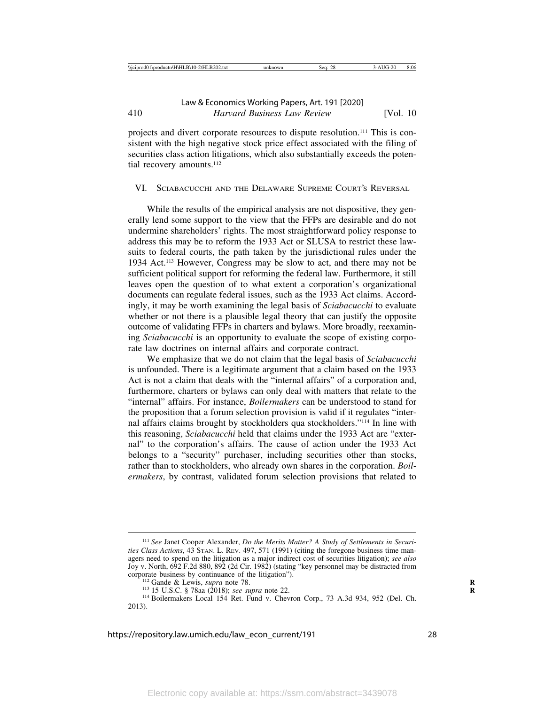projects and divert corporate resources to dispute resolution.111 This is consistent with the high negative stock price effect associated with the filing of securities class action litigations, which also substantially exceeds the potential recovery amounts.<sup>112</sup>

#### VI. SCIABACUCCHI AND THE DELAWARE SUPREME COURT'S REVERSAL

While the results of the empirical analysis are not dispositive, they generally lend some support to the view that the FFPs are desirable and do not undermine shareholders' rights. The most straightforward policy response to address this may be to reform the 1933 Act or SLUSA to restrict these lawsuits to federal courts, the path taken by the jurisdictional rules under the 1934 Act.113 However, Congress may be slow to act, and there may not be sufficient political support for reforming the federal law. Furthermore, it still leaves open the question of to what extent a corporation's organizational documents can regulate federal issues, such as the 1933 Act claims. Accordingly, it may be worth examining the legal basis of *Sciabacucchi* to evaluate whether or not there is a plausible legal theory that can justify the opposite outcome of validating FFPs in charters and bylaws. More broadly, reexamining *Sciabacucchi* is an opportunity to evaluate the scope of existing corporate law doctrines on internal affairs and corporate contract.

We emphasize that we do not claim that the legal basis of *Sciabacucchi* is unfounded. There is a legitimate argument that a claim based on the 1933 Act is not a claim that deals with the "internal affairs" of a corporation and, furthermore, charters or bylaws can only deal with matters that relate to the "internal" affairs. For instance, *Boilermakers* can be understood to stand for the proposition that a forum selection provision is valid if it regulates "internal affairs claims brought by stockholders qua stockholders."114 In line with this reasoning, *Sciabacucchi* held that claims under the 1933 Act are "external" to the corporation's affairs. The cause of action under the 1933 Act belongs to a "security" purchaser, including securities other than stocks, rather than to stockholders, who already own shares in the corporation. *Boilermakers*, by contrast, validated forum selection provisions that related to

<sup>&</sup>lt;sup>111</sup> See Janet Cooper Alexander, *Do the Merits Matter? A Study of Settlements in Securities Class Actions*, 43 STAN. L. REV. 497, 571 (1991) (citing the foregone business time managers need to spend on the litigation as a major indirect cost of securities litigation); *see also* Joy v. North, 692 F.2d 880, 892 (2d Cir. 1982) (stating "key personnel may be distracted from

<sup>&</sup>lt;sup>112</sup> Gande & Lewis, *supra* note 78.<br><sup>113</sup> 15 U.S.C. § 78aa (2018); *see supra* note 22.<br><sup>114</sup> Boilermakers Local 154 Ret. Fund v. Chevron Corp., 73 A.3d 934, 952 (Del. Ch. 2013).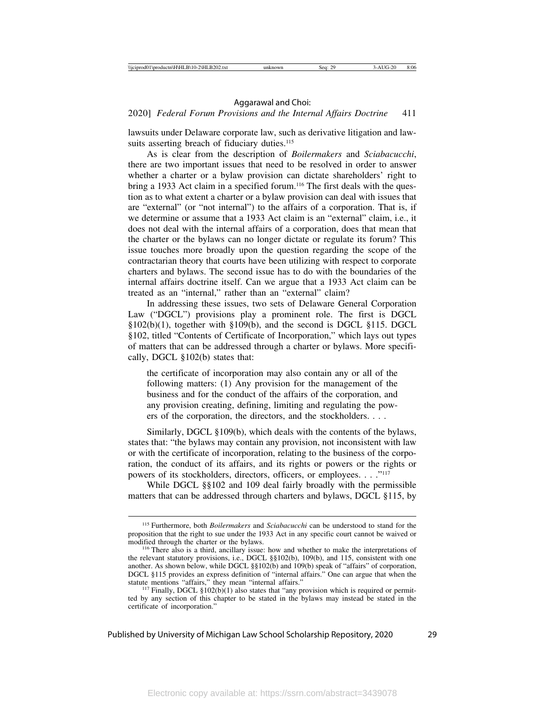### 2020] *Federal Forum Provisions and the Internal Affairs Doctrine* 411

lawsuits under Delaware corporate law, such as derivative litigation and lawsuits asserting breach of fiduciary duties.<sup>115</sup>

As is clear from the description of *Boilermakers* and *Sciabacucchi*, there are two important issues that need to be resolved in order to answer whether a charter or a bylaw provision can dictate shareholders' right to bring a 1933 Act claim in a specified forum.<sup>116</sup> The first deals with the question as to what extent a charter or a bylaw provision can deal with issues that are "external" (or "not internal") to the affairs of a corporation. That is, if we determine or assume that a 1933 Act claim is an "external" claim, i.e., it does not deal with the internal affairs of a corporation, does that mean that the charter or the bylaws can no longer dictate or regulate its forum? This issue touches more broadly upon the question regarding the scope of the contractarian theory that courts have been utilizing with respect to corporate charters and bylaws. The second issue has to do with the boundaries of the internal affairs doctrine itself. Can we argue that a 1933 Act claim can be treated as an "internal," rather than an "external" claim?

In addressing these issues, two sets of Delaware General Corporation Law ("DGCL") provisions play a prominent role. The first is DGCL §102(b)(1), together with §109(b), and the second is DGCL §115. DGCL §102, titled "Contents of Certificate of Incorporation," which lays out types of matters that can be addressed through a charter or bylaws. More specifically, DGCL §102(b) states that:

the certificate of incorporation may also contain any or all of the following matters: (1) Any provision for the management of the business and for the conduct of the affairs of the corporation, and any provision creating, defining, limiting and regulating the powers of the corporation, the directors, and the stockholders. . . .

Similarly, DGCL §109(b), which deals with the contents of the bylaws, states that: "the bylaws may contain any provision, not inconsistent with law or with the certificate of incorporation, relating to the business of the corporation, the conduct of its affairs, and its rights or powers or the rights or powers of its stockholders, directors, officers, or employees. . . ."117

While DGCL §§102 and 109 deal fairly broadly with the permissible matters that can be addressed through charters and bylaws, DGCL §115, by

<sup>115</sup> Furthermore, both *Boilermakers* and *Sciabacucchi* can be understood to stand for the proposition that the right to sue under the 1933 Act in any specific court cannot be waived or

 $116$  There also is a third, ancillary issue: how and whether to make the interpretations of the relevant statutory provisions, i.e., DGCL §§102(b), 109(b), and 115, consistent with one another. As shown below, while DGCL §§102(b) and 109(b) speak of "affairs" of corporation, DGCL §115 provides an express definition of "internal affairs." One can argue that when the

<sup>&</sup>lt;sup>117</sup> Finally, DGCL §102(b)(1) also states that "any provision which is required or permitted by any section of this chapter to be stated in the bylaws may instead be stated in the certificate of incorporation."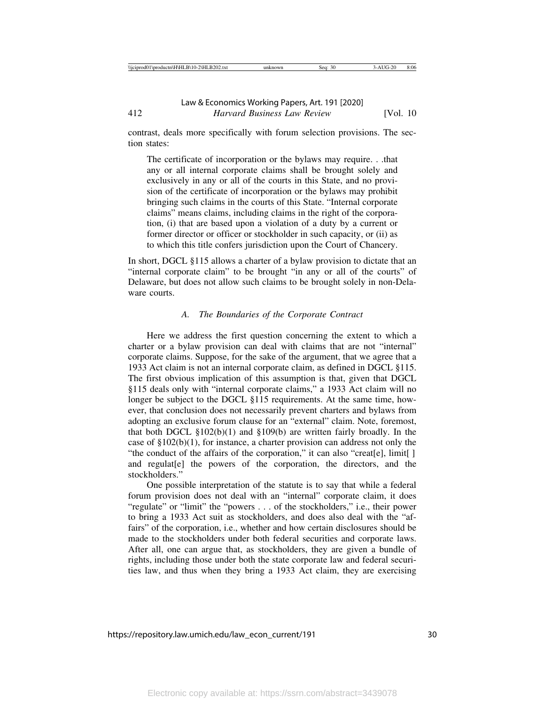contrast, deals more specifically with forum selection provisions. The section states:

The certificate of incorporation or the bylaws may require. . .that any or all internal corporate claims shall be brought solely and exclusively in any or all of the courts in this State, and no provision of the certificate of incorporation or the bylaws may prohibit bringing such claims in the courts of this State. "Internal corporate claims" means claims, including claims in the right of the corporation, (i) that are based upon a violation of a duty by a current or former director or officer or stockholder in such capacity, or (ii) as to which this title confers jurisdiction upon the Court of Chancery.

In short, DGCL §115 allows a charter of a bylaw provision to dictate that an "internal corporate claim" to be brought "in any or all of the courts" of Delaware, but does not allow such claims to be brought solely in non-Delaware courts.

## *A. The Boundaries of the Corporate Contract*

Here we address the first question concerning the extent to which a charter or a bylaw provision can deal with claims that are not "internal" corporate claims. Suppose, for the sake of the argument, that we agree that a 1933 Act claim is not an internal corporate claim, as defined in DGCL §115. The first obvious implication of this assumption is that, given that DGCL §115 deals only with "internal corporate claims," a 1933 Act claim will no longer be subject to the DGCL §115 requirements. At the same time, however, that conclusion does not necessarily prevent charters and bylaws from adopting an exclusive forum clause for an "external" claim. Note, foremost, that both DGCL §102(b)(1) and §109(b) are written fairly broadly. In the case of §102(b)(1), for instance, a charter provision can address not only the "the conduct of the affairs of the corporation," it can also "creat[e], limit[] and regulat[e] the powers of the corporation, the directors, and the stockholders."

One possible interpretation of the statute is to say that while a federal forum provision does not deal with an "internal" corporate claim, it does "regulate" or "limit" the "powers . . . of the stockholders," i.e., their power to bring a 1933 Act suit as stockholders, and does also deal with the "affairs" of the corporation, i.e., whether and how certain disclosures should be made to the stockholders under both federal securities and corporate laws. After all, one can argue that, as stockholders, they are given a bundle of rights, including those under both the state corporate law and federal securities law, and thus when they bring a 1933 Act claim, they are exercising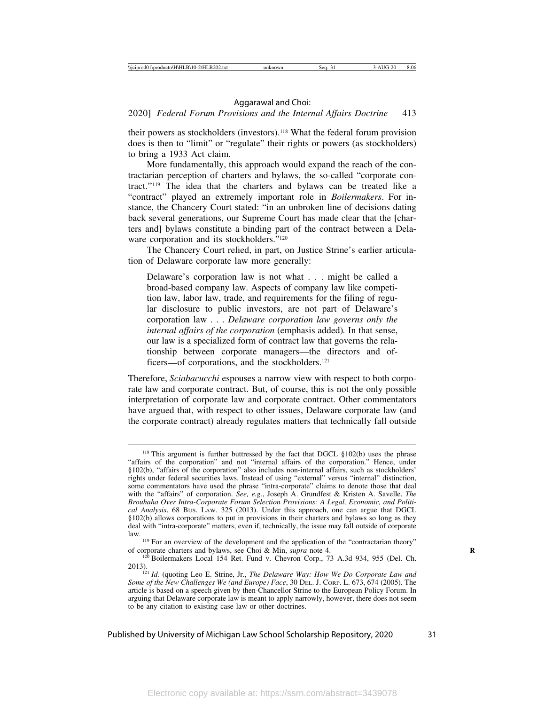2020] *Federal Forum Provisions and the Internal Affairs Doctrine* 413

their powers as stockholders (investors).118 What the federal forum provision does is then to "limit" or "regulate" their rights or powers (as stockholders) to bring a 1933 Act claim.

More fundamentally, this approach would expand the reach of the contractarian perception of charters and bylaws, the so-called "corporate contract."119 The idea that the charters and bylaws can be treated like a "contract" played an extremely important role in *Boilermakers*. For instance, the Chancery Court stated: "in an unbroken line of decisions dating back several generations, our Supreme Court has made clear that the [charters and] bylaws constitute a binding part of the contract between a Delaware corporation and its stockholders."<sup>120</sup>

The Chancery Court relied, in part, on Justice Strine's earlier articulation of Delaware corporate law more generally:

Delaware's corporation law is not what . . . might be called a broad-based company law. Aspects of company law like competition law, labor law, trade, and requirements for the filing of regular disclosure to public investors, are not part of Delaware's corporation law . . . *Delaware corporation law governs only the internal affairs of the corporation* (emphasis added)*.* In that sense, our law is a specialized form of contract law that governs the relationship between corporate managers—the directors and officers—of corporations, and the stockholders.<sup>121</sup>

Therefore, *Sciabacucchi* espouses a narrow view with respect to both corporate law and corporate contract. But, of course, this is not the only possible interpretation of corporate law and corporate contract. Other commentators have argued that, with respect to other issues, Delaware corporate law (and the corporate contract) already regulates matters that technically fall outside

 $118$  This argument is further buttressed by the fact that DGCL  $\S 102(b)$  uses the phrase "affairs of the corporation" and not "internal affairs of the corporation." Hence, under §102(b), "affairs of the corporation" also includes non-internal affairs, such as stockholders' rights under federal securities laws. Instead of using "external" versus "internal" distinction, some commentators have used the phrase "intra-corporate" claims to denote those that deal with the "affairs" of corporation. *See, e.g.*, Joseph A. Grundfest & Kristen A. Savelle, *The Brouhaha Over Intra-Corporate Forum Selection Provisions: A Legal, Economic, and Political Analysis*, 68 BUS. LAW. 325 (2013). Under this approach, one can argue that DGCL §102(b) allows corporations to put in provisions in their charters and bylaws so long as they deal with "intra-corporate" matters, even if, technically, the issue may fall outside of corporate

law.  $119$  For an overview of the development and the application of the "contractarian theory" of corporate charters and bylaws, see Choi & Min, *supra* note 4.

<sup>&</sup>lt;sup>120</sup> Boilermakers Local 154 Ret. Fund v. Chevron Corp., 73 A.3d 934, 955 (Del. Ch.

<sup>2013).</sup> <sup>121</sup> *Id.* (quoting Leo E. Strine, Jr., *The Delaware Way: How We Do Corporate Law and Some of the New Challenges We (and Europe) Face*, 30 DEL. J. CORP. L. 673, 674 (2005). The article is based on a speech given by then-Chancellor Strine to the European Policy Forum. In arguing that Delaware corporate law is meant to apply narrowly, however, there does not seem to be any citation to existing case law or other doctrines.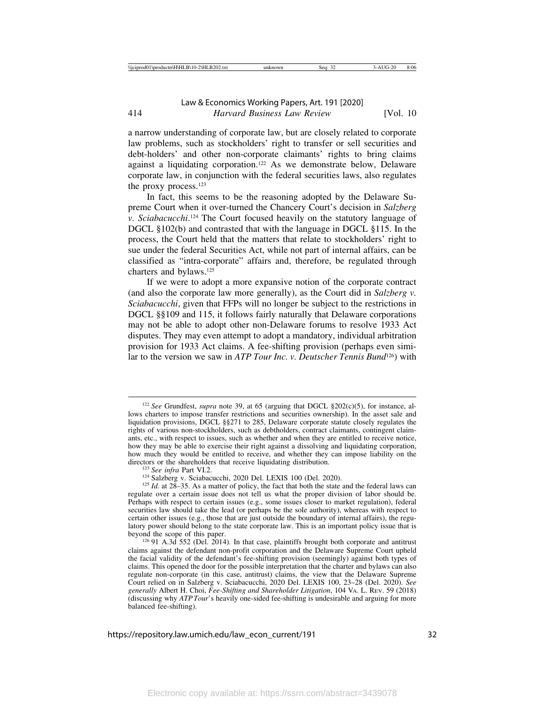a narrow understanding of corporate law, but are closely related to corporate law problems, such as stockholders' right to transfer or sell securities and debt-holders' and other non-corporate claimants' rights to bring claims against a liquidating corporation.122 As we demonstrate below, Delaware corporate law, in conjunction with the federal securities laws, also regulates the proxy process.<sup>123</sup>

In fact, this seems to be the reasoning adopted by the Delaware Supreme Court when it over-turned the Chancery Court's decision in *Salzberg v. Sciabacucchi*. 124 The Court focused heavily on the statutory language of DGCL §102(b) and contrasted that with the language in DGCL §115. In the process, the Court held that the matters that relate to stockholders' right to sue under the federal Securities Act, while not part of internal affairs, can be classified as "intra-corporate" affairs and, therefore, be regulated through charters and bylaws.125

If we were to adopt a more expansive notion of the corporate contract (and also the corporate law more generally), as the Court did in *Salzberg v. Sciabacucchi*, given that FFPs will no longer be subject to the restrictions in DGCL §§109 and 115, it follows fairly naturally that Delaware corporations may not be able to adopt other non-Delaware forums to resolve 1933 Act disputes. They may even attempt to adopt a mandatory, individual arbitration provision for 1933 Act claims. A fee-shifting provision (perhaps even similar to the version we saw in *ATP Tour Inc. v. Deutscher Tennis Bund*126) with

<sup>122</sup> *See* Grundfest, *supra* note 39, at 65 (arguing that DGCL §202(c)(5), for instance, allows charters to impose transfer restrictions and securities ownership). In the asset sale and liquidation provisions, DGCL §§271 to 285, Delaware corporate statute closely regulates the rights of various non-stockholders, such as debtholders, contract claimants, contingent claimants, etc., with respect to issues, such as whether and when they are entitled to receive notice, how they may be able to exercise their right against a dissolving and liquidating corporation, how much they would be entitled to receive, and whether they can impose liability on the directors or the shareholders that receive liquidating distribution.<br><sup>123</sup> See infra Part VI.2.<br><sup>124</sup> Salzberg v. Sciabacucchi, 2020 Del. LEXIS 100 (Del. 2020).<br><sup>125</sup> Id. at 28–35. As a matter of policy, the fact that both

regulate over a certain issue does not tell us what the proper division of labor should be. Perhaps with respect to certain issues (e.g., some issues closer to market regulation), federal securities law should take the lead (or perhaps be the sole authority), whereas with respect to certain other issues (e.g., those that are just outside the boundary of internal affairs), the regulatory power should belong to the state corporate law. This is an important policy issue that is beyond the scope of this paper.<br><sup>126</sup> 91 A.3d 552 (Del. 2014). In that case, plaintiffs brought both corporate and antitrust

claims against the defendant non-profit corporation and the Delaware Supreme Court upheld the facial validity of the defendant's fee-shifting provision (seemingly) against both types of claims. This opened the door for the possible interpretation that the charter and bylaws can also regulate non-corporate (in this case, antitrust) claims, the view that the Delaware Supreme Court relied on in Salzberg v. Sciabacucchi, 2020 Del. LEXIS 100, 23–28 (Del. 2020). *See generally* Albert H. Choi, *Fee-Shifting and Shareholder Litigation*, 104 VA. L. REV. 59 (2018) (discussing why *ATP Tour*'s heavily one-sided fee-shifting is undesirable and arguing for more balanced fee-shifting).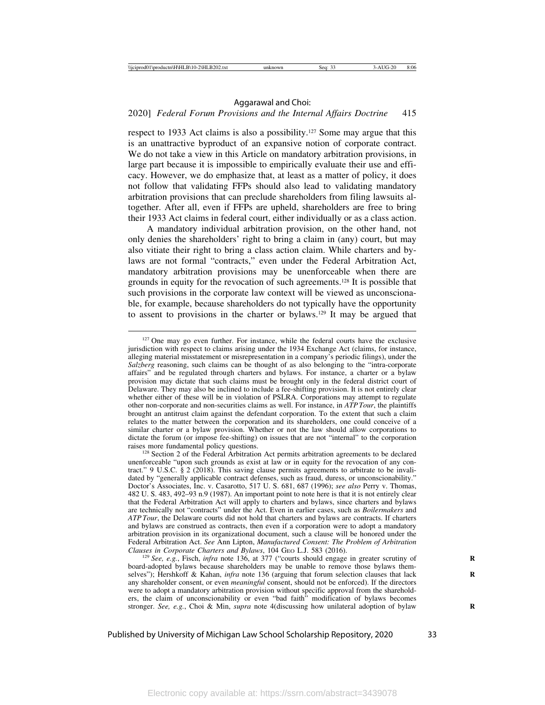### 2020] *Federal Forum Provisions and the Internal Affairs Doctrine* 415

respect to 1933 Act claims is also a possibility.127 Some may argue that this is an unattractive byproduct of an expansive notion of corporate contract. We do not take a view in this Article on mandatory arbitration provisions, in large part because it is impossible to empirically evaluate their use and efficacy. However, we do emphasize that, at least as a matter of policy, it does not follow that validating FFPs should also lead to validating mandatory arbitration provisions that can preclude shareholders from filing lawsuits altogether. After all, even if FFPs are upheld, shareholders are free to bring their 1933 Act claims in federal court, either individually or as a class action.

A mandatory individual arbitration provision, on the other hand, not only denies the shareholders' right to bring a claim in (any) court, but may also vitiate their right to bring a class action claim. While charters and bylaws are not formal "contracts," even under the Federal Arbitration Act, mandatory arbitration provisions may be unenforceable when there are grounds in equity for the revocation of such agreements.128 It is possible that such provisions in the corporate law context will be viewed as unconscionable, for example, because shareholders do not typically have the opportunity to assent to provisions in the charter or bylaws.129 It may be argued that

<sup>129</sup> *See, e.g.*, Fisch, *infra* note 136, at 377 ("courts should engage in greater scrutiny of board-adopted bylaws because shareholders may be unable to remove those bylaws themselves"); Hershkoff & Kahan, *infra* note 136 (arguing that forum selection clauses that lack any shareholder consent, or even *meaningful* consent, should not be enforced). If the directors were to adopt a mandatory arbitration provision without specific approval from the shareholders, the claim of unconscionability or even "bad faith" modification of bylaws becomes stronger. *See, e.g.*, Choi & Min, *supra* note 4(discussing how unilateral adoption of bylaw **R**

<sup>&</sup>lt;sup>127</sup> One may go even further. For instance, while the federal courts have the exclusive jurisdiction with respect to claims arising under the 1934 Exchange Act (claims, for instance, alleging material misstatement or misrepresentation in a company's periodic filings), under the *Salzberg* reasoning, such claims can be thought of as also belonging to the "intra-corporate affairs" and be regulated through charters and bylaws. For instance, a charter or a bylaw provision may dictate that such claims must be brought only in the federal district court of Delaware. They may also be inclined to include a fee-shifting provision. It is not entirely clear whether either of these will be in violation of PSLRA. Corporations may attempt to regulate other non-corporate and non-securities claims as well. For instance, in *ATP Tour*, the plaintiffs brought an antitrust claim against the defendant corporation. To the extent that such a claim relates to the matter between the corporation and its shareholders, one could conceive of a similar charter or a bylaw provision. Whether or not the law should allow corporations to dictate the forum (or impose fee-shifting) on issues that are not "internal" to the corporation raises more fundamental policy questions.

 $128$  Section 2 of the Federal Arbitration Act permits arbitration agreements to be declared unenforceable "upon such grounds as exist at law or in equity for the revocation of any contract." 9 U.S.C. § 2 (2018). This saving clause permits agreements to arbitrate to be invalidated by "generally applicable contract defenses, such as fraud, duress, or unconscionability." Doctor's Associates, Inc. v. Casarotto, 517 U. S. 681, 687 (1996); *see also* Perry v. Thomas, 482 U. S. 483, 492–93 n.9 (1987). An important point to note here is that it is not entirely clear that the Federal Arbitration Act will apply to charters and bylaws, since charters and bylaws are technically not "contracts" under the Act. Even in earlier cases, such as *Boilermakers* and *ATP Tour*, the Delaware courts did not hold that charters and bylaws are contracts. If charters and bylaws are construed as contracts, then even if a corporation were to adopt a mandatory arbitration provision in its organizational document, such a clause will be honored under the Federal Arbitration Act. *See* Ann Lipton, *Manufactured Consent: The Problem of Arbitration*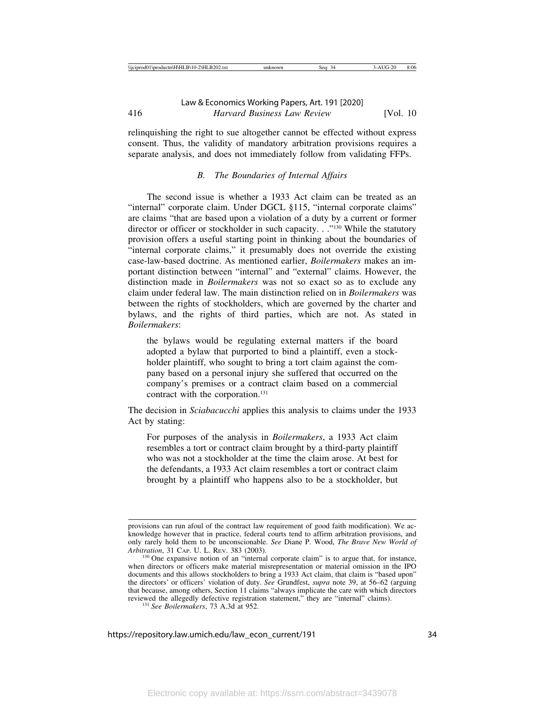relinquishing the right to sue altogether cannot be effected without express consent. Thus, the validity of mandatory arbitration provisions requires a separate analysis, and does not immediately follow from validating FFPs.

# *B. The Boundaries of Internal Affairs*

The second issue is whether a 1933 Act claim can be treated as an "internal" corporate claim. Under DGCL §115, "internal corporate claims" are claims "that are based upon a violation of a duty by a current or former director or officer or stockholder in such capacity. . . "<sup>130</sup> While the statutory provision offers a useful starting point in thinking about the boundaries of "internal corporate claims," it presumably does not override the existing case-law-based doctrine. As mentioned earlier, *Boilermakers* makes an important distinction between "internal" and "external" claims. However, the distinction made in *Boilermakers* was not so exact so as to exclude any claim under federal law. The main distinction relied on in *Boilermakers* was between the rights of stockholders, which are governed by the charter and bylaws, and the rights of third parties, which are not. As stated in *Boilermakers*:

the bylaws would be regulating external matters if the board adopted a bylaw that purported to bind a plaintiff, even a stockholder plaintiff, who sought to bring a tort claim against the company based on a personal injury she suffered that occurred on the company's premises or a contract claim based on a commercial contract with the corporation.<sup>131</sup>

The decision in *Sciabacucchi* applies this analysis to claims under the 1933 Act by stating:

For purposes of the analysis in *Boilermakers*, a 1933 Act claim resembles a tort or contract claim brought by a third-party plaintiff who was not a stockholder at the time the claim arose. At best for the defendants, a 1933 Act claim resembles a tort or contract claim brought by a plaintiff who happens also to be a stockholder, but

provisions can run afoul of the contract law requirement of good faith modification). We acknowledge however that in practice, federal courts tend to affirm arbitration provisions, and only rarely hold them to be unconscionable. *See* Diane P. Wood, *The Brave New World of*

<sup>&</sup>lt;sup>130</sup> One expansive notion of an "internal corporate claim" is to argue that, for instance, when directors or officers make material misrepresentation or material omission in the IPO documents and this allows stockholders to bring a 1933 Act claim, that claim is "based upon" the directors' or officers' violation of duty. *See* Grundfest, *supra* note 39, at 56–62 (arguing that because, among others, Section 11 claims "always implicate the care with which directors reviewed the allegedly defective registration statement," they are "internal" claims). <sup>131</sup> *See Boilermakers*, 73 A.3d at 952.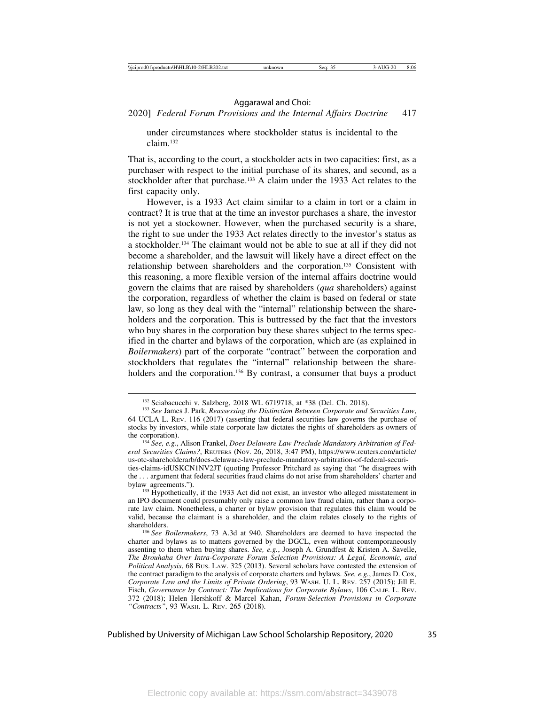2020] *Federal Forum Provisions and the Internal Affairs Doctrine* 417

under circumstances where stockholder status is incidental to the claim.132

That is, according to the court, a stockholder acts in two capacities: first, as a purchaser with respect to the initial purchase of its shares, and second, as a stockholder after that purchase.133 A claim under the 1933 Act relates to the first capacity only.

However, is a 1933 Act claim similar to a claim in tort or a claim in contract? It is true that at the time an investor purchases a share, the investor is not yet a stockowner. However, when the purchased security is a share, the right to sue under the 1933 Act relates directly to the investor's status as a stockholder.134 The claimant would not be able to sue at all if they did not become a shareholder, and the lawsuit will likely have a direct effect on the relationship between shareholders and the corporation.135 Consistent with this reasoning, a more flexible version of the internal affairs doctrine would govern the claims that are raised by shareholders (*qua* shareholders) against the corporation, regardless of whether the claim is based on federal or state law, so long as they deal with the "internal" relationship between the shareholders and the corporation. This is buttressed by the fact that the investors who buy shares in the corporation buy these shares subject to the terms specified in the charter and bylaws of the corporation, which are (as explained in *Boilermakers*) part of the corporate "contract" between the corporation and stockholders that regulates the "internal" relationship between the shareholders and the corporation.<sup>136</sup> By contrast, a consumer that buys a product

<sup>&</sup>lt;sup>132</sup> Sciabacucchi v. Salzberg, 2018 WL 6719718, at \*38 (Del. Ch. 2018).<br><sup>133</sup> *See James J. Park, Reassessing the Distinction Between Corporate and Securities Law*, 64 UCLA L. REV. 116 (2017) (asserting that federal securities law governs the purchase of stocks by investors, while state corporate law dictates the rights of shareholders as owners of the corporation). <sup>134</sup> *See, e.g.*, Alison Frankel, *Does Delaware Law Preclude Mandatory Arbitration of Fed-*

*eral Securities Claims?*, REUTERS (Nov. 26, 2018, 3:47 PM), https://www.reuters.com/article/ us-otc-shareholderarb/does-delaware-law-preclude-mandatory-arbitration-of-federal-securities-claims-idUSKCN1NV2JT (quoting Professor Pritchard as saying that "he disagrees with the . . . argument that federal securities fraud claims do not arise from shareholders' charter and

 $^{135}$  Hypothetically, if the 1933 Act did not exist, an investor who alleged misstatement in an IPO document could presumably only raise a common law fraud claim, rather than a corporate law claim. Nonetheless, a charter or bylaw provision that regulates this claim would be valid, because the claimant is a shareholder, and the claim relates closely to the rights of

<sup>&</sup>lt;sup>136</sup> See Boilermakers, 73 A.3d at 940. Shareholders are deemed to have inspected the charter and bylaws as to matters governed by the DGCL, even without contemporaneously assenting to them when buying shares. *See, e.g.*, Joseph A. Grundfest & Kristen A. Savelle, *The Brouhaha Over Intra-Corporate Forum Selection Provisions: A Legal, Economic, and Political Analysis*, 68 BUS. LAW. 325 (2013). Several scholars have contested the extension of the contract paradigm to the analysis of corporate charters and bylaws. *See, e.g.*, James D. Cox, *Corporate Law and the Limits of Private Ordering*, 93 WASH. U. L. REV. 257 (2015); Jill E. Fisch, *Governance by Contract: The Implications for Corporate Bylaws*, 106 CALIF. L. REV. 372 (2018); Helen Hershkoff & Marcel Kahan, *Forum-Selection Provisions in Corporate "Contracts"*, 93 WASH. L. REV. 265 (2018).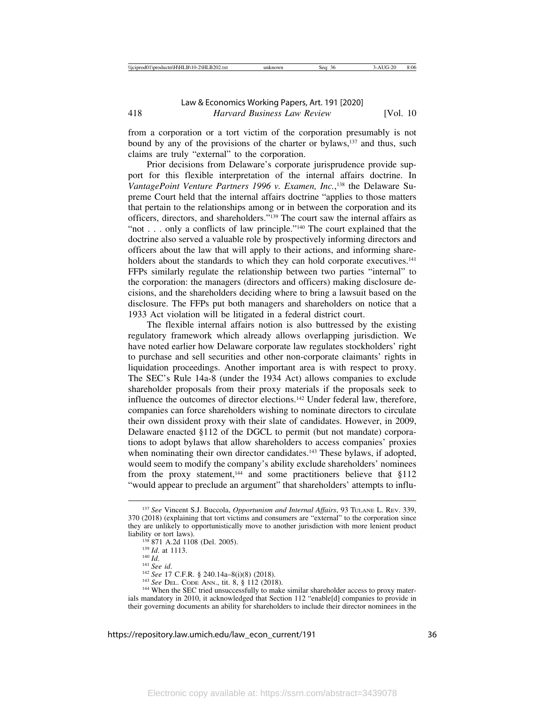from a corporation or a tort victim of the corporation presumably is not bound by any of the provisions of the charter or bylaws,<sup>137</sup> and thus, such claims are truly "external" to the corporation.

Prior decisions from Delaware's corporate jurisprudence provide support for this flexible interpretation of the internal affairs doctrine. In VantagePoint Venture Partners 1996 v. Examen, Inc.,<sup>138</sup> the Delaware Supreme Court held that the internal affairs doctrine "applies to those matters that pertain to the relationships among or in between the corporation and its officers, directors, and shareholders."139 The court saw the internal affairs as "not . . . only a conflicts of law principle."<sup>140</sup> The court explained that the doctrine also served a valuable role by prospectively informing directors and officers about the law that will apply to their actions, and informing shareholders about the standards to which they can hold corporate executives.<sup>141</sup> FFPs similarly regulate the relationship between two parties "internal" to the corporation: the managers (directors and officers) making disclosure decisions, and the shareholders deciding where to bring a lawsuit based on the disclosure. The FFPs put both managers and shareholders on notice that a 1933 Act violation will be litigated in a federal district court.

The flexible internal affairs notion is also buttressed by the existing regulatory framework which already allows overlapping jurisdiction. We have noted earlier how Delaware corporate law regulates stockholders' right to purchase and sell securities and other non-corporate claimants' rights in liquidation proceedings. Another important area is with respect to proxy. The SEC's Rule 14a-8 (under the 1934 Act) allows companies to exclude shareholder proposals from their proxy materials if the proposals seek to influence the outcomes of director elections.142 Under federal law, therefore, companies can force shareholders wishing to nominate directors to circulate their own dissident proxy with their slate of candidates. However, in 2009, Delaware enacted §112 of the DGCL to permit (but not mandate) corporations to adopt bylaws that allow shareholders to access companies' proxies when nominating their own director candidates.<sup>143</sup> These bylaws, if adopted, would seem to modify the company's ability exclude shareholders' nominees from the proxy statement,<sup>144</sup> and some practitioners believe that  $§112$ "would appear to preclude an argument" that shareholders' attempts to influ-

<sup>137</sup> *See* Vincent S.J. Buccola, *Opportunism and Internal Affairs*, 93 TULANE L. REV. 339, 370 (2018) (explaining that tort victims and consumers are "external" to the corporation since they are unlikely to opportunistically move to another jurisdiction with more lenient product liability or tort laws).<br>
<sup>138</sup> 871 A.2d 1108 (Del. 2005).<br>
<sup>139</sup> Id. at 1113.<br>
<sup>140</sup> Id.<br>
<sup>141</sup> See id.<br>
<sup>142</sup> See 17 C.F.R. § 240.14a–8(i)(8) (2018).<br>
<sup>143</sup> See DEL. CODE ANN., tit. 8, § 112 (2018).<br>
<sup>143</sup> When the SEC

ials mandatory in 2010, it acknowledged that Section 112 "enable[d] companies to provide in their governing documents an ability for shareholders to include their director nominees in the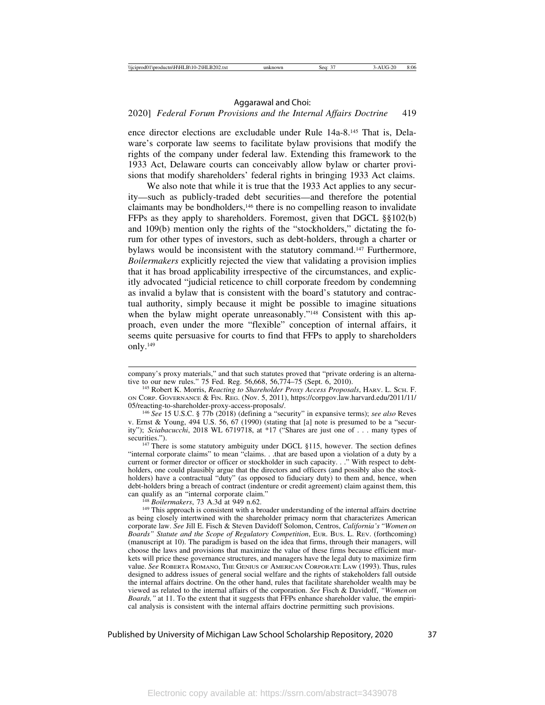### 2020] *Federal Forum Provisions and the Internal Affairs Doctrine* 419

ence director elections are excludable under Rule 14a-8.145 That is, Delaware's corporate law seems to facilitate bylaw provisions that modify the rights of the company under federal law. Extending this framework to the 1933 Act, Delaware courts can conceivably allow bylaw or charter provisions that modify shareholders' federal rights in bringing 1933 Act claims.

We also note that while it is true that the 1933 Act applies to any security—such as publicly-traded debt securities—and therefore the potential claimants may be bondholders,146 there is no compelling reason to invalidate FFPs as they apply to shareholders. Foremost, given that DGCL §§102(b) and 109(b) mention only the rights of the "stockholders," dictating the forum for other types of investors, such as debt-holders, through a charter or bylaws would be inconsistent with the statutory command.147 Furthermore, *Boilermakers* explicitly rejected the view that validating a provision implies that it has broad applicability irrespective of the circumstances, and explicitly advocated "judicial reticence to chill corporate freedom by condemning as invalid a bylaw that is consistent with the board's statutory and contractual authority, simply because it might be possible to imagine situations when the bylaw might operate unreasonably."<sup>148</sup> Consistent with this approach, even under the more "flexible" conception of internal affairs, it seems quite persuasive for courts to find that FFPs to apply to shareholders only.149

<sup>146</sup> See 15 U.S.C. § 77b (2018) (defining a "security" in expansive terms); *see also* Reves v. Ernst & Young, 494 U.S. 56, 67 (1990) (stating that [a] note is presumed to be a "security"); *Sciabacucchi*, 2018 WL 6719718, at \*17 ("Shares are just one of . . . many types of securities.").

<sup>147</sup> There is some statutory ambiguity under DGCL §115, however. The section defines "internal corporate claims" to mean "claims. . .that are based upon a violation of a duty by a current or former director or officer or stockholder in such capacity. . ." With respect to debtholders, one could plausibly argue that the directors and officers (and possibly also the stockholders) have a contractual "duty" (as opposed to fiduciary duty) to them and, hence, when debt-holders bring a breach of contract (indenture or credit agreement) claim against them, this can qualify as an "internal corporate claim."

<sup>148</sup> *Boilermakers*, 73 A.3d at 949 n.62. <sup>149</sup> h.62. <sup>149</sup> This approach is consistent with a broader understanding of the internal affairs doctrine as being closely intertwined with the shareholder primacy norm that characterizes American corporate law. *See* Jill E. Fisch & Steven Davidoff Solomon, Centros, *California's "Women on Boards" Statute and the Scope of Regulatory Competition*, EUR. BUS. L. REV. (forthcoming) (manuscript at 10). The paradigm is based on the idea that firms, through their managers, will choose the laws and provisions that maximize the value of these firms because efficient markets will price these governance structures, and managers have the legal duty to maximize firm value. *See* ROBERTA ROMANO, THE GENIUS OF AMERICAN CORPORATE LAW (1993). Thus, rules designed to address issues of general social welfare and the rights of stakeholders fall outside the internal affairs doctrine. On the other hand, rules that facilitate shareholder wealth may be viewed as related to the internal affairs of the corporation. *See* Fisch & Davidoff, *"Women on Boards,"* at 11. To the extent that it suggests that FFPs enhance shareholder value, the empirical analysis is consistent with the internal affairs doctrine permitting such provisions.

company's proxy materials," and that such statutes proved that "private ordering is an alternative to our new rules." 75 Fed. Reg. 56,668, 56,774–75 (Sept. 6, 2010).

<sup>145</sup> Robert K. Morris, *Reacting to Shareholder Proxy Access Proposals*, HARV. L. SCH. F. ON CORP. GOVERNANCE & FIN. REG. (Nov. 5, 2011), https://corpgov.law.harvard.edu/2011/11/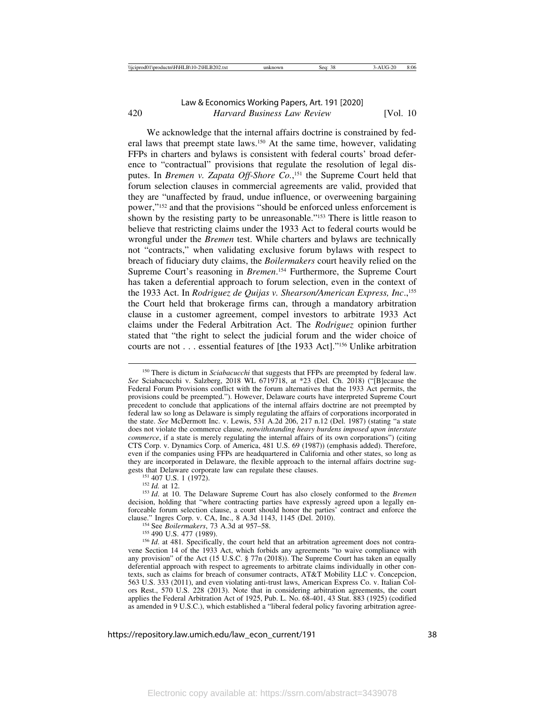We acknowledge that the internal affairs doctrine is constrained by federal laws that preempt state laws.150 At the same time, however, validating FFPs in charters and bylaws is consistent with federal courts' broad deference to "contractual" provisions that regulate the resolution of legal disputes. In *Bremen v. Zapata Off-Shore Co.*, 151 the Supreme Court held that forum selection clauses in commercial agreements are valid, provided that they are "unaffected by fraud, undue influence, or overweening bargaining power,"152 and that the provisions "should be enforced unless enforcement is shown by the resisting party to be unreasonable."<sup>153</sup> There is little reason to believe that restricting claims under the 1933 Act to federal courts would be wrongful under the *Bremen* test. While charters and bylaws are technically not "contracts," when validating exclusive forum bylaws with respect to breach of fiduciary duty claims, the *Boilermakers* court heavily relied on the Supreme Court's reasoning in *Bremen*.<sup>154</sup> Furthermore, the Supreme Court has taken a deferential approach to forum selection, even in the context of the 1933 Act. In *Rodriguez de Quijas v. Shearson/American Express, Inc*.,155 the Court held that brokerage firms can, through a mandatory arbitration clause in a customer agreement, compel investors to arbitrate 1933 Act claims under the Federal Arbitration Act. The *Rodriguez* opinion further stated that "the right to select the judicial forum and the wider choice of courts are not . . . essential features of [the 1933 Act]."156 Unlike arbitration

<sup>&</sup>lt;sup>150</sup> There is dictum in *Sciabacucchi* that suggests that FFPs are preempted by federal law. *See* Sciabacucchi v. Salzberg, 2018 WL 6719718, at \*23 (Del. Ch. 2018) ("[B]ecause the Federal Forum Provisions conflict with the forum alternatives that the 1933 Act permits, the provisions could be preempted."). However, Delaware courts have interpreted Supreme Court precedent to conclude that applications of the internal affairs doctrine are not preempted by federal law so long as Delaware is simply regulating the affairs of corporations incorporated in the state. *See* McDermott Inc. v. Lewis, 531 A.2d 206, 217 n.12 (Del. 1987) (stating "a state does not violate the commerce clause, *notwithstanding heavy burdens imposed upon interstate commerce*, if a state is merely regulating the internal affairs of its own corporations") (citing CTS Corp. v. Dynamics Corp. of America, 481 U.S. 69 (1987)) (emphasis added). Therefore, even if the companies using FFPs are headquartered in California and other states, so long as they are incorporated in Delaware, the flexible approach to the internal affairs doctrine suggests that Delaware corporate law can regulate these clauses.

<sup>&</sup>lt;sup>151</sup> 407 U.S. 1 (1972).<br><sup>152</sup> *Id.* at 12.<br><sup>153</sup> *Id.* at 10. The Delaware Supreme Court has also closely conformed to the *Bremen* decision, holding that "where contracting parties have expressly agreed upon a legally enforceable forum selection clause, a court should honor the parties' contract and enforce the clause." Ingres Corp. v. CA, Inc., 8 A.3d 1143, 1145 (Del. 2010).<br><sup>154</sup> See *Boilermakers*, 73 A.3d at 957–58.<br><sup>155</sup> 490 U.S. 477 (1989).<br><sup>156</sup> *Id.* at 481. Specifically, the court held that an arbitration agreement does

vene Section 14 of the 1933 Act, which forbids any agreements "to waive compliance with any provision" of the Act (15 U.S.C. § 77n (2018)). The Supreme Court has taken an equally deferential approach with respect to agreements to arbitrate claims individually in other contexts, such as claims for breach of consumer contracts, AT&T Mobility LLC v. Concepcion, 563 U.S. 333 (2011), and even violating anti-trust laws, American Express Co. v. Italian Colors Rest., 570 U.S. 228 (2013). Note that in considering arbitration agreements, the court applies the Federal Arbitration Act of 1925, Pub. L. No. 68-401, 43 Stat. 883 (1925) (codified as amended in 9 U.S.C.), which established a "liberal federal policy favoring arbitration agree-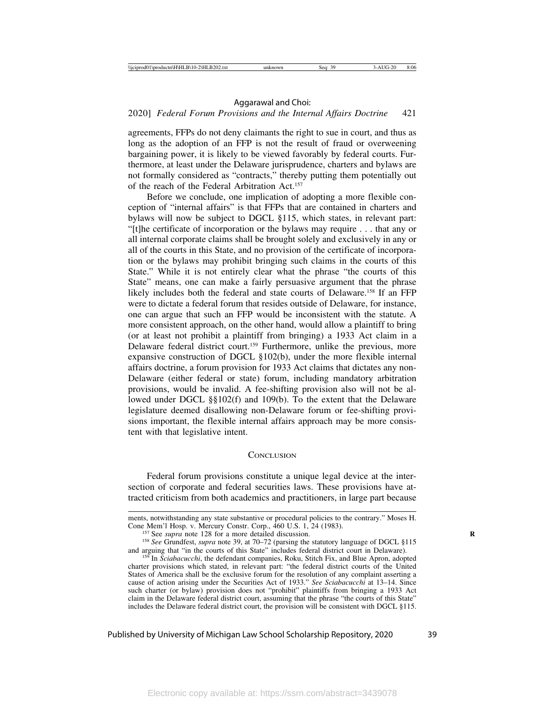### 2020] *Federal Forum Provisions and the Internal Affairs Doctrine* 421

agreements, FFPs do not deny claimants the right to sue in court, and thus as long as the adoption of an FFP is not the result of fraud or overweening bargaining power, it is likely to be viewed favorably by federal courts. Furthermore, at least under the Delaware jurisprudence, charters and bylaws are not formally considered as "contracts," thereby putting them potentially out of the reach of the Federal Arbitration Act.157

Before we conclude, one implication of adopting a more flexible conception of "internal affairs" is that FFPs that are contained in charters and bylaws will now be subject to DGCL §115, which states, in relevant part: "[t]he certificate of incorporation or the bylaws may require . . . that any or all internal corporate claims shall be brought solely and exclusively in any or all of the courts in this State, and no provision of the certificate of incorporation or the bylaws may prohibit bringing such claims in the courts of this State." While it is not entirely clear what the phrase "the courts of this State" means, one can make a fairly persuasive argument that the phrase likely includes both the federal and state courts of Delaware.158 If an FFP were to dictate a federal forum that resides outside of Delaware, for instance, one can argue that such an FFP would be inconsistent with the statute. A more consistent approach, on the other hand, would allow a plaintiff to bring (or at least not prohibit a plaintiff from bringing) a 1933 Act claim in a Delaware federal district court.159 Furthermore, unlike the previous, more expansive construction of DGCL §102(b), under the more flexible internal affairs doctrine, a forum provision for 1933 Act claims that dictates any non-Delaware (either federal or state) forum, including mandatory arbitration provisions, would be invalid. A fee-shifting provision also will not be allowed under DGCL §§102(f) and 109(b). To the extent that the Delaware legislature deemed disallowing non-Delaware forum or fee-shifting provisions important, the flexible internal affairs approach may be more consistent with that legislative intent.

#### **CONCLUSION**

Federal forum provisions constitute a unique legal device at the intersection of corporate and federal securities laws. These provisions have attracted criticism from both academics and practitioners, in large part because

ments, notwithstanding any state substantive or procedural policies to the contrary." Moses H. Cone Mem'l Hosp. v. Mercury Constr. Corp., 460 U.S. 1, 24 (1983).

<sup>&</sup>lt;sup>157</sup> See *supra* note 128 for a more detailed discussion.<br><sup>158</sup> See Grundfest, *supra* note 39, at 70–72 (parsing the statutory language of DGCL §115 and arguing that "in the courts of this State" includes federal distri

<sup>&</sup>lt;sup>159</sup> In Sciabacucchi, the defendant companies, Roku, Stitch Fix, and Blue Apron, adopted charter provisions which stated, in relevant part: "the federal district courts of the United States of America shall be the exclusive forum for the resolution of any complaint asserting a cause of action arising under the Securities Act of 1933." *See Sciabacucchi* at 13–14. Since such charter (or bylaw) provision does not "prohibit" plaintiffs from bringing a 1933 Act claim in the Delaware federal district court, assuming that the phrase "the courts of this State" includes the Delaware federal district court, the provision will be consistent with DGCL §115.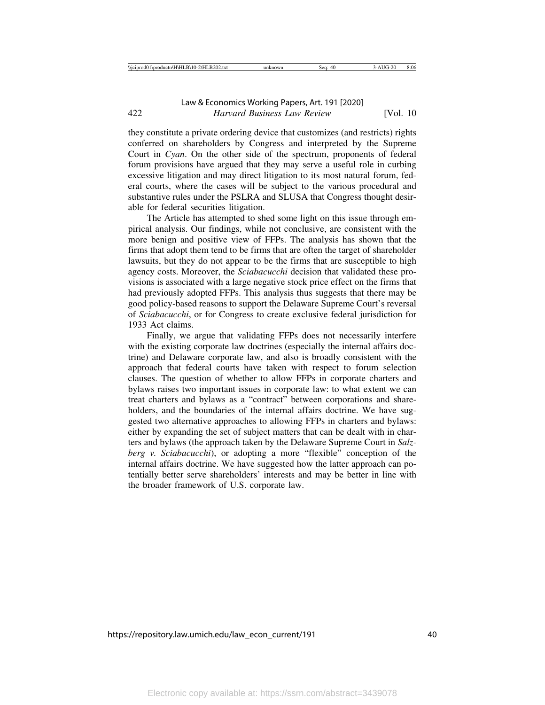they constitute a private ordering device that customizes (and restricts) rights conferred on shareholders by Congress and interpreted by the Supreme Court in *Cyan*. On the other side of the spectrum, proponents of federal forum provisions have argued that they may serve a useful role in curbing excessive litigation and may direct litigation to its most natural forum, federal courts, where the cases will be subject to the various procedural and substantive rules under the PSLRA and SLUSA that Congress thought desirable for federal securities litigation.

The Article has attempted to shed some light on this issue through empirical analysis. Our findings, while not conclusive, are consistent with the more benign and positive view of FFPs. The analysis has shown that the firms that adopt them tend to be firms that are often the target of shareholder lawsuits, but they do not appear to be the firms that are susceptible to high agency costs. Moreover, the *Sciabacucchi* decision that validated these provisions is associated with a large negative stock price effect on the firms that had previously adopted FFPs. This analysis thus suggests that there may be good policy-based reasons to support the Delaware Supreme Court's reversal of *Sciabacucchi*, or for Congress to create exclusive federal jurisdiction for 1933 Act claims.

Finally, we argue that validating FFPs does not necessarily interfere with the existing corporate law doctrines (especially the internal affairs doctrine) and Delaware corporate law, and also is broadly consistent with the approach that federal courts have taken with respect to forum selection clauses. The question of whether to allow FFPs in corporate charters and bylaws raises two important issues in corporate law: to what extent we can treat charters and bylaws as a "contract" between corporations and shareholders, and the boundaries of the internal affairs doctrine. We have suggested two alternative approaches to allowing FFPs in charters and bylaws: either by expanding the set of subject matters that can be dealt with in charters and bylaws (the approach taken by the Delaware Supreme Court in *Salzberg v. Sciabacucchi*), or adopting a more "flexible" conception of the internal affairs doctrine. We have suggested how the latter approach can potentially better serve shareholders' interests and may be better in line with the broader framework of U.S. corporate law.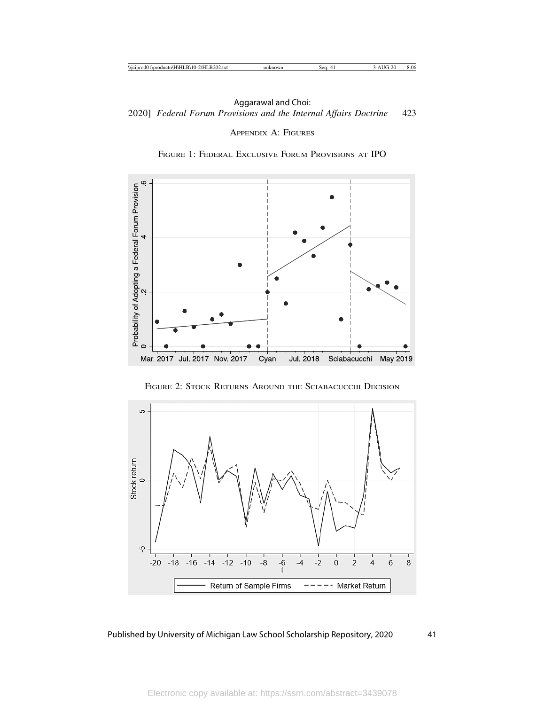# APPENDIX A: FIGURES





FIGURE 2: STOCK RETURNS AROUND THE SCIABACUCCHI DECISION

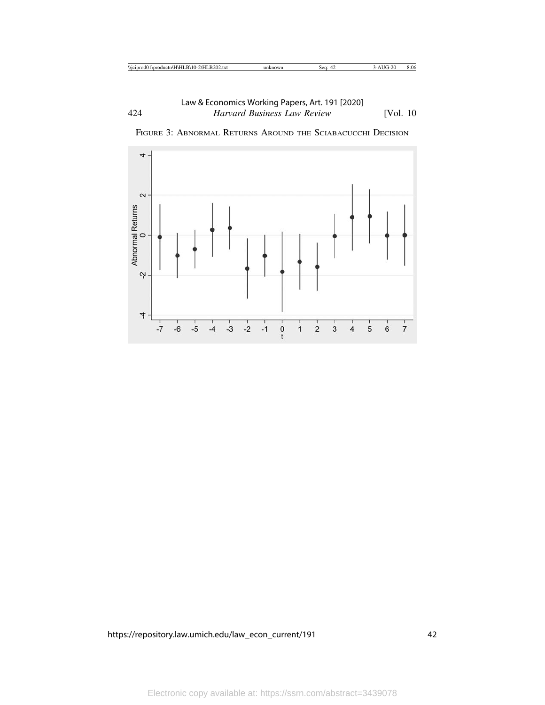

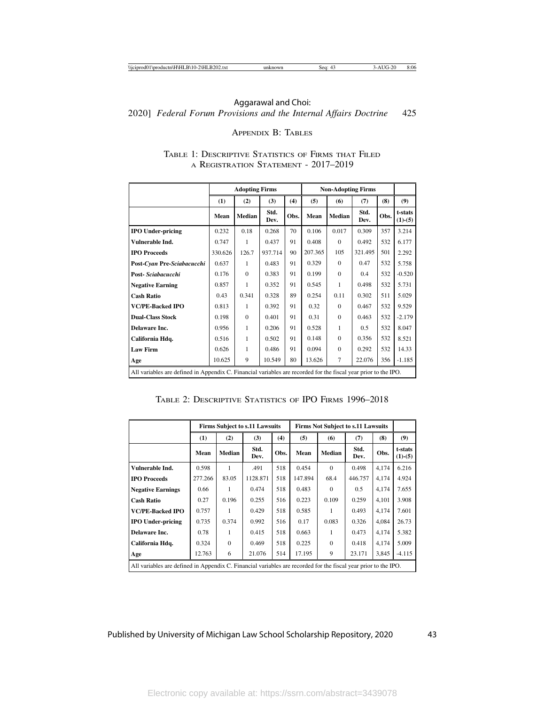# 2020] *Federal Forum Provisions and the Internal Affairs Doctrine* 425 Aggarawal and Choi:

### APPENDIX B: TABLES

|                                                                                                                 |         | <b>Adopting Firms</b> |              |      |         | <b>Non-Adopting Firms</b> |              |      |                      |
|-----------------------------------------------------------------------------------------------------------------|---------|-----------------------|--------------|------|---------|---------------------------|--------------|------|----------------------|
|                                                                                                                 | (1)     | (2)                   | (3)          | (4)  | (5)     | (6)                       | (7)          | (8)  | (9)                  |
|                                                                                                                 | Mean    | <b>Median</b>         | Std.<br>Dev. | Obs. | Mean    | <b>Median</b>             | Std.<br>Dev. | Obs. | t-stats<br>$(1)-(5)$ |
| <b>IPO Under-pricing</b>                                                                                        | 0.232   | 0.18                  | 0.268        | 70   | 0.106   | 0.017                     | 0.309        | 357  | 3.214                |
| Vulnerable Ind.                                                                                                 | 0.747   | 1                     | 0.437        | 91   | 0.408   | $\Omega$                  | 0.492        | 532  | 6.177                |
| <b>IPO Proceeds</b>                                                                                             | 330.626 | 126.7                 | 937.714      | 90   | 207.365 | 105                       | 321.495      | 501  | 2.292                |
| Post-Cyan Pre-Sciabacucchi                                                                                      | 0.637   | 1                     | 0.483        | 91   | 0.329   | $\Omega$                  | 0.47         | 532  | 5.758                |
| Post-Sciabacucchi                                                                                               | 0.176   | $\Omega$              | 0.383        | 91   | 0.199   | $\Omega$                  | 0.4          | 532  | $-0.520$             |
| <b>Negative Earning</b>                                                                                         | 0.857   | 1                     | 0.352        | 91   | 0.545   | 1                         | 0.498        | 532  | 5.731                |
| <b>Cash Ratio</b>                                                                                               | 0.43    | 0.341                 | 0.328        | 89   | 0.254   | 0.11                      | 0.302        | 511  | 5.029                |
| <b>VC/PE-Backed IPO</b>                                                                                         | 0.813   | 1                     | 0.392        | 91   | 0.32    | $\Omega$                  | 0.467        | 532  | 9.529                |
| <b>Dual-Class Stock</b>                                                                                         | 0.198   | $\Omega$              | 0.401        | 91   | 0.31    | $\Omega$                  | 0.463        | 532  | $-2.179$             |
| Delaware Inc.                                                                                                   | 0.956   | 1                     | 0.206        | 91   | 0.528   | 1                         | 0.5          | 532  | 8.047                |
| California Hdq.                                                                                                 | 0.516   | 1                     | 0.502        | 91   | 0.148   | $\Omega$                  | 0.356        | 532  | 8.521                |
| <b>Law Firm</b>                                                                                                 | 0.626   | 1                     | 0.486        | 91   | 0.094   | $\mathbf{0}$              | 0.292        | 532  | 14.33                |
| Age                                                                                                             | 10.625  | 9                     | 10.549       | 80   | 13.626  | 7                         | 22.076       | 356  | $-1.185$             |
| All variables are defined in Appendix C. Financial variables are recorded for the fiscal year prior to the IPO. |         |                       |              |      |         |                           |              |      |                      |

# TABLE 1: DESCRIPTIVE STATISTICS OF FIRMS THAT FILED A REGISTRATION STATEMENT - 2017-2019

|  | TABLE 2: DESCRIPTIVE STATISTICS OF IPO FIRMS 1996–2018 |  |  |  |  |  |
|--|--------------------------------------------------------|--|--|--|--|--|
|--|--------------------------------------------------------|--|--|--|--|--|

|                                                                                                                 |         |                   | <b>Firms Subject to s.11 Lawsuits</b> |      | <b>Firms Not Subject to s.11 Lawsuits</b> |               |              |       |                      |
|-----------------------------------------------------------------------------------------------------------------|---------|-------------------|---------------------------------------|------|-------------------------------------------|---------------|--------------|-------|----------------------|
|                                                                                                                 | (1)     | (4)<br>(2)<br>(3) |                                       |      |                                           | (6)           | (7)          | (8)   | (9)                  |
|                                                                                                                 | Mean    | <b>Median</b>     | Std.<br>Dev.                          | Obs. | Mean                                      | <b>Median</b> | Std.<br>Dev. | Obs.  | t-stats<br>$(1)-(5)$ |
| Vulnerable Ind.                                                                                                 | 0.598   | 1                 | .491                                  | 518  | 0.454                                     | $\Omega$      | 0.498        | 4,174 | 6.216                |
| <b>IPO Proceeds</b>                                                                                             | 277.266 | 83.05             | 1128.871                              | 518  | 147.894                                   | 68.4          | 446.757      | 4.174 | 4.924                |
| <b>Negative Earnings</b>                                                                                        | 0.66    | 1                 | 0.474                                 | 518  | 0.483                                     | $\Omega$      | 0.5          | 4.174 | 7.655                |
| <b>Cash Ratio</b>                                                                                               | 0.27    | 0.196             | 0.255                                 | 516  | 0.223                                     | 0.109         | 0.259        | 4.101 | 3.908                |
| <b>VC/PE-Backed IPO</b>                                                                                         | 0.757   | 1                 | 0.429                                 | 518  | 0.585                                     |               | 0.493        | 4,174 | 7.601                |
| <b>IPO Under-pricing</b>                                                                                        | 0.735   | 0.374             | 0.992                                 | 516  | 0.17                                      | 0.083         | 0.326        | 4,084 | 26.73                |
| Delaware Inc.                                                                                                   | 0.78    | 1                 | 0.415                                 | 518  | 0.663                                     |               | 0.473        | 4.174 | 5.382                |
| California Hdq.                                                                                                 | 0.324   | $\Omega$          | 0.469                                 | 518  | 0.225                                     | $\Omega$      | 0.418        | 4,174 | 5.009                |
| Age                                                                                                             | 12.763  | 6                 | 21.076                                | 514  | 17.195                                    | 9             | 23.171       | 3,845 | $-4.115$             |
| All variables are defined in Appendix C. Financial variables are recorded for the fiscal year prior to the IPO. |         |                   |                                       |      |                                           |               |              |       |                      |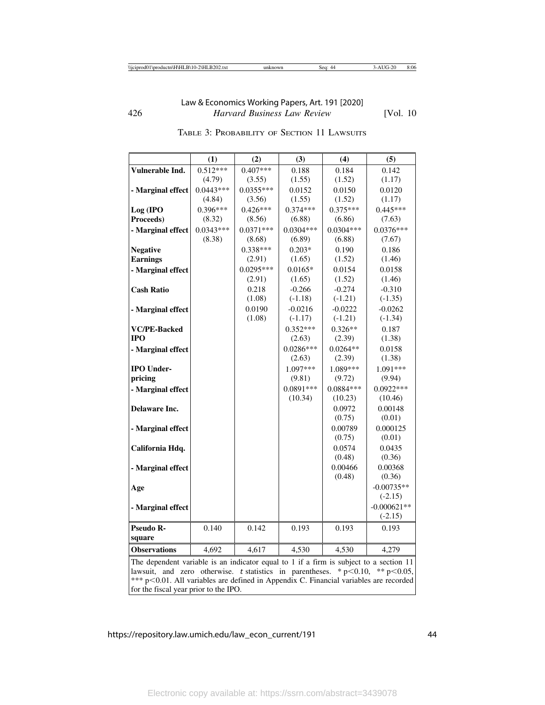|                                                                                                                                                                            | (1)         | (2)         | (3)         | (4)              | (5)              |
|----------------------------------------------------------------------------------------------------------------------------------------------------------------------------|-------------|-------------|-------------|------------------|------------------|
| Vulnerable Ind.                                                                                                                                                            | $0.512***$  | $0.407***$  | 0.188       | 0.184            | 0.142            |
|                                                                                                                                                                            | (4.79)      | (3.55)      | (1.55)      | (1.52)           | (1.17)           |
| - Marginal effect                                                                                                                                                          | $0.0443***$ | $0.0355***$ | 0.0152      | 0.0150           | 0.0120           |
|                                                                                                                                                                            | (4.84)      | (3.56)      | (1.55)      | (1.52)           | (1.17)           |
| Log (IPO                                                                                                                                                                   | $0.396***$  | $0.426***$  | $0.374***$  | $0.375***$       | $0.445***$       |
| Proceeds)                                                                                                                                                                  | (8.32)      | (8.56)      | (6.88)      | (6.86)           | (7.63)           |
| - Marginal effect                                                                                                                                                          | $0.0343***$ | $0.0371***$ | $0.0304***$ | $0.0304***$      | $0.0376***$      |
|                                                                                                                                                                            | (8.38)      | (8.68)      | (6.89)      | (6.88)           | (7.67)           |
| <b>Negative</b>                                                                                                                                                            |             | $0.338***$  | $0.203*$    | 0.190            | 0.186            |
| <b>Earnings</b>                                                                                                                                                            |             | (2.91)      | (1.65)      | (1.52)           | (1.46)           |
| - Marginal effect                                                                                                                                                          |             | $0.0295***$ | $0.0165*$   | 0.0154           | 0.0158           |
|                                                                                                                                                                            |             | (2.91)      | (1.65)      | (1.52)           | (1.46)           |
| <b>Cash Ratio</b>                                                                                                                                                          |             | 0.218       | $-0.266$    | $-0.274$         | $-0.310$         |
|                                                                                                                                                                            |             | (1.08)      | $(-1.18)$   | $(-1.21)$        | $(-1.35)$        |
| - Marginal effect                                                                                                                                                          |             | 0.0190      | $-0.0216$   | $-0.0222$        | $-0.0262$        |
|                                                                                                                                                                            |             | (1.08)      | $(-1.17)$   | $(-1.21)$        | $(-1.34)$        |
| <b>VC/PE-Backed</b>                                                                                                                                                        |             |             | $0.352***$  | $0.326**$        | 0.187            |
| <b>IPO</b>                                                                                                                                                                 |             |             | (2.63)      | (2.39)           | (1.38)           |
| - Marginal effect                                                                                                                                                          |             |             | $0.0286***$ | $0.0264**$       | 0.0158           |
|                                                                                                                                                                            |             |             | (2.63)      | (2.39)           | (1.38)           |
| <b>IPO Under-</b>                                                                                                                                                          |             |             | $1.097***$  | 1.089***         | 1.091***         |
| pricing                                                                                                                                                                    |             |             | (9.81)      | (9.72)           | (9.94)           |
| - Marginal effect                                                                                                                                                          |             |             | $0.0891***$ | $0.0884***$      | $0.0922***$      |
|                                                                                                                                                                            |             |             | (10.34)     | (10.23)          | (10.46)          |
| Delaware Inc.                                                                                                                                                              |             |             |             | 0.0972           | 0.00148          |
|                                                                                                                                                                            |             |             |             | (0.75)           | (0.01)           |
| - Marginal effect                                                                                                                                                          |             |             |             | 0.00789          | 0.000125         |
|                                                                                                                                                                            |             |             |             | (0.75)           | (0.01)           |
| California Hdq.                                                                                                                                                            |             |             |             | 0.0574<br>(0.48) | 0.0435<br>(0.36) |
|                                                                                                                                                                            |             |             |             | 0.00466          | 0.00368          |
| - Marginal effect                                                                                                                                                          |             |             |             | (0.48)           | (0.36)           |
|                                                                                                                                                                            |             |             |             |                  | $-0.00735**$     |
| Age                                                                                                                                                                        |             |             |             |                  | $(-2.15)$        |
| - Marginal effect                                                                                                                                                          |             |             |             |                  | $-0.000621**$    |
|                                                                                                                                                                            |             |             |             |                  | $(-2.15)$        |
| Pseudo R-                                                                                                                                                                  | 0.140       | 0.142       | 0.193       | 0.193            | 0.193            |
| square                                                                                                                                                                     |             |             |             |                  |                  |
| <b>Observations</b>                                                                                                                                                        | 4,692       | 4,617       | 4,530       | 4,530            | 4,279            |
|                                                                                                                                                                            |             |             |             |                  |                  |
| The dependent variable is an indicator equal to 1 if a firm is subject to a section 11<br>lawsuit and zero otherwise t-statistics in parentheses $* n < 0.10$ $* n < 0.05$ |             |             |             |                  |                  |

| TABLE 3: PROBABILITY OF SECTION 11 LAWSUITS |
|---------------------------------------------|
|---------------------------------------------|

lawsuit, and zero otherwise. t statistics in parentheses. \*  $p<0.10$ , \*\*  $p<0.05$ , \*\*\* p<0.01. All variables are defined in Appendix C. Financial variables are recorded for the fiscal year prior to the IPO.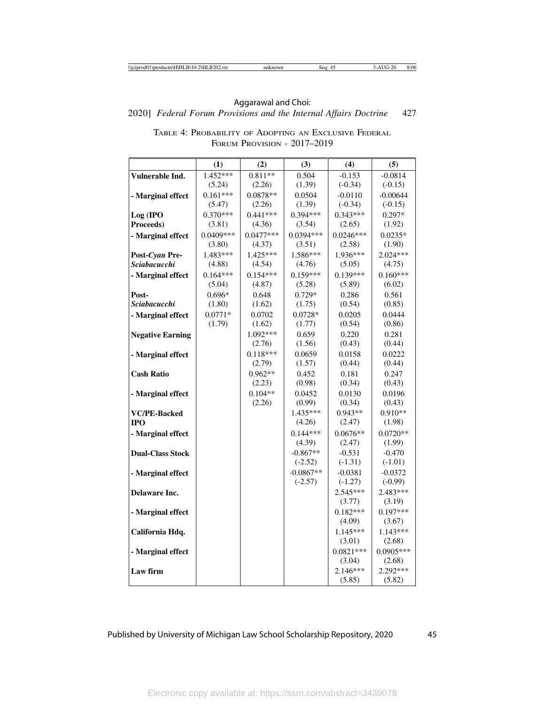2020] *Federal Forum Provisions and the Internal Affairs Doctrine* 427 Aggarawal and Choi:

|                                                                                                                                                                                                  | (1)         | (2)         | (3)                                                                                                 | (4)                                                                                                                                                                                                                   | (5)                                                                                                                                                                                                                 |
|--------------------------------------------------------------------------------------------------------------------------------------------------------------------------------------------------|-------------|-------------|-----------------------------------------------------------------------------------------------------|-----------------------------------------------------------------------------------------------------------------------------------------------------------------------------------------------------------------------|---------------------------------------------------------------------------------------------------------------------------------------------------------------------------------------------------------------------|
| Vulnerable Ind.                                                                                                                                                                                  | 1.452***    | $0.811**$   | 0.504                                                                                               | $-0.153$                                                                                                                                                                                                              | $-0.0814$                                                                                                                                                                                                           |
|                                                                                                                                                                                                  | (5.24)      | (2.26)      | (1.39)                                                                                              | $(-0.34)$                                                                                                                                                                                                             | $(-0.15)$                                                                                                                                                                                                           |
| - Marginal effect                                                                                                                                                                                | $0.161***$  | $0.0878**$  | 0.0504                                                                                              | $-0.0110$                                                                                                                                                                                                             | $-0.00644$                                                                                                                                                                                                          |
|                                                                                                                                                                                                  | (5.47)      | (2.26)      | (1.39)                                                                                              | $(-0.34)$                                                                                                                                                                                                             | $(-0.15)$                                                                                                                                                                                                           |
| Log (IPO                                                                                                                                                                                         | $0.370***$  | $0.441***$  | $0.394***$                                                                                          | $0.343***$                                                                                                                                                                                                            | $0.297*$                                                                                                                                                                                                            |
| Proceeds)                                                                                                                                                                                        | (3.81)      | (4.36)      | (3.54)                                                                                              | (2.65)                                                                                                                                                                                                                | (1.92)                                                                                                                                                                                                              |
| - Marginal effect                                                                                                                                                                                | $0.0409***$ | $0.0477***$ | $0.0394***$                                                                                         | $0.0246***$                                                                                                                                                                                                           | $0.0235*$                                                                                                                                                                                                           |
|                                                                                                                                                                                                  | (3.80)      | (4.37)      | (3.51)                                                                                              | (2.58)                                                                                                                                                                                                                | (1.90)                                                                                                                                                                                                              |
| Post-Cyan Pre-                                                                                                                                                                                   | 1.483***    | 1.425***    | 1.586***                                                                                            | 1.936***                                                                                                                                                                                                              | $2.024***$                                                                                                                                                                                                          |
| <b>Sciabacucchi</b>                                                                                                                                                                              | (4.88)      | (4.54)      | (4.76)                                                                                              | (5.05)                                                                                                                                                                                                                | (4.75)                                                                                                                                                                                                              |
| - Marginal effect                                                                                                                                                                                | $0.164***$  | $0.154***$  | $0.159***$                                                                                          | $0.139***$                                                                                                                                                                                                            | $0.160***$                                                                                                                                                                                                          |
|                                                                                                                                                                                                  | (5.04)      | (4.87)      | (5.28)                                                                                              | (5.89)                                                                                                                                                                                                                | (6.02)                                                                                                                                                                                                              |
| Post-                                                                                                                                                                                            | $0.696*$    | 0.648       | $0.729*$                                                                                            | 0.286                                                                                                                                                                                                                 | 0.561                                                                                                                                                                                                               |
| <b>Sciabacucchi</b>                                                                                                                                                                              | (1.80)      | (1.62)      | (1.75)                                                                                              | (0.54)                                                                                                                                                                                                                | (0.85)                                                                                                                                                                                                              |
| - Marginal effect                                                                                                                                                                                | $0.0771*$   | 0.0702      | $0.0728*$                                                                                           | 0.0205                                                                                                                                                                                                                | 0.0444                                                                                                                                                                                                              |
|                                                                                                                                                                                                  | (1.79)      | (1.62)      | (1.77)                                                                                              | (0.54)                                                                                                                                                                                                                | (0.86)                                                                                                                                                                                                              |
| <b>Negative Earning</b>                                                                                                                                                                          |             | 1.092***    | 0.659                                                                                               | 0.220                                                                                                                                                                                                                 | 0.281                                                                                                                                                                                                               |
|                                                                                                                                                                                                  |             | (2.76)      | (1.56)                                                                                              | (0.43)                                                                                                                                                                                                                | (0.44)                                                                                                                                                                                                              |
| - Marginal effect                                                                                                                                                                                |             | $0.118***$  | 0.0659                                                                                              | 0.0158                                                                                                                                                                                                                | 0.0222                                                                                                                                                                                                              |
|                                                                                                                                                                                                  |             | (2.79)      | (1.57)                                                                                              | (0.44)                                                                                                                                                                                                                | (0.44)                                                                                                                                                                                                              |
| <b>Cash Ratio</b>                                                                                                                                                                                |             | $0.962**$   | 0.452                                                                                               | 0.181                                                                                                                                                                                                                 | 0.247                                                                                                                                                                                                               |
|                                                                                                                                                                                                  |             | (2.23)      | (0.98)                                                                                              | (0.34)                                                                                                                                                                                                                | (0.43)                                                                                                                                                                                                              |
| - Marginal effect                                                                                                                                                                                |             | $0.104**$   | 0.0452                                                                                              | 0.0130                                                                                                                                                                                                                | 0.0196                                                                                                                                                                                                              |
|                                                                                                                                                                                                  |             | (2.26)      | (0.99)                                                                                              | (0.34)                                                                                                                                                                                                                | (0.43)                                                                                                                                                                                                              |
|                                                                                                                                                                                                  |             |             |                                                                                                     |                                                                                                                                                                                                                       |                                                                                                                                                                                                                     |
|                                                                                                                                                                                                  |             |             |                                                                                                     |                                                                                                                                                                                                                       |                                                                                                                                                                                                                     |
|                                                                                                                                                                                                  |             |             |                                                                                                     |                                                                                                                                                                                                                       |                                                                                                                                                                                                                     |
|                                                                                                                                                                                                  |             |             |                                                                                                     |                                                                                                                                                                                                                       |                                                                                                                                                                                                                     |
|                                                                                                                                                                                                  |             |             |                                                                                                     |                                                                                                                                                                                                                       |                                                                                                                                                                                                                     |
|                                                                                                                                                                                                  |             |             |                                                                                                     |                                                                                                                                                                                                                       |                                                                                                                                                                                                                     |
|                                                                                                                                                                                                  |             |             |                                                                                                     |                                                                                                                                                                                                                       |                                                                                                                                                                                                                     |
|                                                                                                                                                                                                  |             |             |                                                                                                     |                                                                                                                                                                                                                       |                                                                                                                                                                                                                     |
|                                                                                                                                                                                                  |             |             |                                                                                                     |                                                                                                                                                                                                                       |                                                                                                                                                                                                                     |
|                                                                                                                                                                                                  |             |             |                                                                                                     |                                                                                                                                                                                                                       |                                                                                                                                                                                                                     |
|                                                                                                                                                                                                  |             |             |                                                                                                     |                                                                                                                                                                                                                       |                                                                                                                                                                                                                     |
|                                                                                                                                                                                                  |             |             |                                                                                                     |                                                                                                                                                                                                                       |                                                                                                                                                                                                                     |
|                                                                                                                                                                                                  |             |             |                                                                                                     |                                                                                                                                                                                                                       |                                                                                                                                                                                                                     |
|                                                                                                                                                                                                  |             |             |                                                                                                     |                                                                                                                                                                                                                       |                                                                                                                                                                                                                     |
|                                                                                                                                                                                                  |             |             |                                                                                                     |                                                                                                                                                                                                                       |                                                                                                                                                                                                                     |
|                                                                                                                                                                                                  |             |             |                                                                                                     |                                                                                                                                                                                                                       |                                                                                                                                                                                                                     |
|                                                                                                                                                                                                  |             |             |                                                                                                     |                                                                                                                                                                                                                       |                                                                                                                                                                                                                     |
| <b>VC/PE-Backed</b><br><b>IPO</b><br>- Marginal effect<br><b>Dual-Class Stock</b><br>- Marginal effect<br>Delaware Inc.<br>- Marginal effect<br>California Hdq.<br>- Marginal effect<br>Law firm |             |             | $1.435***$<br>(4.26)<br>$0.144***$<br>(4.39)<br>$-0.867**$<br>$(-2.52)$<br>$-0.0867**$<br>$(-2.57)$ | $0.943**$<br>(2.47)<br>$0.0676**$<br>(2.47)<br>$-0.531$<br>$(-1.31)$<br>$-0.0381$<br>$(-1.27)$<br>$2.545***$<br>(3.77)<br>$0.182***$<br>(4.09)<br>$1.145***$<br>(3.01)<br>$0.0821***$<br>(3.04)<br>2.146***<br>(5.85) | $0.910**$<br>(1.98)<br>$0.0720**$<br>(1.99)<br>$-0.470$<br>$(-1.01)$<br>$-0.0372$<br>$(-0.99)$<br>2.483***<br>(3.19)<br>$0.197***$<br>(3.67)<br>$1.143***$<br>(2.68)<br>$0.0905***$<br>(2.68)<br>2.292***<br>(5.82) |

TABLE 4: PROBABILITY OF ADOPTING AN EXCLUSIVE FEDERAL FORUM PROVISION - 2017–2019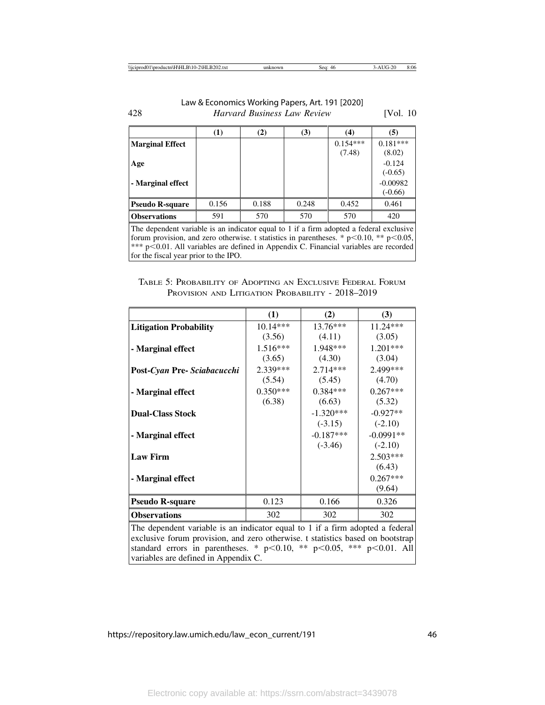|                        | (1)                  | (2)   | (3)                            | (4)                         | (5)                     |
|------------------------|----------------------|-------|--------------------------------|-----------------------------|-------------------------|
| <b>Marginal Effect</b> |                      |       |                                | $0.154***$<br>(7.48)        | $0.181***$<br>(8.02)    |
| Age                    |                      |       |                                |                             | $-0.124$<br>$(-0.65)$   |
| - Marginal effect      |                      |       |                                |                             | $-0.00982$<br>$(-0.66)$ |
| <b>Pseudo R-square</b> | 0.156                | 0.188 | 0.248                          | 0.452                       | 0.461                   |
| <b>Observations</b>    | 591                  | 570   | 570                            | 570                         | 420                     |
| $-1$                   | .<br>$\cdot$ $\cdot$ |       | $\sim$ $\sim$ $\sim$<br>$\sim$ | $\sim$ $\sim$ $\sim$ $\sim$ |                         |

The dependent variable is an indicator equal to 1 if a firm adopted a federal exclusive forum provision, and zero otherwise. t statistics in parentheses. \*  $p<0.10$ , \*\*  $p<0.05$ , \*\*\* p<0.01. All variables are defined in Appendix C. Financial variables are recorded for the fiscal year prior to the IPO.

### TABLE 5: PROBABILITY OF ADOPTING AN EXCLUSIVE FEDERAL FORUM PROVISION AND LITIGATION PROBABILITY - 2018–2019

|                               | (1)        | (2)         | (3)         |
|-------------------------------|------------|-------------|-------------|
| <b>Litigation Probability</b> | $10.14***$ | 13.76***    | 11.24***    |
|                               | (3.56)     | (4.11)      | (3.05)      |
| - Marginal effect             | $1.516***$ | 1.948***    | 1.201***    |
|                               | (3.65)     | (4.30)      | (3.04)      |
| Post-Cyan Pre- Sciabacucchi   | $2.339***$ | $2.714***$  | 2.499***    |
|                               | (5.54)     | (5.45)      | (4.70)      |
| - Marginal effect             | $0.350***$ | $0.384***$  | $0.267***$  |
|                               | (6.38)     | (6.63)      | (5.32)      |
| <b>Dual-Class Stock</b>       |            | $-1.320***$ | $-0.927**$  |
|                               |            | $(-3.15)$   | $(-2.10)$   |
| - Marginal effect             |            | $-0.187***$ | $-0.0991**$ |
|                               |            | $(-3.46)$   | $(-2.10)$   |
| <b>Law Firm</b>               |            |             | $2.503***$  |
|                               |            |             | (6.43)      |
| - Marginal effect             |            |             | $0.267***$  |
|                               |            |             | (9.64)      |
| <b>Pseudo R-square</b>        | 0.123      | 0.166       | 0.326       |
| <b>Observations</b>           | 302        | 302         | 302         |

The dependent variable is an indicator equal to 1 if a firm adopted a federal exclusive forum provision, and zero otherwise. t statistics based on bootstrap standard errors in parentheses. \*  $p<0.10$ , \*\*  $p<0.05$ , \*\*\*  $p<0.01$ . All variables are defined in Appendix C.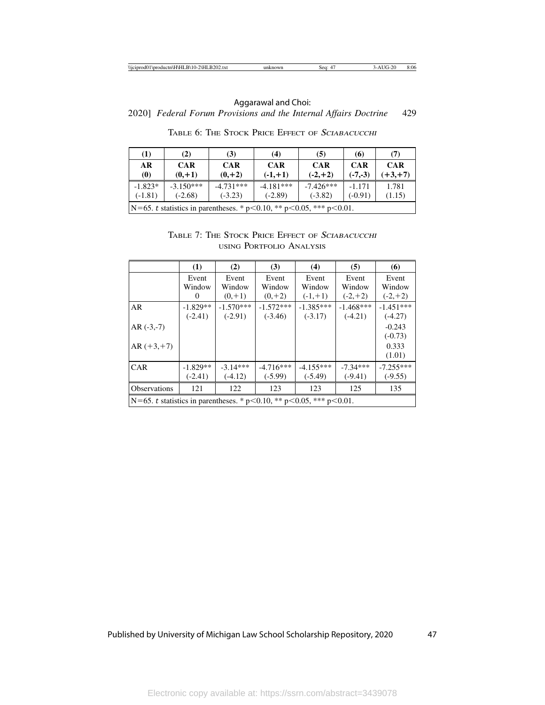| $\bf(1)$<br>(2)<br>(3)<br>(7)<br>(4)<br>(5)<br>(6)                                                           |                                                                               |  |  |  |  |  |  |  |  |  |
|--------------------------------------------------------------------------------------------------------------|-------------------------------------------------------------------------------|--|--|--|--|--|--|--|--|--|
| <b>CAR</b><br>AR<br><b>CAR</b><br><b>CAR</b><br><b>CAR</b><br><b>CAR</b><br><b>CAR</b>                       |                                                                               |  |  |  |  |  |  |  |  |  |
| $(+3, +7)$<br>$(0, +1)$<br>$(-1,+1)$<br>$(-2,+2)$<br>$\boldsymbol{\left(0\right)}$<br>$(0, +2)$<br>$(-7,-3)$ |                                                                               |  |  |  |  |  |  |  |  |  |
| $-1.823*$                                                                                                    | $-3.150***$<br>$-4.731***$<br>$-4.181***$<br>$-7.426***$<br>1.781<br>$-1.171$ |  |  |  |  |  |  |  |  |  |
| $(-1.81)$<br>$(-2.68)$<br>$(-3.82)$<br>$(-2.89)$<br>$(-0.91)$<br>(1.15)<br>$(-3.23)$                         |                                                                               |  |  |  |  |  |  |  |  |  |
|                                                                                                              | N=65. t statistics in parentheses. * $p<0.10$ , ** $p<0.05$ , *** $p<0.01$ .  |  |  |  |  |  |  |  |  |  |

TABLE 6: THE STOCK PRICE EFFECT OF <sup>S</sup>CIABACUCCHI

# TABLE 7: THE STOCK PRICE EFFECT OF <sup>S</sup>CIABACUCCHI USING PORTFOLIO ANALYSIS

|                                                                              | (1)        | (2)         | (3)         | (4)         | (5)         | (6)         |  |  |  |
|------------------------------------------------------------------------------|------------|-------------|-------------|-------------|-------------|-------------|--|--|--|
|                                                                              | Event      | Event       | Event       | Event       | Event       | Event       |  |  |  |
|                                                                              | Window     | Window      | Window      | Window      | Window      | Window      |  |  |  |
|                                                                              | $\theta$   | $(0, +1)$   | $(0, +2)$   | $(-1,+1)$   | $(-2,+2)$   | $(-2,+2)$   |  |  |  |
| AR                                                                           | $-1.829**$ | $-1.570***$ | $-1.572***$ | $-1.385***$ | $-1.468***$ | $-1.451***$ |  |  |  |
|                                                                              | $(-2.41)$  | $(-2.91)$   | $(-3.46)$   | $(-3.17)$   | $(-4.21)$   | $(-4.27)$   |  |  |  |
| $AR$ $(-3,-7)$                                                               |            |             |             |             |             | $-0.243$    |  |  |  |
|                                                                              | $(-0.73)$  |             |             |             |             |             |  |  |  |
| $AR (+3, +7)$                                                                |            |             |             |             |             | 0.333       |  |  |  |
|                                                                              |            |             |             |             |             | (1.01)      |  |  |  |
| <b>CAR</b>                                                                   | $-1.829**$ | $-3.14***$  | $-4.716***$ | $-4.155***$ | $-7.34***$  | $-7.255***$ |  |  |  |
|                                                                              | $(-2.41)$  | $(-4.12)$   | $(-5.99)$   | $(-5.49)$   | $(-9.41)$   | $(-9.55)$   |  |  |  |
| <b>Observations</b>                                                          | 121        | 122         | 123         | 123         | 125         | 135         |  |  |  |
| N=65. t statistics in parentheses. * $p<0.10$ , ** $p<0.05$ , *** $p<0.01$ . |            |             |             |             |             |             |  |  |  |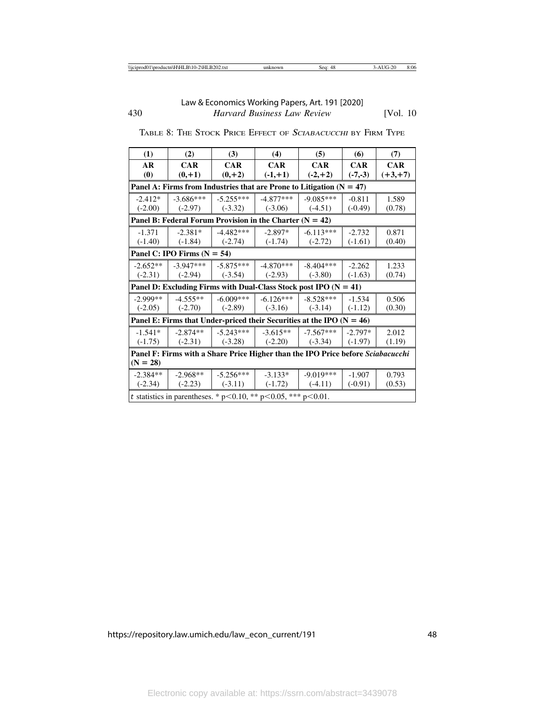| (1)                                                                             | (2)                           | (3)                                                                     | (4)                   | (5)         | (6)        | (7)        |  |  |  |  |
|---------------------------------------------------------------------------------|-------------------------------|-------------------------------------------------------------------------|-----------------------|-------------|------------|------------|--|--|--|--|
| AR                                                                              | <b>CAR</b>                    | CAR                                                                     | <b>CAR</b>            | <b>CAR</b>  | <b>CAR</b> | <b>CAR</b> |  |  |  |  |
| $\boldsymbol{\left( 0\right) }$                                                 | $(0, +1)$                     | $(0, +2)$                                                               | $(-1,+1)$             | $(-2,+2)$   | $(-7,-3)$  | $(+3, +7)$ |  |  |  |  |
| Panel A: Firms from Industries that are Prone to Litigation $(N = 47)$          |                               |                                                                         |                       |             |            |            |  |  |  |  |
| $-2.412*$                                                                       | $-3.686***$                   | $-5.255***$                                                             | $-4.877***$           | $-9.085***$ | $-0.811$   | 1.589      |  |  |  |  |
| $(-2.00)$                                                                       | $(-2.97)$                     | $(-3.32)$                                                               | $(-3.06)$             | $(-4.51)$   | $(-0.49)$  | (0.78)     |  |  |  |  |
|                                                                                 |                               | Panel B: Federal Forum Provision in the Charter $(N = 42)$              |                       |             |            |            |  |  |  |  |
| $-1.371$                                                                        | $-2.381*$                     | $-4.482***$                                                             | $-2.897*$             | $-6.113***$ | $-2.732$   | 0.871      |  |  |  |  |
| $(-1.40)$                                                                       | $(-1.84)$                     | $(-2.74)$                                                               | $(-1.74)$             | $(-2.72)$   | $(-1.61)$  | (0.40)     |  |  |  |  |
|                                                                                 | Panel C: IPO Firms $(N = 54)$ |                                                                         |                       |             |            |            |  |  |  |  |
| $-2.652**$                                                                      | $-3.947***$                   | $-5.875***$                                                             | $-4.870***$           | $-8.404***$ | $-2.262$   | 1.233      |  |  |  |  |
| $(-2.31)$                                                                       |                               | $(-2.94)$ $(-3.54)$                                                     | $(-2.93)$             | $(-3.80)$   | $(-1.63)$  | (0.74)     |  |  |  |  |
|                                                                                 |                               | Panel D: Excluding Firms with Dual-Class Stock post IPO $(N = 41)$      |                       |             |            |            |  |  |  |  |
| $-2.999**$                                                                      | $-4.555**$                    | $-6.009***$                                                             | $-6.126***$           | $-8.528***$ | $-1.534$   | 0.506      |  |  |  |  |
| $(-2.05)$                                                                       | $(-2.70)$                     | $\vert$ (-2.89)                                                         | $\left( -3.16\right)$ | $(-3.14)$   | $(-1.12)$  | (0.30)     |  |  |  |  |
|                                                                                 |                               | Panel E: Firms that Under-priced their Securities at the IPO $(N = 46)$ |                       |             |            |            |  |  |  |  |
| $-1.541*$                                                                       | $-2.874**$                    | $-5.243***$                                                             | $-3.615**$            | $-7.567***$ | $-2.797*$  | 2.012      |  |  |  |  |
| $(-1.75)$                                                                       | $(-2.31)$                     | $(-3.28)$                                                               | $(-2.20)$             | $(-3.34)$   | $(-1.97)$  | (1.19)     |  |  |  |  |
| Panel F: Firms with a Share Price Higher than the IPO Price before Sciabacucchi |                               |                                                                         |                       |             |            |            |  |  |  |  |
| $(N = 28)$                                                                      |                               |                                                                         |                       |             |            |            |  |  |  |  |
| $-2.384**$                                                                      | $-2.968**$                    | $-5.256***$                                                             | $-3.133*$             | $-9.019***$ | $-1.907$   | 0.793      |  |  |  |  |
| $(-2.34)$                                                                       | $(-2.23)$                     | $(-3.11)$                                                               | $(-1.72)$             | $(-4.11)$   | $(-0.91)$  | (0.53)     |  |  |  |  |
|                                                                                 |                               | t statistics in parentheses. * p<0.10, ** p<0.05, *** p<0.01.           |                       |             |            |            |  |  |  |  |

TABLE 8: THE STOCK PRICE EFFECT OF <sup>S</sup>CIABACUCCHI BY FIRM TYPE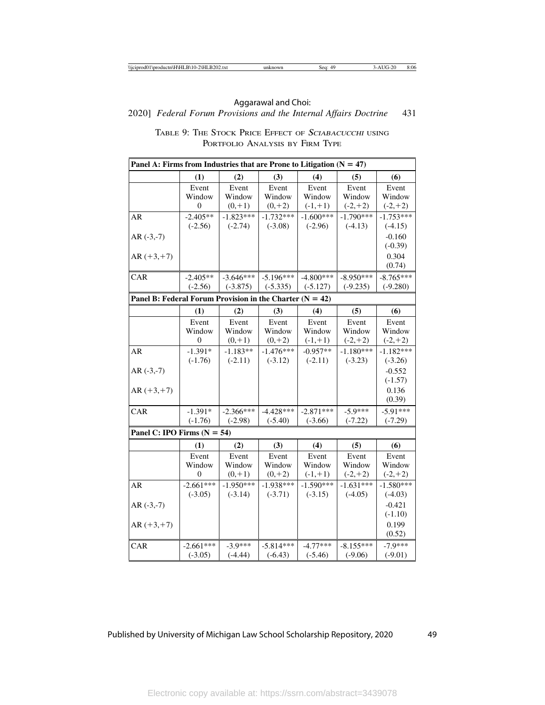# 2020] *Federal Forum Provisions and the Internal Affairs Doctrine* 431 Aggarawal and Choi:

| TABLE 9: THE STOCK PRICE EFFECT OF SCIABACUCCHI USING |
|-------------------------------------------------------|
| PORTFOLIO ANALYSIS BY FIRM TYPE                       |

| Panel A: Firms from Industries that are Prone to Litigation $(N = 47)$ |                                 |                              |                              |                              |                              |                              |
|------------------------------------------------------------------------|---------------------------------|------------------------------|------------------------------|------------------------------|------------------------------|------------------------------|
|                                                                        | (1)                             | (2)                          | (3)                          | (4)                          | (5)                          | (6)                          |
|                                                                        | Event<br>Window<br>$\mathbf{0}$ | Event<br>Window<br>$(0, +1)$ | Event<br>Window<br>$(0, +2)$ | Event<br>Window<br>$(-1,+1)$ | Event<br>Window<br>$(-2,+2)$ | Event<br>Window<br>$(-2,+2)$ |
| AR                                                                     | $-2.405**$<br>$(-2.56)$         | $-1.823***$<br>$(-2.74)$     | $-1.732***$<br>$(-3.08)$     | $-1.600***$<br>$(-2.96)$     | $-1.790***$<br>$(-4.13)$     | $-1.753***$<br>$(-4.15)$     |
| $AR$ $(-3,-7)$                                                         |                                 |                              |                              |                              |                              | $-0.160$<br>$(-0.39)$        |
| $AR (+3, +7)$                                                          |                                 |                              |                              |                              |                              | 0.304<br>(0.74)              |
| CAR                                                                    | $-2.405**$<br>$(-2.56)$         | $-3.646***$<br>$(-3.875)$    | $-5.196***$<br>$(-5.335)$    | $-4.800***$<br>$(-5.127)$    | $-8.950***$<br>$(-9.235)$    | $-8.765***$<br>$(-9.280)$    |
| Panel B: Federal Forum Provision in the Charter $(N = 42)$             |                                 |                              |                              |                              |                              |                              |
|                                                                        | (1)                             | (2)                          | (3)                          | (4)                          | (5)                          | (6)                          |
|                                                                        | Event<br>Window<br>$\mathbf{0}$ | Event<br>Window<br>$(0, +1)$ | Event<br>Window<br>$(0, +2)$ | Event<br>Window<br>$(-1,+1)$ | Event<br>Window<br>$(-2,+2)$ | Event<br>Window<br>$(-2,+2)$ |
| AR                                                                     | $-1.391*$<br>$(-1.76)$          | $-1.183**$<br>$(-2.11)$      | $-1.476***$<br>$(-3.12)$     | $-0.957**$<br>$(-2.11)$      | $-1.180***$<br>$(-3.23)$     | $-1.182***$<br>$(-3.26)$     |
| $AR$ $(-3,-7)$                                                         |                                 |                              |                              |                              |                              | $-0.552$<br>$(-1.57)$        |
| $AR (+3, +7)$                                                          |                                 |                              |                              |                              |                              | 0.136<br>(0.39)              |
| CAR                                                                    | $-1.391*$<br>$(-1.76)$          | $-2.366***$<br>$(-2.98)$     | $-4.428***$<br>$(-5.40)$     | $-2.871***$<br>$(-3.66)$     | $-5.9***$<br>$(-7.22)$       | $-5.91***$<br>$(-7.29)$      |
| Panel C: IPO Firms $(N = 54)$                                          |                                 |                              |                              |                              |                              |                              |
|                                                                        | (1)                             | (2)                          | (3)                          | (4)                          | (5)                          | (6)                          |
|                                                                        | Event<br>Window<br>$\Omega$     | Event<br>Window<br>$(0, +1)$ | Event<br>Window<br>$(0, +2)$ | Event<br>Window<br>$(-1,+1)$ | Event<br>Window<br>$(-2,+2)$ | Event<br>Window<br>$(-2,+2)$ |
| <b>AR</b>                                                              | $-2.661***$<br>$(-3.05)$        | $-1.950***$<br>$(-3.14)$     | $-1.938***$<br>$(-3.71)$     | $-1.590***$<br>$(-3.15)$     | $-1.631***$<br>$(-4.05)$     | $-1.580***$<br>$(-4.03)$     |
| $AR$ (-3,-7)                                                           |                                 |                              |                              |                              |                              | $-0.421$<br>$(-1.10)$        |
| $AR (+3, +7)$                                                          |                                 |                              |                              |                              |                              | 0.199<br>(0.52)              |
| CAR                                                                    | $-2.661***$<br>$(-3.05)$        | $-3.9***$<br>$(-4.44)$       | $-5.814***$<br>$(-6.43)$     | $-4.77***$<br>$(-5.46)$      | $-8.155***$<br>$(-9.06)$     | $-7.9***$<br>$(-9.01)$       |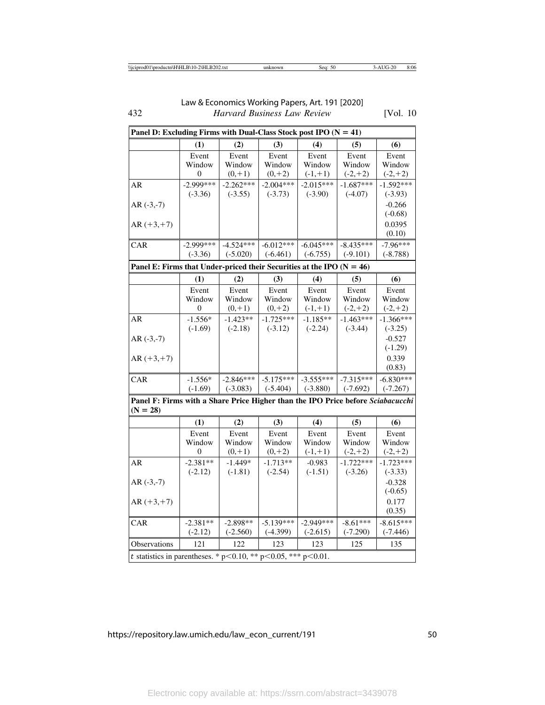432 *Harvard Business Law Review* [Vol. 10 Law & Economics Working Papers, Art. 191 [2020]

|                                                                                 | Panel D: Excluding Firms with Dual-Class Stock post IPO $(N = 41)$ |             |             |             |             |             |
|---------------------------------------------------------------------------------|--------------------------------------------------------------------|-------------|-------------|-------------|-------------|-------------|
|                                                                                 | (1)                                                                | (2)         | (3)         | (4)         | (5)         | (6)         |
|                                                                                 | Event                                                              | Event       | Event       | Event       | Event       | Event       |
|                                                                                 | Window                                                             | Window      | Window      | Window      | Window      | Window      |
|                                                                                 | 0                                                                  | $(0, +1)$   | $(0, +2)$   | $(-1,+1)$   | $(-2,+2)$   | $(-2,+2)$   |
| AR                                                                              | $-2.999***$                                                        | $-2.262***$ | $-2.004***$ | $-2.015***$ | $-1.687***$ | $-1.592***$ |
|                                                                                 | $(-3.36)$                                                          | $(-3.55)$   | $(-3.73)$   | $(-3.90)$   | $(-4.07)$   | $(-3.93)$   |
| $AR$ (-3,-7)                                                                    |                                                                    |             |             |             |             | $-0.266$    |
|                                                                                 |                                                                    |             |             |             |             | $(-0.68)$   |
| $AR (+3, +7)$                                                                   |                                                                    |             |             |             |             | 0.0395      |
|                                                                                 |                                                                    |             |             |             |             | (0.10)      |
| CAR                                                                             | $-2.999***$                                                        | $-4.524***$ | $-6.012***$ | $-6.045***$ | $-8.435***$ | $-7.96***$  |
|                                                                                 | $(-3.36)$                                                          | $(-5.020)$  | $(-6.461)$  | $(-6.755)$  | $(-9.101)$  | $(-8.788)$  |
| Panel E: Firms that Under-priced their Securities at the IPO $(N = 46)$         |                                                                    |             |             |             |             |             |
|                                                                                 | (1)                                                                | (2)         | (3)         | (4)         | (5)         | (6)         |
|                                                                                 | Event                                                              | Event       | Event       | Event       | Event       | Event       |
|                                                                                 | Window                                                             | Window      | Window      | Window      | Window      | Window      |
|                                                                                 | 0                                                                  | $(0, +1)$   | $(0, +2)$   | $(-1,+1)$   | $(-2,+2)$   | $(-2,+2)$   |
| AR                                                                              | $-1.556*$                                                          | $-1.423**$  | $-1.725***$ | $-1.185**$  | $-1.463***$ | $-1.366***$ |
|                                                                                 | $(-1.69)$                                                          | $(-2.18)$   | $(-3.12)$   | $(-2.24)$   | $(-3.44)$   | $(-3.25)$   |
| $AR$ (-3,-7)                                                                    |                                                                    |             |             |             |             | $-0.527$    |
|                                                                                 |                                                                    |             |             |             |             | $(-1.29)$   |
| $AR (+3, +7)$                                                                   |                                                                    |             |             |             |             | 0.339       |
|                                                                                 |                                                                    |             |             |             |             | (0.83)      |
| CAR                                                                             | $-1.556*$                                                          | $-2.846***$ | $-5.175***$ | $-3.555***$ | $-7.315***$ | $-6.830***$ |
|                                                                                 | $(-1.69)$                                                          | $(-3.083)$  | $(-5.404)$  | $(-3.880)$  | $(-7.692)$  | $(-7.267)$  |
| Panel F: Firms with a Share Price Higher than the IPO Price before Sciabacucchi |                                                                    |             |             |             |             |             |
| $(N = 28)$                                                                      |                                                                    |             |             |             |             |             |
|                                                                                 | (1)                                                                | (2)         | (3)         | (4)         | (5)         | (6)         |
|                                                                                 | Event                                                              | Event       | Event       | Event       | Event       | Event       |
|                                                                                 | Window                                                             | Window      | Window      | Window      | Window      | Window      |
|                                                                                 | 0                                                                  | $(0, +1)$   | $(0, +2)$   | $(-1,+1)$   | $(-2,+2)$   | $(-2,+2)$   |
| AR                                                                              | $-2.381**$                                                         | $-1.449*$   | $-1.713**$  | $-0.983$    | $-1.722***$ | $-1.723***$ |
|                                                                                 | $(-2.12)$                                                          | $(-1.81)$   | $(-2.54)$   | $(-1.51)$   | $(-3.26)$   | $(-3.33)$   |
| $AR$ (-3,-7)                                                                    |                                                                    |             |             |             |             | $-0.328$    |
|                                                                                 |                                                                    |             |             |             |             | $(-0.65)$   |
| $AR (+3, +7)$                                                                   |                                                                    |             |             |             |             | 0.177       |
|                                                                                 |                                                                    |             |             |             |             | (0.35)      |
| CAR                                                                             | $-2.381**$                                                         | $-2.898**$  | $-5.139***$ | $-2.949***$ | $-8.61***$  | $-8.615***$ |
|                                                                                 | $(-2.12)$                                                          | $(-2.560)$  | $(-4.399)$  | $(-2.615)$  | $(-7.290)$  | $(-7.446)$  |
| Observations                                                                    | 121                                                                | 122         | 123         | 123         | 125         | 135         |
|                                                                                 | t statistics in parentheses. * p<0.10, ** p<0.05, *** p<0.01.      |             |             |             |             |             |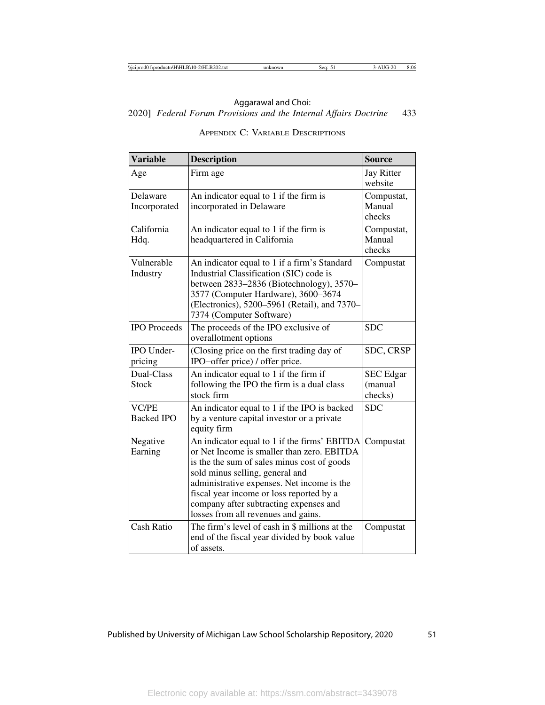# 2020] *Federal Forum Provisions and the Internal Affairs Doctrine* 433 Aggarawal and Choi:

| <b>Variable</b>                   | <b>Description</b>                                                                                                                                                                                                                                                                                                                                      | <b>Source</b>                          |
|-----------------------------------|---------------------------------------------------------------------------------------------------------------------------------------------------------------------------------------------------------------------------------------------------------------------------------------------------------------------------------------------------------|----------------------------------------|
| Age                               | Firm age                                                                                                                                                                                                                                                                                                                                                | <b>Jay Ritter</b><br>website           |
| Delaware<br>Incorporated          | An indicator equal to 1 if the firm is<br>incorporated in Delaware                                                                                                                                                                                                                                                                                      | Compustat,<br>Manual<br>checks         |
| California<br>Hdq.                | An indicator equal to 1 if the firm is<br>headquartered in California                                                                                                                                                                                                                                                                                   | Compustat,<br>Manual<br>checks         |
| Vulnerable<br>Industry            | An indicator equal to 1 if a firm's Standard<br>Industrial Classification (SIC) code is<br>between 2833–2836 (Biotechnology), 3570–<br>3577 (Computer Hardware), 3600-3674<br>(Electronics), 5200–5961 (Retail), and 7370–<br>7374 (Computer Software)                                                                                                  | Compustat                              |
| <b>IPO</b> Proceeds               | The proceeds of the IPO exclusive of<br>overallotment options                                                                                                                                                                                                                                                                                           | <b>SDC</b>                             |
| <b>IPO</b> Under-<br>pricing      | (Closing price on the first trading day of<br>IPO-offer price) / offer price.                                                                                                                                                                                                                                                                           | SDC, CRSP                              |
| Dual-Class<br><b>Stock</b>        | An indicator equal to 1 if the firm if<br>following the IPO the firm is a dual class<br>stock firm                                                                                                                                                                                                                                                      | <b>SEC</b> Edgar<br>(manual<br>checks) |
| <b>VC/PE</b><br><b>Backed IPO</b> | An indicator equal to 1 if the IPO is backed<br>by a venture capital investor or a private<br>equity firm                                                                                                                                                                                                                                               | <b>SDC</b>                             |
| Negative<br>Earning               | An indicator equal to 1 if the firms' EBITDA<br>or Net Income is smaller than zero. EBITDA<br>is the the sum of sales minus cost of goods<br>sold minus selling, general and<br>administrative expenses. Net income is the<br>fiscal year income or loss reported by a<br>company after subtracting expenses and<br>losses from all revenues and gains. | Compustat                              |
| Cash Ratio                        | The firm's level of cash in \$ millions at the<br>end of the fiscal year divided by book value<br>of assets.                                                                                                                                                                                                                                            | Compustat                              |

# APPENDIX C: VARIABLE DESCRIPTIONS